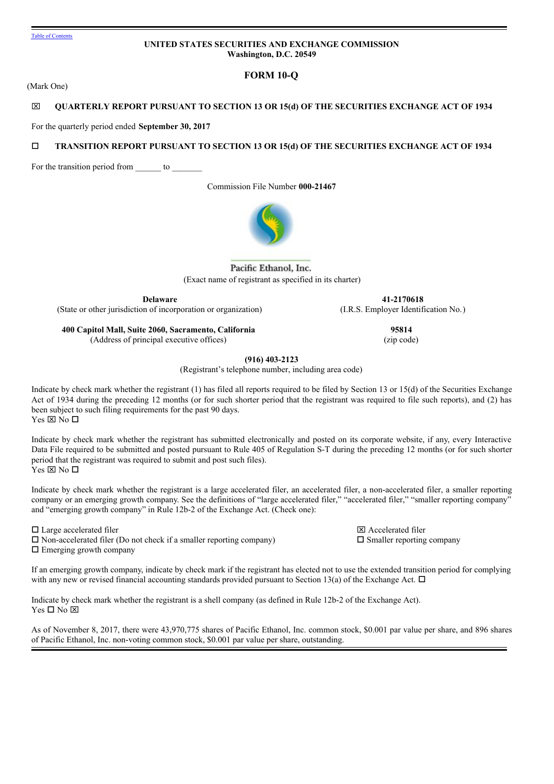# **UNITED STATES SECURITIES AND EXCHANGE COMMISSION Washington, D.C. 20549**

**FORM 10-Q**

(Mark One)

# x **QUARTERLY REPORT PURSUANT TO SECTION 13 OR 15(d) OF THE SECURITIES EXCHANGE ACT OF 1934**

For the quarterly period ended **September 30, 2017**

# o **TRANSITION REPORT PURSUANT TO SECTION 13 OR 15(d) OF THE SECURITIES EXCHANGE ACT OF 1934**

For the transition period from to

Commission File Number **000-21467**



Pacific Ethanol, Inc. (Exact name of registrant as specified in its charter)

**Delaware**

(State or other jurisdiction of incorporation or organization)

**400 Capitol Mall, Suite 2060, Sacramento, California** (Address of principal executive offices)

**95814** (zip code)

**41-2170618** (I.R.S. Employer Identification No.)

**(916) 403-2123**

(Registrant's telephone number, including area code)

Indicate by check mark whether the registrant (1) has filed all reports required to be filed by Section 13 or 15(d) of the Securities Exchange Act of 1934 during the preceding 12 months (or for such shorter period that the registrant was required to file such reports), and (2) has been subject to such filing requirements for the past 90 days. Yes  $\times$  No  $\Box$ 

Indicate by check mark whether the registrant has submitted electronically and posted on its corporate website, if any, every Interactive Data File required to be submitted and posted pursuant to Rule 405 of Regulation S-T during the preceding 12 months (or for such shorter period that the registrant was required to submit and post such files). Yes  $\times$  No  $\Box$ 

Indicate by check mark whether the registrant is a large accelerated filer, an accelerated filer, a non-accelerated filer, a smaller reporting company or an emerging growth company. See the definitions of "large accelerated filer," "accelerated filer," "smaller reporting company" and "emerging growth company" in Rule 12b-2 of the Exchange Act. (Check one):

 $\square$  Large accelerated filer  $\square$  Accelerated filer

 $\square$  Non-accelerated filer (Do not check if a smaller reporting company)  $\square$  Smaller reporting company  $\square$  Emerging growth company

If an emerging growth company, indicate by check mark if the registrant has elected not to use the extended transition period for complying with any new or revised financial accounting standards provided pursuant to Section 13(a) of the Exchange Act.  $\Box$ 

Indicate by check mark whether the registrant is a shell company (as defined in Rule 12b-2 of the Exchange Act).  $Yes \Box No \boxtimes$ 

As of November 8, 2017, there were 43,970,775 shares of Pacific Ethanol, Inc. common stock, \$0.001 par value per share, and 896 shares of Pacific Ethanol, Inc. non-voting common stock, \$0.001 par value per share, outstanding.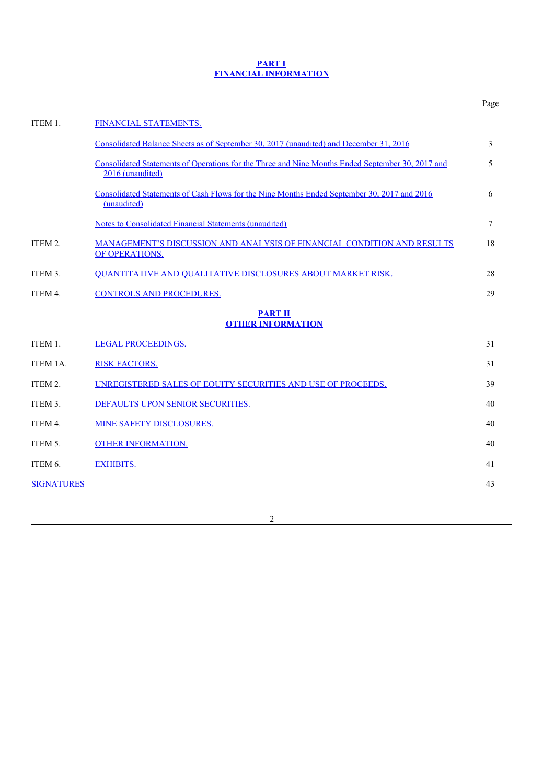### **PART I FINANCIAL INFORMATION**

|                   |                                                                                                                      | Page |  |  |  |  |  |  |  |
|-------------------|----------------------------------------------------------------------------------------------------------------------|------|--|--|--|--|--|--|--|
| ITEM 1.           | FINANCIAL STATEMENTS.                                                                                                |      |  |  |  |  |  |  |  |
|                   | Consolidated Balance Sheets as of September 30, 2017 (unaudited) and December 31, 2016                               | 3    |  |  |  |  |  |  |  |
|                   | Consolidated Statements of Operations for the Three and Nine Months Ended September 30, 2017 and<br>2016 (unaudited) | 5    |  |  |  |  |  |  |  |
|                   | Consolidated Statements of Cash Flows for the Nine Months Ended September 30, 2017 and 2016<br>(unaudited)           | 6    |  |  |  |  |  |  |  |
|                   | Notes to Consolidated Financial Statements (unaudited)                                                               | 7    |  |  |  |  |  |  |  |
| ITEM 2.           | MANAGEMENT'S DISCUSSION AND ANALYSIS OF FINANCIAL CONDITION AND RESULTS<br>OF OPERATIONS.                            | 18   |  |  |  |  |  |  |  |
| ITEM 3.           | <b>OUANTITATIVE AND QUALITATIVE DISCLOSURES ABOUT MARKET RISK.</b>                                                   | 28   |  |  |  |  |  |  |  |
| ITEM 4.           | <b>CONTROLS AND PROCEDURES.</b>                                                                                      | 29   |  |  |  |  |  |  |  |
|                   | <b>PART II</b><br><b>OTHER INFORMATION</b>                                                                           |      |  |  |  |  |  |  |  |
| ITEM 1.           | <b>LEGAL PROCEEDINGS.</b>                                                                                            | 31   |  |  |  |  |  |  |  |
| ITEM 1A.          | <b>RISK FACTORS.</b>                                                                                                 | 31   |  |  |  |  |  |  |  |
| ITEM 2.           | UNREGISTERED SALES OF EOUITY SECURITIES AND USE OF PROCEEDS.                                                         | 39   |  |  |  |  |  |  |  |
| ITEM 3.           | DEFAULTS UPON SENIOR SECURITIES.                                                                                     | 40   |  |  |  |  |  |  |  |
| ITEM 4.           | <b>MINE SAFETY DISCLOSURES.</b>                                                                                      | 40   |  |  |  |  |  |  |  |
| ITEM 5.           | <b>OTHER INFORMATION.</b>                                                                                            | 40   |  |  |  |  |  |  |  |
| ITEM 6.           | <b>EXHIBITS.</b>                                                                                                     | 41   |  |  |  |  |  |  |  |
| <b>SIGNATURES</b> |                                                                                                                      | 43   |  |  |  |  |  |  |  |
|                   |                                                                                                                      |      |  |  |  |  |  |  |  |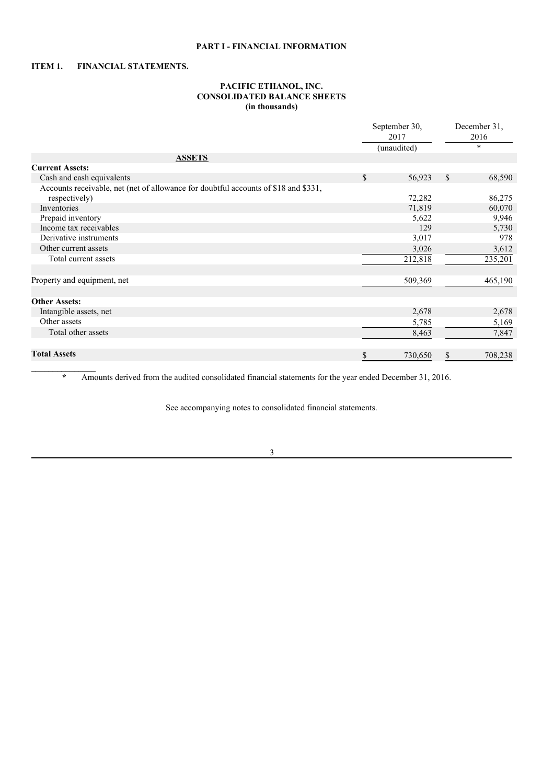# **PART I - FINANCIAL INFORMATION**

# **ITEM 1. FINANCIAL STATEMENTS.**

**\_\_\_\_\_\_\_\_\_\_\_\_\_\_\_**

# **PACIFIC ETHANOL, INC. CONSOLIDATED BALANCE SHEETS (in thousands)**

|                                                                                     | September 30,<br>2017 |             |              | December 31,<br>2016 |
|-------------------------------------------------------------------------------------|-----------------------|-------------|--------------|----------------------|
|                                                                                     |                       | (unaudited) |              | $\star$              |
| <b>ASSETS</b>                                                                       |                       |             |              |                      |
| <b>Current Assets:</b>                                                              |                       |             |              |                      |
| Cash and cash equivalents                                                           | \$                    | 56,923      | $\mathbb{S}$ | 68,590               |
| Accounts receivable, net (net of allowance for doubtful accounts of \$18 and \$331, |                       |             |              |                      |
| respectively)                                                                       |                       | 72,282      |              | 86,275               |
| Inventories                                                                         |                       | 71,819      |              | 60,070               |
| Prepaid inventory                                                                   |                       | 5,622       |              | 9,946                |
| Income tax receivables                                                              |                       | 129         |              | 5,730                |
| Derivative instruments                                                              |                       | 3,017       |              | 978                  |
| Other current assets                                                                |                       | 3,026       |              | 3,612                |
| Total current assets                                                                |                       | 212,818     |              | 235,201              |
|                                                                                     |                       |             |              |                      |
| Property and equipment, net                                                         |                       | 509,369     |              | 465,190              |
|                                                                                     |                       |             |              |                      |
| <b>Other Assets:</b>                                                                |                       |             |              |                      |
| Intangible assets, net                                                              |                       | 2,678       |              | 2,678                |
| Other assets                                                                        |                       | 5,785       |              | 5,169                |
| Total other assets                                                                  |                       | 8,463       |              | 7,847                |
|                                                                                     |                       |             |              |                      |
| <b>Total Assets</b>                                                                 | \$                    | 730,650     | S            | 708,238              |

**\*** Amounts derived from the audited consolidated financial statements for the year ended December 31, 2016.

See accompanying notes to consolidated financial statements.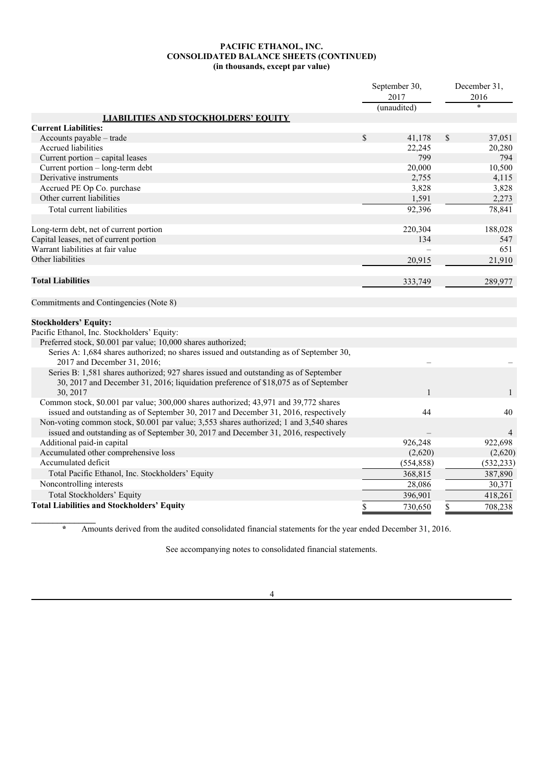### **PACIFIC ETHANOL, INC. CONSOLIDATED BALANCE SHEETS (CONTINUED) (in thousands, except par value)**

|                                                                                                                        |               | September 30,<br>2017 | December 31,<br>2016 |
|------------------------------------------------------------------------------------------------------------------------|---------------|-----------------------|----------------------|
|                                                                                                                        |               | (unaudited)           | $\ast$               |
| <b>LIABILITIES AND STOCKHOLDERS' EQUITY</b>                                                                            |               |                       |                      |
| <b>Current Liabilities:</b>                                                                                            |               |                       |                      |
| Accounts payable – trade                                                                                               | $\mathcal{S}$ | 41,178                | \$<br>37,051         |
| Accrued liabilities                                                                                                    |               | 22,245                | 20,280               |
| Current portion - capital leases                                                                                       |               | 799                   | 794                  |
| Current portion - long-term debt                                                                                       |               | 20,000                | 10,500               |
| Derivative instruments                                                                                                 |               | 2,755                 | 4,115                |
| Accrued PE Op Co. purchase                                                                                             |               | 3,828                 | 3,828                |
| Other current liabilities                                                                                              |               | 1,591                 | 2,273                |
| Total current liabilities                                                                                              |               | 92,396                | 78,841               |
| Long-term debt, net of current portion                                                                                 |               | 220,304               | 188,028              |
| Capital leases, net of current portion                                                                                 |               | 134                   | 547                  |
| Warrant liabilities at fair value                                                                                      |               |                       | 651                  |
| Other liabilities                                                                                                      |               | 20,915                | 21,910               |
| <b>Total Liabilities</b>                                                                                               |               | 333,749               | 289,977              |
| Commitments and Contingencies (Note 8)                                                                                 |               |                       |                      |
| <b>Stockholders' Equity:</b>                                                                                           |               |                       |                      |
| Pacific Ethanol, Inc. Stockholders' Equity:                                                                            |               |                       |                      |
| Preferred stock, \$0.001 par value; 10,000 shares authorized;                                                          |               |                       |                      |
| Series A: 1,684 shares authorized; no shares issued and outstanding as of September 30,<br>2017 and December 31, 2016; |               |                       |                      |
| Series B: 1,581 shares authorized; 927 shares issued and outstanding as of September                                   |               |                       |                      |
| 30, 2017 and December 31, 2016; liquidation preference of \$18,075 as of September                                     |               |                       |                      |
| 30, 2017                                                                                                               |               |                       |                      |
| Common stock, \$0.001 par value; 300,000 shares authorized; 43,971 and 39,772 shares                                   |               |                       |                      |
| issued and outstanding as of September 30, 2017 and December 31, 2016, respectively                                    |               | 44                    | 40                   |
| Non-voting common stock, \$0.001 par value; 3,553 shares authorized; 1 and 3,540 shares                                |               |                       |                      |
| issued and outstanding as of September 30, 2017 and December 31, 2016, respectively                                    |               |                       | $\overline{4}$       |
| Additional paid-in capital                                                                                             |               | 926,248               | 922,698              |
| Accumulated other comprehensive loss                                                                                   |               | (2,620)               | (2,620)              |
| Accumulated deficit                                                                                                    |               | (554, 858)            | (532, 233)           |
| Total Pacific Ethanol, Inc. Stockholders' Equity                                                                       |               | 368,815               | 387,890              |
| Noncontrolling interests                                                                                               |               | 28,086                | 30,371               |
| Total Stockholders' Equity                                                                                             |               | 396,901               | 418,261              |
| <b>Total Liabilities and Stockholders' Equity</b>                                                                      | \$            | 730,650               | \$<br>708,238        |

**\*** Amounts derived from the audited consolidated financial statements for the year ended December 31, 2016.

See accompanying notes to consolidated financial statements.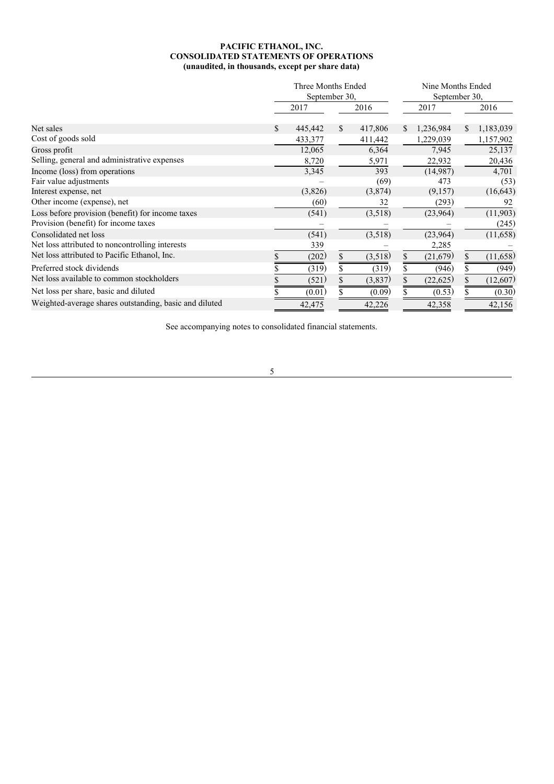# **PACIFIC ETHANOL, INC. CONSOLIDATED STATEMENTS OF OPERATIONS (unaudited, in thousands, except per share data)**

|                                                        |     | Three Months Ended<br>September 30, |               |         |    | Nine Months Ended<br>September 30, |    |           |  |
|--------------------------------------------------------|-----|-------------------------------------|---------------|---------|----|------------------------------------|----|-----------|--|
|                                                        |     | 2017                                |               | 2016    |    | 2017                               |    | 2016      |  |
| Net sales                                              | \$. | 445,442                             | <sup>\$</sup> | 417,806 | S. | 1,236,984                          | S. | 1,183,039 |  |
| Cost of goods sold                                     |     | 433,377                             |               | 411,442 |    | 1,229,039                          |    | 1,157,902 |  |
| Gross profit                                           |     | 12,065                              |               | 6,364   |    | 7,945                              |    | 25,137    |  |
| Selling, general and administrative expenses           |     | 8,720                               |               | 5,971   |    | 22,932                             |    | 20,436    |  |
| Income (loss) from operations                          |     | 3,345                               |               | 393     |    | (14,987)                           |    | 4,701     |  |
| Fair value adjustments                                 |     |                                     |               | (69)    |    | 473                                |    | (53)      |  |
| Interest expense, net                                  |     | (3,826)                             |               | (3,874) |    | (9,157)                            |    | (16, 643) |  |
| Other income (expense), net                            |     | (60)                                |               | 32      |    | (293)                              |    | 92        |  |
| Loss before provision (benefit) for income taxes       |     | (541)                               |               | (3,518) |    | (23,964)                           |    | (11,903)  |  |
| Provision (benefit) for income taxes                   |     |                                     |               |         |    |                                    |    | (245)     |  |
| Consolidated net loss                                  |     | (541)                               |               | (3,518) |    | (23,964)                           |    | (11,658)  |  |
| Net loss attributed to noncontrolling interests        |     | 339                                 |               |         |    | 2,285                              |    |           |  |
| Net loss attributed to Pacific Ethanol, Inc.           |     | (202)                               | $\mathbb{S}$  | (3,518) | \$ | (21,679)                           | \$ | (11,658)  |  |
| Preferred stock dividends                              |     | (319)                               | \$.           | (319)   | \$ | (946)                              | \$ | (949)     |  |
| Net loss available to common stockholders              |     | (521)                               | \$            | (3,837) | \$ | (22, 625)                          |    | (12,607)  |  |
| Net loss per share, basic and diluted                  |     | (0.01)                              |               | (0.09)  |    | (0.53)                             |    | (0.30)    |  |
| Weighted-average shares outstanding, basic and diluted |     | 42,475                              |               | 42,226  |    | 42,358                             |    | 42,156    |  |

See accompanying notes to consolidated financial statements.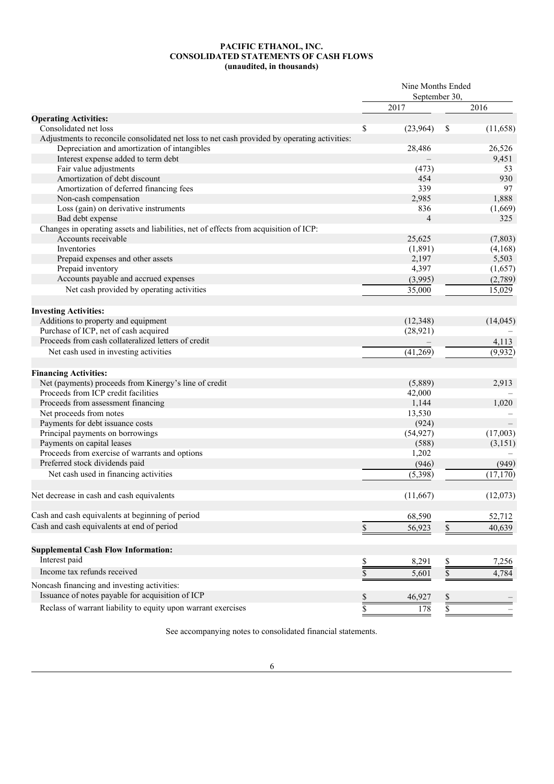### **PACIFIC ETHANOL, INC. CONSOLIDATED STATEMENTS OF CASH FLOWS (unaudited, in thousands)**

|                                                                                                             | Nine Months Ended<br>September 30, |           |              |           |
|-------------------------------------------------------------------------------------------------------------|------------------------------------|-----------|--------------|-----------|
|                                                                                                             |                                    | 2017      |              | 2016      |
| <b>Operating Activities:</b>                                                                                |                                    |           |              |           |
| Consolidated net loss                                                                                       | \$                                 | (23,964)  | \$           | (11,658)  |
| Adjustments to reconcile consolidated net loss to net cash provided by operating activities:                |                                    |           |              |           |
| Depreciation and amortization of intangibles                                                                |                                    | 28,486    |              | 26,526    |
| Interest expense added to term debt                                                                         |                                    |           |              | 9,451     |
| Fair value adjustments                                                                                      |                                    | (473)     |              | 53        |
| Amortization of debt discount                                                                               |                                    | 454       |              | 930       |
| Amortization of deferred financing fees                                                                     |                                    | 339       |              | 97        |
| Non-cash compensation                                                                                       |                                    | 2,985     |              | 1,888     |
| Loss (gain) on derivative instruments                                                                       |                                    | 836       |              | (1,669)   |
| Bad debt expense                                                                                            |                                    | 4         |              | 325       |
| Changes in operating assets and liabilities, net of effects from acquisition of ICP:<br>Accounts receivable |                                    | 25,625    |              | (7, 803)  |
| Inventories                                                                                                 |                                    | (1,891)   |              | (4,168)   |
| Prepaid expenses and other assets                                                                           |                                    | 2,197     |              | 5,503     |
| Prepaid inventory                                                                                           |                                    | 4,397     |              | (1,657)   |
| Accounts payable and accrued expenses                                                                       |                                    | (3,995)   |              | (2,789)   |
| Net cash provided by operating activities                                                                   |                                    | 35,000    |              | 15,029    |
|                                                                                                             |                                    |           |              |           |
| <b>Investing Activities:</b>                                                                                |                                    |           |              |           |
| Additions to property and equipment                                                                         |                                    | (12, 348) |              | (14, 045) |
| Purchase of ICP, net of cash acquired                                                                       |                                    | (28, 921) |              |           |
| Proceeds from cash collateralized letters of credit                                                         |                                    |           |              | 4,113     |
| Net cash used in investing activities                                                                       |                                    | (41,269)  |              | (9,932)   |
| <b>Financing Activities:</b>                                                                                |                                    |           |              |           |
| Net (payments) proceeds from Kinergy's line of credit                                                       |                                    | (5,889)   |              | 2,913     |
| Proceeds from ICP credit facilities                                                                         |                                    | 42,000    |              |           |
| Proceeds from assessment financing                                                                          |                                    | 1,144     |              | 1,020     |
| Net proceeds from notes                                                                                     |                                    | 13,530    |              |           |
| Payments for debt issuance costs                                                                            |                                    | (924)     |              |           |
| Principal payments on borrowings                                                                            |                                    | (54, 927) |              | (17,003)  |
| Payments on capital leases                                                                                  |                                    | (588)     |              | (3,151)   |
| Proceeds from exercise of warrants and options                                                              |                                    | 1,202     |              |           |
| Preferred stock dividends paid                                                                              |                                    | (946)     |              | (949)     |
| Net cash used in financing activities                                                                       |                                    | (5,398)   |              | (17, 170) |
|                                                                                                             |                                    |           |              |           |
| Net decrease in cash and cash equivalents                                                                   |                                    | (11,667)  |              | (12,073)  |
| Cash and cash equivalents at beginning of period                                                            |                                    | 68,590    |              | 52,712    |
| Cash and cash equivalents at end of period                                                                  | \$                                 | 56,923    | $\mathbb{S}$ | 40,639    |
|                                                                                                             |                                    |           |              |           |
| <b>Supplemental Cash Flow Information:</b>                                                                  |                                    |           |              |           |
| Interest paid                                                                                               | \$                                 | 8,291     | \$           | 7,256     |
| Income tax refunds received                                                                                 | \$                                 | 5,601     | \$           | 4,784     |
| Noncash financing and investing activities:                                                                 |                                    |           |              |           |
| Issuance of notes payable for acquisition of ICP                                                            | \$                                 | 46,927    | \$           |           |
| Reclass of warrant liability to equity upon warrant exercises                                               |                                    |           |              |           |
|                                                                                                             | \$                                 | 178       | \$           |           |

See accompanying notes to consolidated financial statements.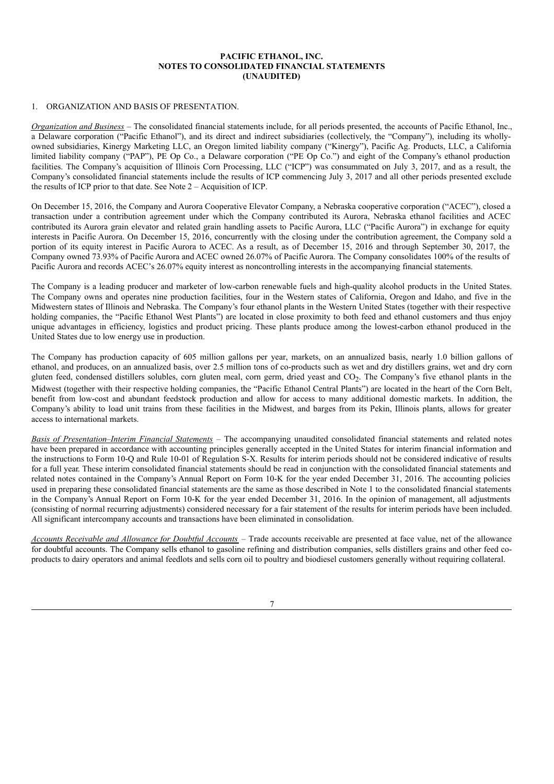## **PACIFIC ETHANOL, INC. NOTES TO CONSOLIDATED FINANCIAL STATEMENTS (UNAUDITED)**

### 1. ORGANIZATION AND BASIS OF PRESENTATION.

*Organization and Business* – The consolidated financial statements include, for all periods presented, the accounts of Pacific Ethanol, Inc., a Delaware corporation ("Pacific Ethanol"), and its direct and indirect subsidiaries (collectively, the "Company"), including its whollyowned subsidiaries, Kinergy Marketing LLC, an Oregon limited liability company ("Kinergy"), Pacific Ag. Products, LLC, a California limited liability company ("PAP"), PE Op Co., a Delaware corporation ("PE Op Co.") and eight of the Company's ethanol production facilities. The Company's acquisition of Illinois Corn Processing, LLC ("ICP") was consummated on July 3, 2017, and as a result, the Company's consolidated financial statements include the results of ICP commencing July 3, 2017 and all other periods presented exclude the results of ICP prior to that date. See Note 2 – Acquisition of ICP.

On December 15, 2016, the Company and Aurora Cooperative Elevator Company, a Nebraska cooperative corporation ("ACEC"), closed a transaction under a contribution agreement under which the Company contributed its Aurora, Nebraska ethanol facilities and ACEC contributed its Aurora grain elevator and related grain handling assets to Pacific Aurora, LLC ("Pacific Aurora") in exchange for equity interests in Pacific Aurora. On December 15, 2016, concurrently with the closing under the contribution agreement, the Company sold a portion of its equity interest in Pacific Aurora to ACEC. As a result, as of December 15, 2016 and through September 30, 2017, the Company owned 73.93% of Pacific Aurora and ACEC owned 26.07% of Pacific Aurora. The Company consolidates 100% of the results of Pacific Aurora and records ACEC's 26.07% equity interest as noncontrolling interests in the accompanying financial statements.

The Company is a leading producer and marketer of low-carbon renewable fuels and high-quality alcohol products in the United States. The Company owns and operates nine production facilities, four in the Western states of California, Oregon and Idaho, and five in the Midwestern states of Illinois and Nebraska. The Company's four ethanol plants in the Western United States (together with their respective holding companies, the "Pacific Ethanol West Plants") are located in close proximity to both feed and ethanol customers and thus enjoy unique advantages in efficiency, logistics and product pricing. These plants produce among the lowest-carbon ethanol produced in the United States due to low energy use in production.

The Company has production capacity of 605 million gallons per year, markets, on an annualized basis, nearly 1.0 billion gallons of ethanol, and produces, on an annualized basis, over 2.5 million tons of co-products such as wet and dry distillers grains, wet and dry corn gluten feed, condensed distillers solubles, corn gluten meal, corn germ, dried yeast and CO<sub>2</sub>. The Company's five ethanol plants in the Midwest (together with their respective holding companies, the "Pacific Ethanol Central Plants") are located in the heart of the Corn Belt, benefit from low-cost and abundant feedstock production and allow for access to many additional domestic markets. In addition, the Company's ability to load unit trains from these facilities in the Midwest, and barges from its Pekin, Illinois plants, allows for greater access to international markets.

*Basis of Presentation*–*Interim Financial Statements* – The accompanying unaudited consolidated financial statements and related notes have been prepared in accordance with accounting principles generally accepted in the United States for interim financial information and the instructions to Form 10-Q and Rule 10-01 of Regulation S-X. Results for interim periods should not be considered indicative of results for a full year. These interim consolidated financial statements should be read in conjunction with the consolidated financial statements and related notes contained in the Company's Annual Report on Form 10-K for the year ended December 31, 2016. The accounting policies used in preparing these consolidated financial statements are the same as those described in Note 1 to the consolidated financial statements in the Company's Annual Report on Form 10-K for the year ended December 31, 2016. In the opinion of management, all adjustments (consisting of normal recurring adjustments) considered necessary for a fair statement of the results for interim periods have been included. All significant intercompany accounts and transactions have been eliminated in consolidation.

*Accounts Receivable and Allowance for Doubtful Accounts* – Trade accounts receivable are presented at face value, net of the allowance for doubtful accounts. The Company sells ethanol to gasoline refining and distribution companies, sells distillers grains and other feed coproducts to dairy operators and animal feedlots and sells corn oil to poultry and biodiesel customers generally without requiring collateral.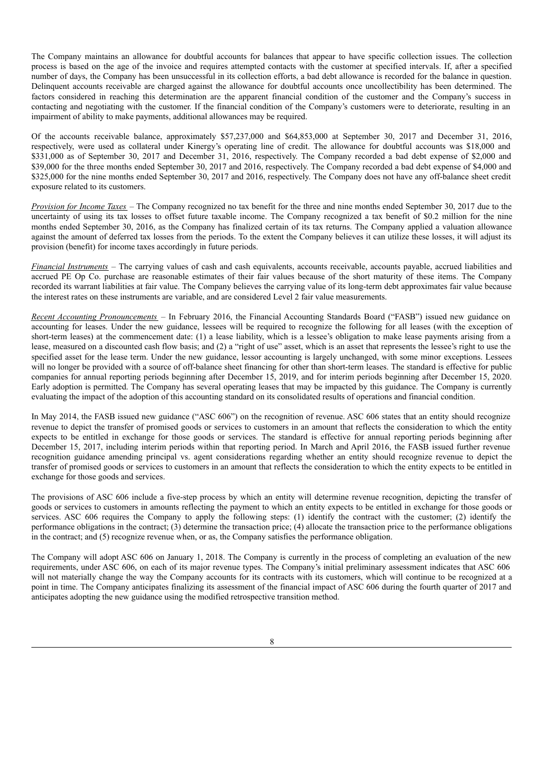The Company maintains an allowance for doubtful accounts for balances that appear to have specific collection issues. The collection process is based on the age of the invoice and requires attempted contacts with the customer at specified intervals. If, after a specified number of days, the Company has been unsuccessful in its collection efforts, a bad debt allowance is recorded for the balance in question. Delinquent accounts receivable are charged against the allowance for doubtful accounts once uncollectibility has been determined. The factors considered in reaching this determination are the apparent financial condition of the customer and the Company's success in contacting and negotiating with the customer. If the financial condition of the Company's customers were to deteriorate, resulting in an impairment of ability to make payments, additional allowances may be required.

Of the accounts receivable balance, approximately \$57,237,000 and \$64,853,000 at September 30, 2017 and December 31, 2016, respectively, were used as collateral under Kinergy's operating line of credit. The allowance for doubtful accounts was \$18,000 and \$331,000 as of September 30, 2017 and December 31, 2016, respectively. The Company recorded a bad debt expense of \$2,000 and \$39,000 for the three months ended September 30, 2017 and 2016, respectively. The Company recorded a bad debt expense of \$4,000 and \$325,000 for the nine months ended September 30, 2017 and 2016, respectively. The Company does not have any off-balance sheet credit exposure related to its customers.

*Provision for Income Taxes* – The Company recognized no tax benefit for the three and nine months ended September 30, 2017 due to the uncertainty of using its tax losses to offset future taxable income. The Company recognized a tax benefit of \$0.2 million for the nine months ended September 30, 2016, as the Company has finalized certain of its tax returns. The Company applied a valuation allowance against the amount of deferred tax losses from the periods. To the extent the Company believes it can utilize these losses, it will adjust its provision (benefit) for income taxes accordingly in future periods.

*Financial Instruments* – The carrying values of cash and cash equivalents, accounts receivable, accounts payable, accrued liabilities and accrued PE Op Co. purchase are reasonable estimates of their fair values because of the short maturity of these items. The Company recorded its warrant liabilities at fair value. The Company believes the carrying value of its long-term debt approximates fair value because the interest rates on these instruments are variable, and are considered Level 2 fair value measurements.

*Recent Accounting Pronouncements* – In February 2016, the Financial Accounting Standards Board ("FASB") issued new guidance on accounting for leases. Under the new guidance, lessees will be required to recognize the following for all leases (with the exception of short-term leases) at the commencement date: (1) a lease liability, which is a lessee's obligation to make lease payments arising from a lease, measured on a discounted cash flow basis; and (2) a "right of use" asset, which is an asset that represents the lessee's right to use the specified asset for the lease term. Under the new guidance, lessor accounting is largely unchanged, with some minor exceptions. Lessees will no longer be provided with a source of off-balance sheet financing for other than short-term leases. The standard is effective for public companies for annual reporting periods beginning after December 15, 2019, and for interim periods beginning after December 15, 2020. Early adoption is permitted. The Company has several operating leases that may be impacted by this guidance. The Company is currently evaluating the impact of the adoption of this accounting standard on its consolidated results of operations and financial condition.

In May 2014, the FASB issued new guidance ("ASC 606") on the recognition of revenue. ASC 606 states that an entity should recognize revenue to depict the transfer of promised goods or services to customers in an amount that reflects the consideration to which the entity expects to be entitled in exchange for those goods or services. The standard is effective for annual reporting periods beginning after December 15, 2017, including interim periods within that reporting period. In March and April 2016, the FASB issued further revenue recognition guidance amending principal vs. agent considerations regarding whether an entity should recognize revenue to depict the transfer of promised goods or services to customers in an amount that reflects the consideration to which the entity expects to be entitled in exchange for those goods and services.

The provisions of ASC 606 include a five-step process by which an entity will determine revenue recognition, depicting the transfer of goods or services to customers in amounts reflecting the payment to which an entity expects to be entitled in exchange for those goods or services. ASC 606 requires the Company to apply the following steps: (1) identify the contract with the customer; (2) identify the performance obligations in the contract; (3) determine the transaction price; (4) allocate the transaction price to the performance obligations in the contract; and (5) recognize revenue when, or as, the Company satisfies the performance obligation.

The Company will adopt ASC 606 on January 1, 2018. The Company is currently in the process of completing an evaluation of the new requirements, under ASC 606, on each of its major revenue types. The Company's initial preliminary assessment indicates that ASC 606 will not materially change the way the Company accounts for its contracts with its customers, which will continue to be recognized at a point in time. The Company anticipates finalizing its assessment of the financial impact of ASC 606 during the fourth quarter of 2017 and anticipates adopting the new guidance using the modified retrospective transition method.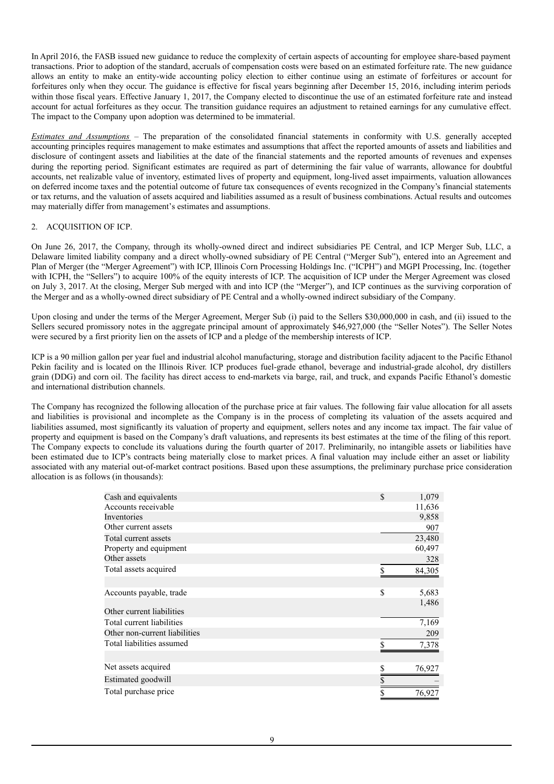In April 2016, the FASB issued new guidance to reduce the complexity of certain aspects of accounting for employee share-based payment transactions. Prior to adoption of the standard, accruals of compensation costs were based on an estimated forfeiture rate. The new guidance allows an entity to make an entity-wide accounting policy election to either continue using an estimate of forfeitures or account for forfeitures only when they occur. The guidance is effective for fiscal years beginning after December 15, 2016, including interim periods within those fiscal years. Effective January 1, 2017, the Company elected to discontinue the use of an estimated forfeiture rate and instead account for actual forfeitures as they occur. The transition guidance requires an adjustment to retained earnings for any cumulative effect. The impact to the Company upon adoption was determined to be immaterial.

*Estimates and Assumptions* – The preparation of the consolidated financial statements in conformity with U.S. generally accepted accounting principles requires management to make estimates and assumptions that affect the reported amounts of assets and liabilities and disclosure of contingent assets and liabilities at the date of the financial statements and the reported amounts of revenues and expenses during the reporting period. Significant estimates are required as part of determining the fair value of warrants, allowance for doubtful accounts, net realizable value of inventory, estimated lives of property and equipment, long-lived asset impairments, valuation allowances on deferred income taxes and the potential outcome of future tax consequences of events recognized in the Company's financial statements or tax returns, and the valuation of assets acquired and liabilities assumed as a result of business combinations. Actual results and outcomes may materially differ from management's estimates and assumptions.

# 2. ACQUISITION OF ICP.

On June 26, 2017, the Company, through its wholly-owned direct and indirect subsidiaries PE Central, and ICP Merger Sub, LLC, a Delaware limited liability company and a direct wholly-owned subsidiary of PE Central ("Merger Sub"), entered into an Agreement and Plan of Merger (the "Merger Agreement") with ICP, Illinois Corn Processing Holdings Inc. ("ICPH") and MGPI Processing, Inc. (together with ICPH, the "Sellers") to acquire 100% of the equity interests of ICP. The acquisition of ICP under the Merger Agreement was closed on July 3, 2017. At the closing, Merger Sub merged with and into ICP (the "Merger"), and ICP continues as the surviving corporation of the Merger and as a wholly-owned direct subsidiary of PE Central and a wholly-owned indirect subsidiary of the Company.

Upon closing and under the terms of the Merger Agreement, Merger Sub (i) paid to the Sellers \$30,000,000 in cash, and (ii) issued to the Sellers secured promissory notes in the aggregate principal amount of approximately \$46,927,000 (the "Seller Notes"). The Seller Notes were secured by a first priority lien on the assets of ICP and a pledge of the membership interests of ICP.

ICP is a 90 million gallon per year fuel and industrial alcohol manufacturing, storage and distribution facility adjacent to the Pacific Ethanol Pekin facility and is located on the Illinois River. ICP produces fuel-grade ethanol, beverage and industrial-grade alcohol, dry distillers grain (DDG) and corn oil. The facility has direct access to end-markets via barge, rail, and truck, and expands Pacific Ethanol's domestic and international distribution channels.

The Company has recognized the following allocation of the purchase price at fair values. The following fair value allocation for all assets and liabilities is provisional and incomplete as the Company is in the process of completing its valuation of the assets acquired and liabilities assumed, most significantly its valuation of property and equipment, sellers notes and any income tax impact. The fair value of property and equipment is based on the Company's draft valuations, and represents its best estimates at the time of the filing of this report. The Company expects to conclude its valuations during the fourth quarter of 2017. Preliminarily, no intangible assets or liabilities have been estimated due to ICP's contracts being materially close to market prices. A final valuation may include either an asset or liability associated with any material out-of-market contract positions. Based upon these assumptions, the preliminary purchase price consideration allocation is as follows (in thousands):

| Cash and equivalents          | \$<br>1,079  |
|-------------------------------|--------------|
| Accounts receivable           | 11,636       |
| Inventories                   | 9,858        |
| Other current assets          | 907          |
| Total current assets          | 23,480       |
| Property and equipment        | 60,497       |
| Other assets                  | 328          |
| Total assets acquired         | 84,305<br>\$ |
| Accounts payable, trade       | \$<br>5,683  |
| Other current liabilities     | 1,486        |
| Total current liabilities     | 7,169        |
| Other non-current liabilities | 209          |
| Total liabilities assumed     | 7,378        |
| Net assets acquired           | 76,927       |
| Estimated goodwill            | \$           |
| Total purchase price          | \$<br>76,927 |
|                               |              |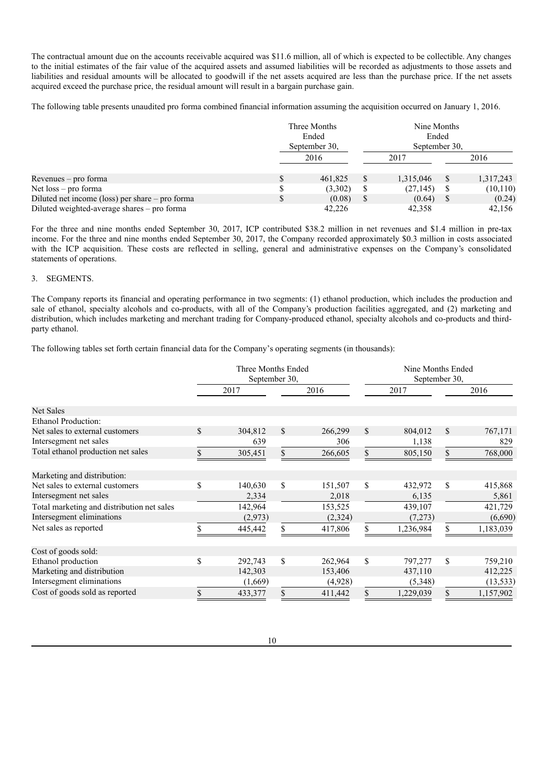The contractual amount due on the accounts receivable acquired was \$11.6 million, all of which is expected to be collectible. Any changes to the initial estimates of the fair value of the acquired assets and assumed liabilities will be recorded as adjustments to those assets and liabilities and residual amounts will be allocated to goodwill if the net assets acquired are less than the purchase price. If the net assets acquired exceed the purchase price, the residual amount will result in a bargain purchase gain.

The following table presents unaudited pro forma combined financial information assuming the acquisition occurred on January 1, 2016.

|                                                   | Three Months<br>Ended<br>September 30, | Nine Months<br>Ended<br>September 30. |           |              |           |
|---------------------------------------------------|----------------------------------------|---------------------------------------|-----------|--------------|-----------|
|                                                   | 2016                                   |                                       | 2017      |              | 2016      |
| Revenues – pro forma                              | \$<br>461,825                          |                                       | 1.315.046 | <sup>S</sup> | 1,317,243 |
| Net $loss - pro$ forma                            | (3,302)                                | S                                     | (27, 145) | S            | (10, 110) |
| Diluted net income (loss) per share $-$ pro forma | (0.08)                                 |                                       | (0.64)    |              | (0.24)    |
| Diluted weighted-average shares – pro forma       | 42.226                                 |                                       | 42.358    |              | 42.156    |

For the three and nine months ended September 30, 2017, ICP contributed \$38.2 million in net revenues and \$1.4 million in pre-tax income. For the three and nine months ended September 30, 2017, the Company recorded approximately \$0.3 million in costs associated with the ICP acquisition. These costs are reflected in selling, general and administrative expenses on the Company's consolidated statements of operations.

### 3. SEGMENTS.

The Company reports its financial and operating performance in two segments: (1) ethanol production, which includes the production and sale of ethanol, specialty alcohols and co-products, with all of the Company's production facilities aggregated, and (2) marketing and distribution, which includes marketing and merchant trading for Company-produced ethanol, specialty alcohols and co-products and thirdparty ethanol.

The following tables set forth certain financial data for the Company's operating segments (in thousands):

|                                            | Three Months Ended<br>September 30, |         |    |         |              | Nine Months Ended<br>September 30, |    |           |
|--------------------------------------------|-------------------------------------|---------|----|---------|--------------|------------------------------------|----|-----------|
|                                            |                                     | 2017    |    | 2016    |              | 2017                               |    | 2016      |
| <b>Net Sales</b>                           |                                     |         |    |         |              |                                    |    |           |
| Ethanol Production:                        |                                     |         |    |         |              |                                    |    |           |
| Net sales to external customers            | \$                                  | 304,812 | \$ | 266,299 | $\mathbb{S}$ | 804,012                            | \$ | 767,171   |
| Intersegment net sales                     |                                     | 639     |    | 306     |              | 1,138                              |    | 829       |
| Total ethanol production net sales         | SБ.                                 | 305,451 | S. | 266,605 | \$           | 805,150                            | S  | 768,000   |
| Marketing and distribution:                |                                     |         |    |         |              |                                    |    |           |
| Net sales to external customers            | \$                                  | 140,630 | \$ | 151,507 | \$           | 432,972                            | \$ | 415,868   |
| Intersegment net sales                     |                                     | 2,334   |    | 2,018   |              | 6,135                              |    | 5,861     |
| Total marketing and distribution net sales |                                     | 142,964 |    | 153,525 |              | 439,107                            |    | 421,729   |
| Intersegment eliminations                  |                                     | (2,973) |    | (2,324) |              | (7,273)                            |    | (6,690)   |
| Net sales as reported                      |                                     | 445,442 |    | 417,806 |              | 1,236,984                          | S  | 1,183,039 |
| Cost of goods sold:                        |                                     |         |    |         |              |                                    |    |           |
| Ethanol production                         | \$                                  | 292,743 | \$ | 262,964 | $\mathbb{S}$ | 797,277                            | \$ | 759,210   |
| Marketing and distribution                 |                                     | 142,303 |    | 153,406 |              | 437,110                            |    | 412,225   |
| Intersegment eliminations                  |                                     | (1,669) |    | (4,928) |              | (5,348)                            |    | (13, 533) |
| Cost of goods sold as reported             |                                     | 433,377 |    | 411,442 |              | 1,229,039                          | S  | 1,157,902 |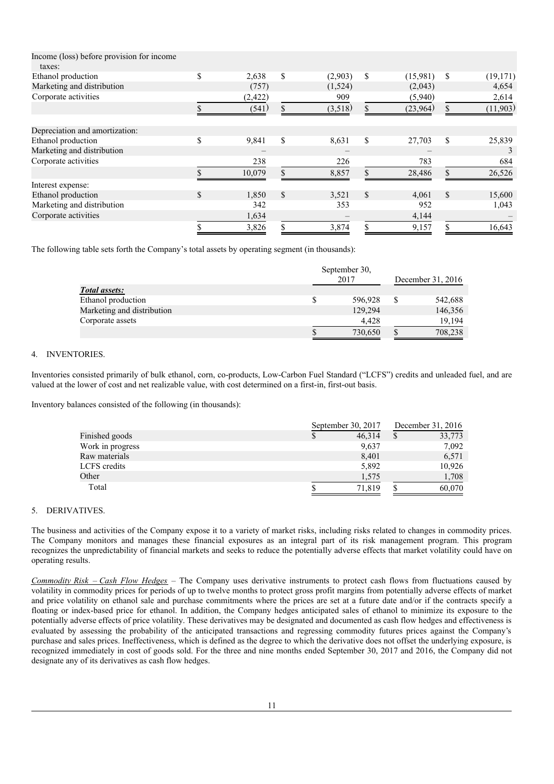| Income (loss) before provision for income<br>taxes: |             |              |         |               |          |                 |
|-----------------------------------------------------|-------------|--------------|---------|---------------|----------|-----------------|
| Ethanol production                                  | \$<br>2,638 | \$           | (2,903) | \$            | (15,981) | \$<br>(19, 171) |
| Marketing and distribution                          | (757)       |              | (1,524) |               | (2,043)  | 4,654           |
| Corporate activities                                | (2, 422)    |              | 909     |               | (5,940)  | 2,614           |
|                                                     | (541)       |              | (3,518) | $\mathcal{L}$ | (23,964) | (11,903)        |
| Depreciation and amortization:                      |             |              |         |               |          |                 |
| Ethanol production                                  | \$<br>9,841 | \$.          | 8,631   | \$            | 27,703   | \$<br>25,839    |
| Marketing and distribution                          |             |              |         |               |          | 3               |
| Corporate activities                                | 238         |              | 226     |               | 783      | 684             |
|                                                     | 10,079      |              | 8,857   |               | 28,486   | 26,526          |
| Interest expense:                                   |             |              |         |               |          |                 |
| Ethanol production                                  | \$<br>1,850 | $\mathbb{S}$ | 3,521   | \$            | 4,061    | \$<br>15,600    |
| Marketing and distribution                          | 342         |              | 353     |               | 952      | 1,043           |
| Corporate activities                                | 1,634       |              |         |               | 4,144    |                 |
|                                                     | 3,826       |              | 3,874   | \$            | 9,157    | 16,643          |

The following table sets forth the Company's total assets by operating segment (in thousands):

|                            | September 30, |                   |
|----------------------------|---------------|-------------------|
|                            | 2017          | December 31, 2016 |
| Total assets:              |               |                   |
| Ethanol production         | 596,928       | 542,688           |
| Marketing and distribution | 129,294       | 146,356           |
| Corporate assets           | 4.428         | 19,194            |
|                            | 730,650       | 708,238           |

# 4. INVENTORIES.

Inventories consisted primarily of bulk ethanol, corn, co-products, Low-Carbon Fuel Standard ("LCFS") credits and unleaded fuel, and are valued at the lower of cost and net realizable value, with cost determined on a first-in, first-out basis.

Inventory balances consisted of the following (in thousands):

|                  | September 30, 2017 |   | December 31, 2016 |
|------------------|--------------------|---|-------------------|
| Finished goods   | 46.314             | S | 33,773            |
| Work in progress | 9,637              |   | 7,092             |
| Raw materials    | 8,401              |   | 6,571             |
| LCFS credits     | 5,892              |   | 10,926            |
| Other            | 1,575              |   | 1,708             |
| Total            | 71.819             |   | 60,070            |

### 5. DERIVATIVES.

The business and activities of the Company expose it to a variety of market risks, including risks related to changes in commodity prices. The Company monitors and manages these financial exposures as an integral part of its risk management program. This program recognizes the unpredictability of financial markets and seeks to reduce the potentially adverse effects that market volatility could have on operating results.

*Commodity Risk* – *Cash Flow Hedges* – The Company uses derivative instruments to protect cash flows from fluctuations caused by volatility in commodity prices for periods of up to twelve months to protect gross profit margins from potentially adverse effects of market and price volatility on ethanol sale and purchase commitments where the prices are set at a future date and/or if the contracts specify a floating or index-based price for ethanol. In addition, the Company hedges anticipated sales of ethanol to minimize its exposure to the potentially adverse effects of price volatility. These derivatives may be designated and documented as cash flow hedges and effectiveness is evaluated by assessing the probability of the anticipated transactions and regressing commodity futures prices against the Company's purchase and sales prices. Ineffectiveness, which is defined as the degree to which the derivative does not offset the underlying exposure, is recognized immediately in cost of goods sold. For the three and nine months ended September 30, 2017 and 2016, the Company did not designate any of its derivatives as cash flow hedges.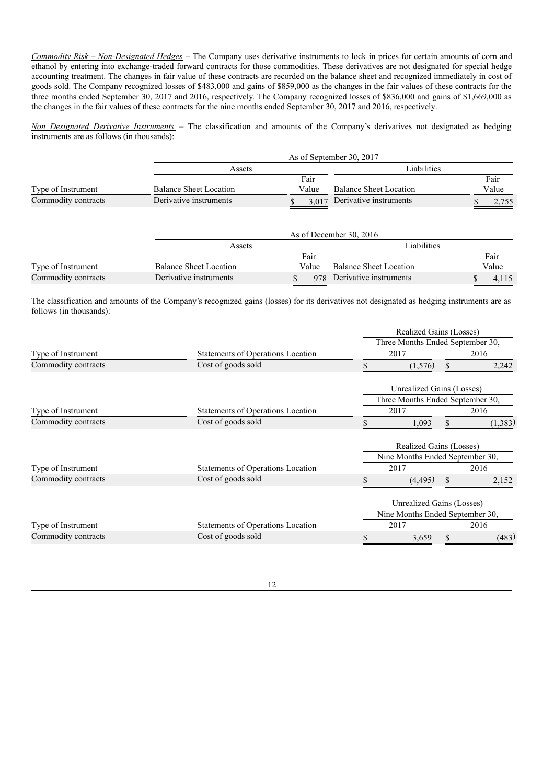*Commodity Risk – Non-Designated Hedges* – The Company uses derivative instruments to lock in prices for certain amounts of corn and ethanol by entering into exchange-traded forward contracts for those commodities. These derivatives are not designated for special hedge accounting treatment. The changes in fair value of these contracts are recorded on the balance sheet and recognized immediately in cost of goods sold. The Company recognized losses of \$483,000 and gains of \$859,000 as the changes in the fair values of these contracts for the three months ended September 30, 2017 and 2016, respectively. The Company recognized losses of \$836,000 and gains of \$1,669,000 as the changes in the fair values of these contracts for the nine months ended September 30, 2017 and 2016, respectively.

*Non Designated Derivative Instruments* – The classification and amounts of the Company's derivatives not designated as hedging instruments are as follows (in thousands):

|                     |                               | As of September 30, 2017 |                               |       |  |  |  |  |  |
|---------------------|-------------------------------|--------------------------|-------------------------------|-------|--|--|--|--|--|
|                     | Assets                        |                          | Liabilities                   |       |  |  |  |  |  |
|                     |                               | Fair                     |                               | Fair  |  |  |  |  |  |
| Type of Instrument  | <b>Balance Sheet Location</b> | Value                    | <b>Balance Sheet Location</b> | Value |  |  |  |  |  |
| Commodity contracts | Derivative instruments        | 3.017                    | Derivative instruments        |       |  |  |  |  |  |

|                     |                               | As of December 30, 2016 |       |                               |  |       |  |  |
|---------------------|-------------------------------|-------------------------|-------|-------------------------------|--|-------|--|--|
|                     | Assets                        |                         |       | Liabilities                   |  |       |  |  |
|                     |                               |                         | Fair  |                               |  | Fair  |  |  |
| Type of Instrument  | <b>Balance Sheet Location</b> |                         | Value | <b>Balance Sheet Location</b> |  | Value |  |  |
| Commodity contracts | Derivative instruments        |                         |       | 978 Derivative instruments    |  |       |  |  |

The classification and amounts of the Company's recognized gains (losses) for its derivatives not designated as hedging instruments are as follows (in thousands):

|                     |                                          |                                  | Realized Gains (Losses)          |    |         |  |  |
|---------------------|------------------------------------------|----------------------------------|----------------------------------|----|---------|--|--|
|                     |                                          | Three Months Ended September 30, |                                  |    |         |  |  |
| Type of Instrument  | <b>Statements of Operations Location</b> |                                  | 2017                             |    | 2016    |  |  |
| Commodity contracts | Cost of goods sold                       |                                  | (1,576)                          |    | 2,242   |  |  |
|                     |                                          |                                  | <b>Unrealized Gains (Losses)</b> |    |         |  |  |
|                     |                                          |                                  | Three Months Ended September 30, |    |         |  |  |
| Type of Instrument  | <b>Statements of Operations Location</b> |                                  | 2017                             |    | 2016    |  |  |
| Commodity contracts | Cost of goods sold                       |                                  | 1,093                            | \$ | (1,383) |  |  |
|                     |                                          |                                  | Realized Gains (Losses)          |    |         |  |  |
|                     |                                          |                                  | Nine Months Ended September 30,  |    |         |  |  |
| Type of Instrument  | Statements of Operations Location        |                                  | 2017                             |    | 2016    |  |  |
| Commodity contracts | Cost of goods sold                       |                                  | (4, 495)                         |    | 2,152   |  |  |
|                     |                                          |                                  | <b>Unrealized Gains (Losses)</b> |    |         |  |  |
|                     |                                          |                                  | Nine Months Ended September 30,  |    |         |  |  |
| Type of Instrument  | Statements of Operations Location        |                                  | 2017                             |    | 2016    |  |  |
| Commodity contracts | Cost of goods sold                       |                                  | 3,659                            |    | (483)   |  |  |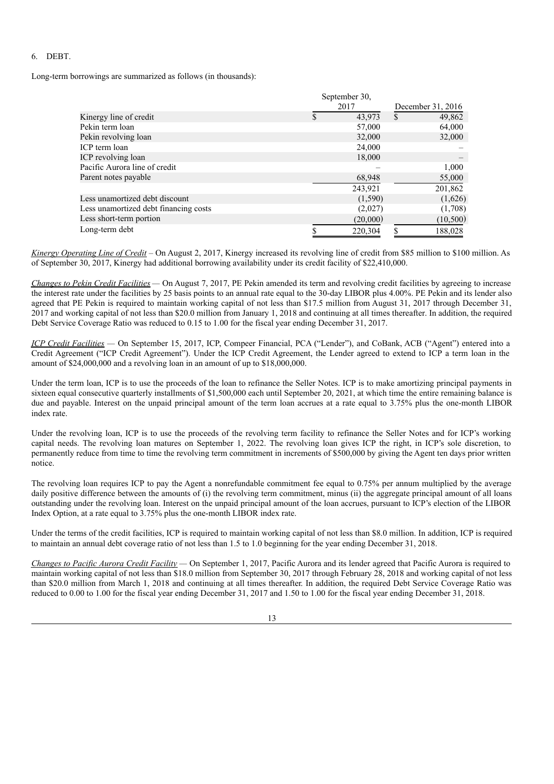# 6. DEBT.

Long-term borrowings are summarized as follows (in thousands):

|                                       |   | September 30, |                   |           |  |
|---------------------------------------|---|---------------|-------------------|-----------|--|
|                                       |   | 2017          | December 31, 2016 |           |  |
| Kinergy line of credit                | S | 43,973        | \$                | 49,862    |  |
| Pekin term loan                       |   | 57,000        |                   | 64,000    |  |
| Pekin revolving loan                  |   | 32,000        |                   | 32,000    |  |
| ICP term loan                         |   | 24,000        |                   |           |  |
| ICP revolving loan                    |   | 18,000        |                   |           |  |
| Pacific Aurora line of credit         |   |               |                   | 1,000     |  |
| Parent notes payable                  |   | 68,948        |                   | 55,000    |  |
|                                       |   | 243,921       |                   | 201,862   |  |
| Less unamortized debt discount        |   | (1,590)       |                   | (1,626)   |  |
| Less unamortized debt financing costs |   | (2,027)       |                   | (1,708)   |  |
| Less short-term portion               |   | (20,000)      |                   | (10, 500) |  |
| Long-term debt                        |   | 220,304       |                   | 188,028   |  |

*Kinergy Operating Line of Credit* – On August 2, 2017, Kinergy increased its revolving line of credit from \$85 million to \$100 million. As of September 30, 2017, Kinergy had additional borrowing availability under its credit facility of \$22,410,000.

*Changes to Pekin Credit Facilities —* On August 7, 2017, PE Pekin amended its term and revolving credit facilities by agreeing to increase the interest rate under the facilities by 25 basis points to an annual rate equal to the 30-day LIBOR plus 4.00%. PE Pekin and its lender also agreed that PE Pekin is required to maintain working capital of not less than \$17.5 million from August 31, 2017 through December 31, 2017 and working capital of not less than \$20.0 million from January 1, 2018 and continuing at all times thereafter. In addition, the required Debt Service Coverage Ratio was reduced to 0.15 to 1.00 for the fiscal year ending December 31, 2017.

*ICP Credit Facilities —* On September 15, 2017, ICP, Compeer Financial, PCA ("Lender"), and CoBank, ACB ("Agent") entered into a Credit Agreement ("ICP Credit Agreement"). Under the ICP Credit Agreement, the Lender agreed to extend to ICP a term loan in the amount of \$24,000,000 and a revolving loan in an amount of up to \$18,000,000.

Under the term loan, ICP is to use the proceeds of the loan to refinance the Seller Notes. ICP is to make amortizing principal payments in sixteen equal consecutive quarterly installments of \$1,500,000 each until September 20, 2021, at which time the entire remaining balance is due and payable. Interest on the unpaid principal amount of the term loan accrues at a rate equal to 3.75% plus the one-month LIBOR index rate.

Under the revolving loan, ICP is to use the proceeds of the revolving term facility to refinance the Seller Notes and for ICP's working capital needs. The revolving loan matures on September 1, 2022. The revolving loan gives ICP the right, in ICP's sole discretion, to permanently reduce from time to time the revolving term commitment in increments of \$500,000 by giving the Agent ten days prior written notice.

The revolving loan requires ICP to pay the Agent a nonrefundable commitment fee equal to 0.75% per annum multiplied by the average daily positive difference between the amounts of (i) the revolving term commitment, minus (ii) the aggregate principal amount of all loans outstanding under the revolving loan. Interest on the unpaid principal amount of the loan accrues, pursuant to ICP's election of the LIBOR Index Option, at a rate equal to 3.75% plus the one-month LIBOR index rate.

Under the terms of the credit facilities, ICP is required to maintain working capital of not less than \$8.0 million. In addition, ICP is required to maintain an annual debt coverage ratio of not less than 1.5 to 1.0 beginning for the year ending December 31, 2018.

*Changes to Pacific Aurora Credit Facility —* On September 1, 2017, Pacific Aurora and its lender agreed that Pacific Aurora is required to maintain working capital of not less than \$18.0 million from September 30, 2017 through February 28, 2018 and working capital of not less than \$20.0 million from March 1, 2018 and continuing at all times thereafter. In addition, the required Debt Service Coverage Ratio was reduced to 0.00 to 1.00 for the fiscal year ending December 31, 2017 and 1.50 to 1.00 for the fiscal year ending December 31, 2018.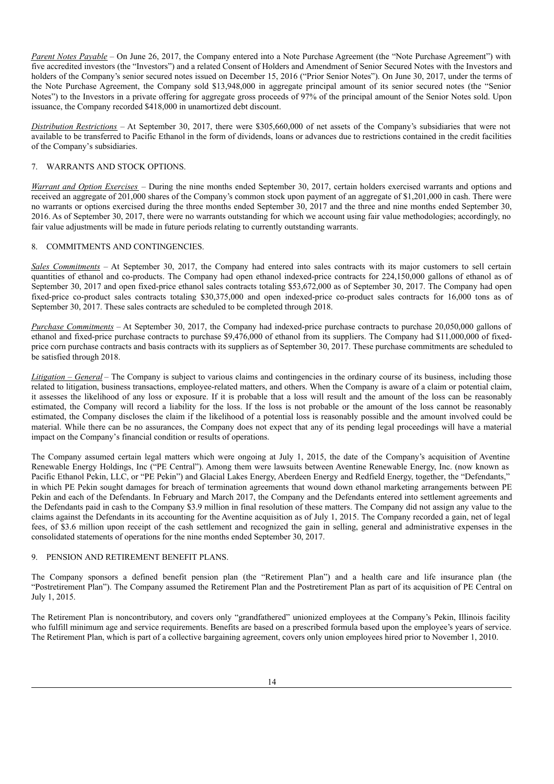*Parent Notes Payable* – On June 26, 2017, the Company entered into a Note Purchase Agreement (the "Note Purchase Agreement") with five accredited investors (the "Investors") and a related Consent of Holders and Amendment of Senior Secured Notes with the Investors and holders of the Company's senior secured notes issued on December 15, 2016 ("Prior Senior Notes"). On June 30, 2017, under the terms of the Note Purchase Agreement, the Company sold \$13,948,000 in aggregate principal amount of its senior secured notes (the "Senior Notes") to the Investors in a private offering for aggregate gross proceeds of 97% of the principal amount of the Senior Notes sold. Upon issuance, the Company recorded \$418,000 in unamortized debt discount.

*Distribution Restrictions* – At September 30, 2017, there were \$305,660,000 of net assets of the Company's subsidiaries that were not available to be transferred to Pacific Ethanol in the form of dividends, loans or advances due to restrictions contained in the credit facilities of the Company's subsidiaries.

## 7. WARRANTS AND STOCK OPTIONS.

*Warrant and Option Exercises* – During the nine months ended September 30, 2017, certain holders exercised warrants and options and received an aggregate of 201,000 shares of the Company's common stock upon payment of an aggregate of \$1,201,000 in cash. There were no warrants or options exercised during the three months ended September 30, 2017 and the three and nine months ended September 30, 2016. As of September 30, 2017, there were no warrants outstanding for which we account using fair value methodologies; accordingly, no fair value adjustments will be made in future periods relating to currently outstanding warrants.

# 8. COMMITMENTS AND CONTINGENCIES.

*Sales Commitments* – At September 30, 2017, the Company had entered into sales contracts with its major customers to sell certain quantities of ethanol and co-products. The Company had open ethanol indexed-price contracts for 224,150,000 gallons of ethanol as of September 30, 2017 and open fixed-price ethanol sales contracts totaling \$53,672,000 as of September 30, 2017. The Company had open fixed-price co-product sales contracts totaling \$30,375,000 and open indexed-price co-product sales contracts for 16,000 tons as of September 30, 2017. These sales contracts are scheduled to be completed through 2018.

*Purchase Commitments* – At September 30, 2017, the Company had indexed-price purchase contracts to purchase 20,050,000 gallons of ethanol and fixed-price purchase contracts to purchase \$9,476,000 of ethanol from its suppliers. The Company had \$11,000,000 of fixedprice corn purchase contracts and basis contracts with its suppliers as of September 30, 2017. These purchase commitments are scheduled to be satisfied through 2018.

*Litigation – General* – The Company is subject to various claims and contingencies in the ordinary course of its business, including those related to litigation, business transactions, employee-related matters, and others. When the Company is aware of a claim or potential claim, it assesses the likelihood of any loss or exposure. If it is probable that a loss will result and the amount of the loss can be reasonably estimated, the Company will record a liability for the loss. If the loss is not probable or the amount of the loss cannot be reasonably estimated, the Company discloses the claim if the likelihood of a potential loss is reasonably possible and the amount involved could be material. While there can be no assurances, the Company does not expect that any of its pending legal proceedings will have a material impact on the Company's financial condition or results of operations.

The Company assumed certain legal matters which were ongoing at July 1, 2015, the date of the Company's acquisition of Aventine Renewable Energy Holdings, Inc ("PE Central"). Among them were lawsuits between Aventine Renewable Energy, Inc. (now known as Pacific Ethanol Pekin, LLC, or "PE Pekin") and Glacial Lakes Energy, Aberdeen Energy and Redfield Energy, together, the "Defendants," in which PE Pekin sought damages for breach of termination agreements that wound down ethanol marketing arrangements between PE Pekin and each of the Defendants. In February and March 2017, the Company and the Defendants entered into settlement agreements and the Defendants paid in cash to the Company \$3.9 million in final resolution of these matters. The Company did not assign any value to the claims against the Defendants in its accounting for the Aventine acquisition as of July 1, 2015. The Company recorded a gain, net of legal fees, of \$3.6 million upon receipt of the cash settlement and recognized the gain in selling, general and administrative expenses in the consolidated statements of operations for the nine months ended September 30, 2017.

# 9. PENSION AND RETIREMENT BENEFIT PLANS.

The Company sponsors a defined benefit pension plan (the "Retirement Plan") and a health care and life insurance plan (the "Postretirement Plan"). The Company assumed the Retirement Plan and the Postretirement Plan as part of its acquisition of PE Central on July 1, 2015.

The Retirement Plan is noncontributory, and covers only "grandfathered" unionized employees at the Company's Pekin, Illinois facility who fulfill minimum age and service requirements. Benefits are based on a prescribed formula based upon the employee's years of service. The Retirement Plan, which is part of a collective bargaining agreement, covers only union employees hired prior to November 1, 2010.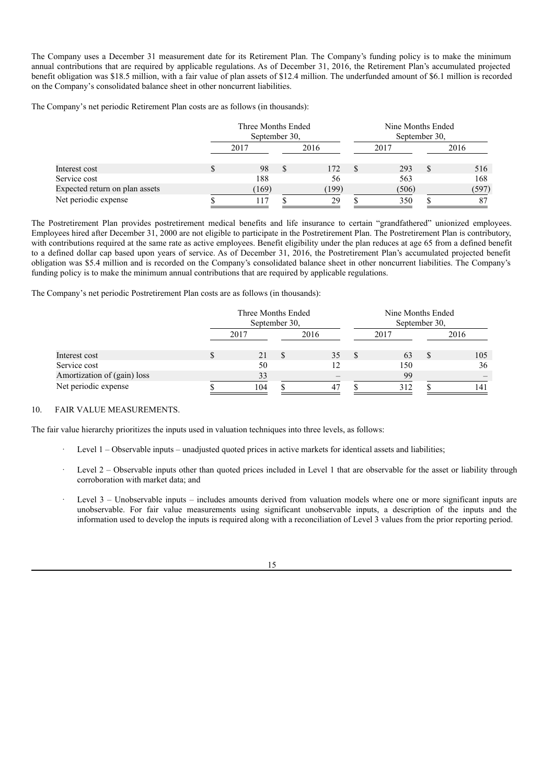The Company uses a December 31 measurement date for its Retirement Plan. The Company's funding policy is to make the minimum annual contributions that are required by applicable regulations. As of December 31, 2016, the Retirement Plan's accumulated projected benefit obligation was \$18.5 million, with a fair value of plan assets of \$12.4 million. The underfunded amount of \$6.1 million is recorded on the Company's consolidated balance sheet in other noncurrent liabilities.

The Company's net periodic Retirement Plan costs are as follows (in thousands):

|                                |      | Three Months Ended<br>September 30, |          |       | Nine Months Ended<br>September 30. |       |      |       |
|--------------------------------|------|-------------------------------------|----------|-------|------------------------------------|-------|------|-------|
|                                | 2017 |                                     | 2016     |       | 2017                               |       | 2016 |       |
| Interest cost                  |      | 98                                  | <b>S</b> | 172   |                                    | 293   | \$.  | 516   |
| Service cost                   |      | 188                                 |          | 56    |                                    | 563   |      | 168   |
| Expected return on plan assets |      | 169)                                |          | (199) |                                    | (506) |      | (597) |
| Net periodic expense           |      |                                     |          | 29    |                                    | 350   |      | 87    |

The Postretirement Plan provides postretirement medical benefits and life insurance to certain "grandfathered" unionized employees. Employees hired after December 31, 2000 are not eligible to participate in the Postretirement Plan. The Postretirement Plan is contributory, with contributions required at the same rate as active employees. Benefit eligibility under the plan reduces at age 65 from a defined benefit to a defined dollar cap based upon years of service. As of December 31, 2016, the Postretirement Plan's accumulated projected benefit obligation was \$5.4 million and is recorded on the Company's consolidated balance sheet in other noncurrent liabilities. The Company's funding policy is to make the minimum annual contributions that are required by applicable regulations.

The Company's net periodic Postretirement Plan costs are as follows (in thousands):

|                             | Three Months Ended<br>September 30, |      |          |      | Nine Months Ended<br>September 30. |      |    |      |
|-----------------------------|-------------------------------------|------|----------|------|------------------------------------|------|----|------|
|                             |                                     | 2017 |          | 2016 |                                    | 2017 |    | 2016 |
| Interest cost               |                                     | 21   | <b>S</b> | 35   |                                    | 63   | -S | 105  |
| Service cost                |                                     | 50   |          | 12   |                                    | 150  |    | 36   |
| Amortization of (gain) loss |                                     | 33   |          |      |                                    | 99   |    |      |
| Net periodic expense        |                                     | 104  |          | 47   |                                    | 312  |    | 141  |

#### 10. FAIR VALUE MEASUREMENTS.

The fair value hierarchy prioritizes the inputs used in valuation techniques into three levels, as follows:

- Level 1 Observable inputs unadjusted quoted prices in active markets for identical assets and liabilities;
- Level 2 Observable inputs other than quoted prices included in Level 1 that are observable for the asset or liability through corroboration with market data; and
- Level 3 Unobservable inputs includes amounts derived from valuation models where one or more significant inputs are unobservable. For fair value measurements using significant unobservable inputs, a description of the inputs and the information used to develop the inputs is required along with a reconciliation of Level 3 values from the prior reporting period.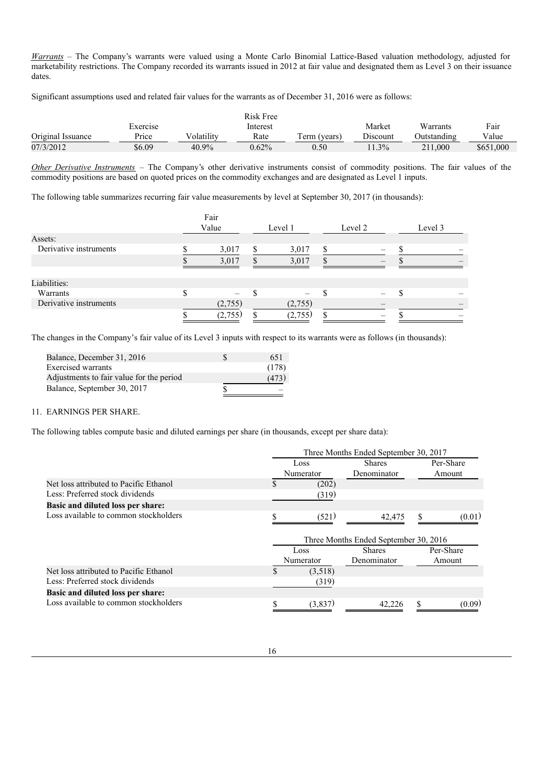*Warrants* – The Company's warrants were valued using a Monte Carlo Binomial Lattice-Based valuation methodology, adjusted for marketability restrictions. The Company recorded its warrants issued in 2012 at fair value and designated them as Level 3 on their issuance dates.

Significant assumptions used and related fair values for the warrants as of December 31, 2016 were as follows:

|                   |          |            | Risk Free |               |          |             |           |
|-------------------|----------|------------|-----------|---------------|----------|-------------|-----------|
|                   | Exercise |            | Interest  |               | Market   | Warrants    | Fair      |
| Original Issuance | $P$ rice | Volatilitv | Rate      | l'erm (vears) | Discount | Outstanding | Value     |
| 07/3/2012         | \$6.09   | 40.9%      | $0.62\%$  | 0.50          | $11.3\%$ | 211,000     | \$651,000 |

*Other Derivative Instruments* – The Company's other derivative instruments consist of commodity positions. The fair values of the commodity positions are based on quoted prices on the commodity exchanges and are designated as Level 1 inputs.

The following table summarizes recurring fair value measurements by level at September 30, 2017 (in thousands):

|                        |          | Fair    |    |         |     |         |         |
|------------------------|----------|---------|----|---------|-----|---------|---------|
|                        |          | Value   |    | Level 1 |     | Level 2 | Level 3 |
| Assets:                |          |         |    |         |     |         |         |
| Derivative instruments |          | 3,017   |    | 3,017   | \$  |         |         |
|                        |          | 3,017   |    | 3,017   |     |         |         |
| Liabilities:           |          |         |    |         |     |         |         |
| Warrants               | ¢<br>۰D. |         | ٠Β |         | ۰D. |         |         |
| Derivative instruments |          | (2,755) |    | (2,755) |     |         |         |
|                        |          | (2,755) |    | (2,755) |     |         |         |

The changes in the Company's fair value of its Level 3 inputs with respect to its warrants were as follows (in thousands):

| Balance, December 31, 2016               | 651   |
|------------------------------------------|-------|
| Exercised warrants                       | (178) |
| Adjustments to fair value for the period | (473) |
| Balance, September 30, 2017              |       |

# 11. EARNINGS PER SHARE.

The following tables compute basic and diluted earnings per share (in thousands, except per share data):

|                                        | Three Months Ended September 30, 2017 |                       |                                       |    |           |  |
|----------------------------------------|---------------------------------------|-----------------------|---------------------------------------|----|-----------|--|
|                                        |                                       | <b>Shares</b><br>Loss |                                       |    | Per-Share |  |
|                                        |                                       | Numerator             | Denominator                           |    | Amount    |  |
| Net loss attributed to Pacific Ethanol | \$                                    | (202)                 |                                       |    |           |  |
| Less: Preferred stock dividends        |                                       | (319)                 |                                       |    |           |  |
| Basic and diluted loss per share:      |                                       |                       |                                       |    |           |  |
| Loss available to common stockholders  |                                       | (521)                 | 42,475                                | \$ | (0.01)    |  |
|                                        |                                       |                       |                                       |    |           |  |
|                                        |                                       |                       | Three Months Ended September 30, 2016 |    |           |  |
|                                        |                                       | Loss                  | <b>Shares</b>                         |    | Per-Share |  |
|                                        |                                       | Numerator             | Denominator                           |    | Amount    |  |
| Net loss attributed to Pacific Ethanol |                                       | (3,518)               |                                       |    |           |  |
| Less: Preferred stock dividends        |                                       | (319)                 |                                       |    |           |  |
| Basic and diluted loss per share:      |                                       |                       |                                       |    |           |  |
| Loss available to common stockholders  |                                       | (3,837)               | 42.226                                |    | (0.09)    |  |
|                                        |                                       |                       |                                       |    |           |  |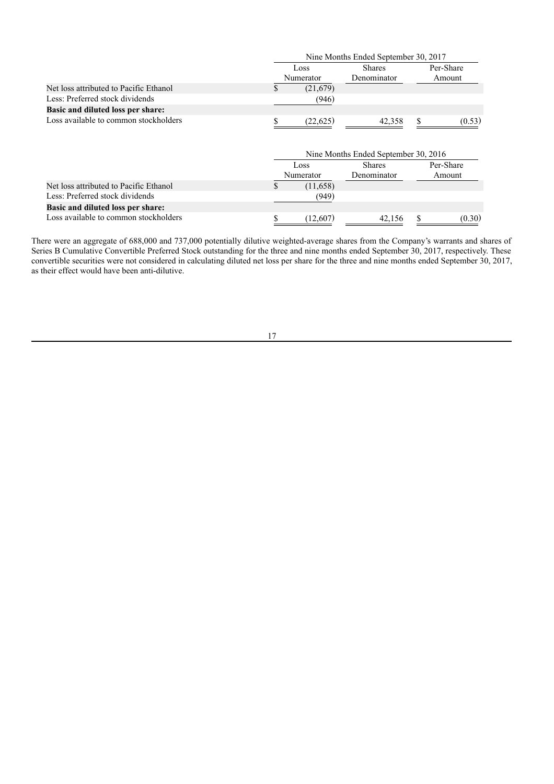|                                          |    | Nine Months Ended September 30, 2017 |                                      |    |                     |  |  |
|------------------------------------------|----|--------------------------------------|--------------------------------------|----|---------------------|--|--|
|                                          |    | Loss<br>Numerator                    | <b>Shares</b><br>Denominator         |    | Per-Share<br>Amount |  |  |
| Net loss attributed to Pacific Ethanol   | \$ | (21,679)                             |                                      |    |                     |  |  |
| Less: Preferred stock dividends          |    | (946)                                |                                      |    |                     |  |  |
| <b>Basic and diluted loss per share:</b> |    |                                      |                                      |    |                     |  |  |
| Loss available to common stockholders    |    | (22,625)                             | 42,358                               | \$ | (0.53)              |  |  |
|                                          |    |                                      | Nine Months Ended September 30, 2016 |    |                     |  |  |
|                                          |    | Loss                                 | <b>Shares</b>                        |    | Per-Share           |  |  |
|                                          |    | Numerator                            | Denominator                          |    | Amount              |  |  |
| Net loss attributed to Pacific Ethanol   | S. | (11,658)                             |                                      |    |                     |  |  |
| Less: Preferred stock dividends          |    | (949)                                |                                      |    |                     |  |  |
| <b>Basic and diluted loss per share:</b> |    |                                      |                                      |    |                     |  |  |
| Loss available to common stockholders    | \$ | (12,607)                             | 42,156                               | \$ | (0.30)              |  |  |

There were an aggregate of 688,000 and 737,000 potentially dilutive weighted-average shares from the Company's warrants and shares of Series B Cumulative Convertible Preferred Stock outstanding for the three and nine months ended September 30, 2017, respectively. These convertible securities were not considered in calculating diluted net loss per share for the three and nine months ended September 30, 2017, as their effect would have been anti-dilutive.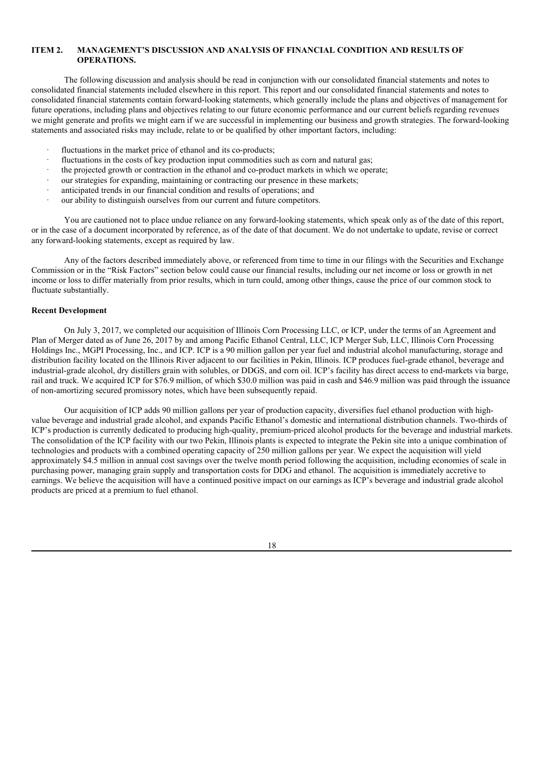# **ITEM 2. MANAGEMENT'S DISCUSSION AND ANALYSIS OF FINANCIAL CONDITION AND RESULTS OF OPERATIONS.**

The following discussion and analysis should be read in conjunction with our consolidated financial statements and notes to consolidated financial statements included elsewhere in this report. This report and our consolidated financial statements and notes to consolidated financial statements contain forward-looking statements, which generally include the plans and objectives of management for future operations, including plans and objectives relating to our future economic performance and our current beliefs regarding revenues we might generate and profits we might earn if we are successful in implementing our business and growth strategies. The forward-looking statements and associated risks may include, relate to or be qualified by other important factors, including:

- fluctuations in the market price of ethanol and its co-products;
- fluctuations in the costs of key production input commodities such as corn and natural gas:
- · the projected growth or contraction in the ethanol and co-product markets in which we operate;
- our strategies for expanding, maintaining or contracting our presence in these markets;
- anticipated trends in our financial condition and results of operations; and
- our ability to distinguish ourselves from our current and future competitors.

You are cautioned not to place undue reliance on any forward-looking statements, which speak only as of the date of this report, or in the case of a document incorporated by reference, as of the date of that document. We do not undertake to update, revise or correct any forward-looking statements, except as required by law.

Any of the factors described immediately above, or referenced from time to time in our filings with the Securities and Exchange Commission or in the "Risk Factors" section below could cause our financial results, including our net income or loss or growth in net income or loss to differ materially from prior results, which in turn could, among other things, cause the price of our common stock to fluctuate substantially.

### **Recent Development**

On July 3, 2017, we completed our acquisition of Illinois Corn Processing LLC, or ICP, under the terms of an Agreement and Plan of Merger dated as of June 26, 2017 by and among Pacific Ethanol Central, LLC, ICP Merger Sub, LLC, Illinois Corn Processing Holdings Inc., MGPI Processing, Inc., and ICP. ICP is a 90 million gallon per year fuel and industrial alcohol manufacturing, storage and distribution facility located on the Illinois River adjacent to our facilities in Pekin, Illinois. ICP produces fuel-grade ethanol, beverage and industrial-grade alcohol, dry distillers grain with solubles, or DDGS, and corn oil. ICP's facility has direct access to end-markets via barge, rail and truck. We acquired ICP for \$76.9 million, of which \$30.0 million was paid in cash and \$46.9 million was paid through the issuance of non-amortizing secured promissory notes, which have been subsequently repaid.

Our acquisition of ICP adds 90 million gallons per year of production capacity, diversifies fuel ethanol production with highvalue beverage and industrial grade alcohol, and expands Pacific Ethanol's domestic and international distribution channels. Two-thirds of ICP's production is currently dedicated to producing high-quality, premium-priced alcohol products for the beverage and industrial markets. The consolidation of the ICP facility with our two Pekin, Illinois plants is expected to integrate the Pekin site into a unique combination of technologies and products with a combined operating capacity of 250 million gallons per year. We expect the acquisition will yield approximately \$4.5 million in annual cost savings over the twelve month period following the acquisition, including economies of scale in purchasing power, managing grain supply and transportation costs for DDG and ethanol. The acquisition is immediately accretive to earnings. We believe the acquisition will have a continued positive impact on our earnings as ICP's beverage and industrial grade alcohol products are priced at a premium to fuel ethanol.

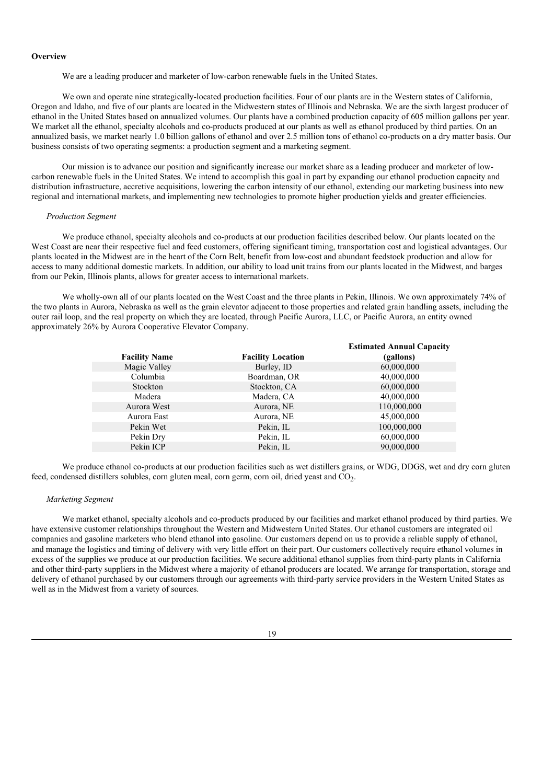#### **Overview**

We are a leading producer and marketer of low-carbon renewable fuels in the United States.

We own and operate nine strategically-located production facilities. Four of our plants are in the Western states of California, Oregon and Idaho, and five of our plants are located in the Midwestern states of Illinois and Nebraska. We are the sixth largest producer of ethanol in the United States based on annualized volumes. Our plants have a combined production capacity of 605 million gallons per year. We market all the ethanol, specialty alcohols and co-products produced at our plants as well as ethanol produced by third parties. On an annualized basis, we market nearly 1.0 billion gallons of ethanol and over 2.5 million tons of ethanol co-products on a dry matter basis. Our business consists of two operating segments: a production segment and a marketing segment.

Our mission is to advance our position and significantly increase our market share as a leading producer and marketer of lowcarbon renewable fuels in the United States. We intend to accomplish this goal in part by expanding our ethanol production capacity and distribution infrastructure, accretive acquisitions, lowering the carbon intensity of our ethanol, extending our marketing business into new regional and international markets, and implementing new technologies to promote higher production yields and greater efficiencies.

#### *Production Segment*

We produce ethanol, specialty alcohols and co-products at our production facilities described below. Our plants located on the West Coast are near their respective fuel and feed customers, offering significant timing, transportation cost and logistical advantages. Our plants located in the Midwest are in the heart of the Corn Belt, benefit from low-cost and abundant feedstock production and allow for access to many additional domestic markets. In addition, our ability to load unit trains from our plants located in the Midwest, and barges from our Pekin, Illinois plants, allows for greater access to international markets.

We wholly-own all of our plants located on the West Coast and the three plants in Pekin, Illinois. We own approximately 74% of the two plants in Aurora, Nebraska as well as the grain elevator adjacent to those properties and related grain handling assets, including the outer rail loop, and the real property on which they are located, through Pacific Aurora, LLC, or Pacific Aurora, an entity owned approximately 26% by Aurora Cooperative Elevator Company.

| <b>Facility Name</b> | <b>Facility Location</b> | <b>Estimated Annual Capacity</b><br>(gallons) |
|----------------------|--------------------------|-----------------------------------------------|
| Magic Valley         | Burley, ID               | 60,000,000                                    |
| Columbia             | Boardman, OR             | 40,000,000                                    |
| Stockton             | Stockton, CA             | 60,000,000                                    |
| Madera               | Madera, CA               | 40,000,000                                    |
| Aurora West          | Aurora, NE               | 110,000,000                                   |
| Aurora East          | Aurora, NE               | 45,000,000                                    |
| Pekin Wet            | Pekin, IL                | 100,000,000                                   |
| Pekin Dry            | Pekin, IL                | 60,000,000                                    |
| Pekin ICP            | Pekin, IL                | 90,000,000                                    |

We produce ethanol co-products at our production facilities such as wet distillers grains, or WDG, DDGS, wet and dry corn gluten feed, condensed distillers solubles, corn gluten meal, corn germ, corn oil, dried yeast and CO<sub>2</sub>.

### *Marketing Segment*

We market ethanol, specialty alcohols and co-products produced by our facilities and market ethanol produced by third parties. We have extensive customer relationships throughout the Western and Midwestern United States. Our ethanol customers are integrated oil companies and gasoline marketers who blend ethanol into gasoline. Our customers depend on us to provide a reliable supply of ethanol, and manage the logistics and timing of delivery with very little effort on their part. Our customers collectively require ethanol volumes in excess of the supplies we produce at our production facilities. We secure additional ethanol supplies from third-party plants in California and other third-party suppliers in the Midwest where a majority of ethanol producers are located. We arrange for transportation, storage and delivery of ethanol purchased by our customers through our agreements with third-party service providers in the Western United States as well as in the Midwest from a variety of sources.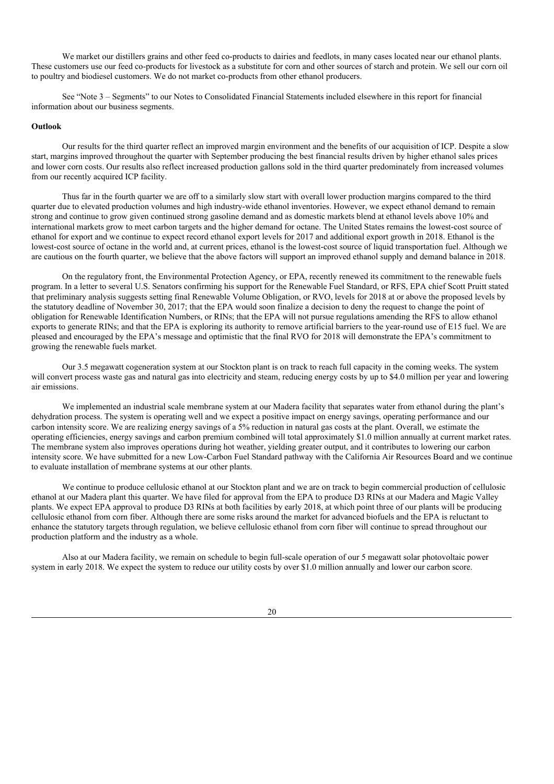We market our distillers grains and other feed co-products to dairies and feedlots, in many cases located near our ethanol plants. These customers use our feed co-products for livestock as a substitute for corn and other sources of starch and protein. We sell our corn oil to poultry and biodiesel customers. We do not market co-products from other ethanol producers.

See "Note 3 – Segments" to our Notes to Consolidated Financial Statements included elsewhere in this report for financial information about our business segments.

### **Outlook**

Our results for the third quarter reflect an improved margin environment and the benefits of our acquisition of ICP. Despite a slow start, margins improved throughout the quarter with September producing the best financial results driven by higher ethanol sales prices and lower corn costs. Our results also reflect increased production gallons sold in the third quarter predominately from increased volumes from our recently acquired ICP facility.

Thus far in the fourth quarter we are off to a similarly slow start with overall lower production margins compared to the third quarter due to elevated production volumes and high industry-wide ethanol inventories. However, we expect ethanol demand to remain strong and continue to grow given continued strong gasoline demand and as domestic markets blend at ethanol levels above 10% and international markets grow to meet carbon targets and the higher demand for octane. The United States remains the lowest-cost source of ethanol for export and we continue to expect record ethanol export levels for 2017 and additional export growth in 2018. Ethanol is the lowest-cost source of octane in the world and, at current prices, ethanol is the lowest-cost source of liquid transportation fuel. Although we are cautious on the fourth quarter, we believe that the above factors will support an improved ethanol supply and demand balance in 2018.

On the regulatory front, the Environmental Protection Agency, or EPA, recently renewed its commitment to the renewable fuels program. In a letter to several U.S. Senators confirming his support for the Renewable Fuel Standard, or RFS, EPA chief Scott Pruitt stated that preliminary analysis suggests setting final Renewable Volume Obligation, or RVO, levels for 2018 at or above the proposed levels by the statutory deadline of November 30, 2017; that the EPA would soon finalize a decision to deny the request to change the point of obligation for Renewable Identification Numbers, or RINs; that the EPA will not pursue regulations amending the RFS to allow ethanol exports to generate RINs; and that the EPA is exploring its authority to remove artificial barriers to the year-round use of E15 fuel. We are pleased and encouraged by the EPA's message and optimistic that the final RVO for 2018 will demonstrate the EPA's commitment to growing the renewable fuels market.

Our 3.5 megawatt cogeneration system at our Stockton plant is on track to reach full capacity in the coming weeks. The system will convert process waste gas and natural gas into electricity and steam, reducing energy costs by up to \$4.0 million per year and lowering air emissions.

We implemented an industrial scale membrane system at our Madera facility that separates water from ethanol during the plant's dehydration process. The system is operating well and we expect a positive impact on energy savings, operating performance and our carbon intensity score. We are realizing energy savings of a 5% reduction in natural gas costs at the plant. Overall, we estimate the operating efficiencies, energy savings and carbon premium combined will total approximately \$1.0 million annually at current market rates. The membrane system also improves operations during hot weather, yielding greater output, and it contributes to lowering our carbon intensity score. We have submitted for a new Low-Carbon Fuel Standard pathway with the California Air Resources Board and we continue to evaluate installation of membrane systems at our other plants.

We continue to produce cellulosic ethanol at our Stockton plant and we are on track to begin commercial production of cellulosic ethanol at our Madera plant this quarter. We have filed for approval from the EPA to produce D3 RINs at our Madera and Magic Valley plants. We expect EPA approval to produce D3 RINs at both facilities by early 2018, at which point three of our plants will be producing cellulosic ethanol from corn fiber. Although there are some risks around the market for advanced biofuels and the EPA is reluctant to enhance the statutory targets through regulation, we believe cellulosic ethanol from corn fiber will continue to spread throughout our production platform and the industry as a whole.

Also at our Madera facility, we remain on schedule to begin full-scale operation of our 5 megawatt solar photovoltaic power system in early 2018. We expect the system to reduce our utility costs by over \$1.0 million annually and lower our carbon score.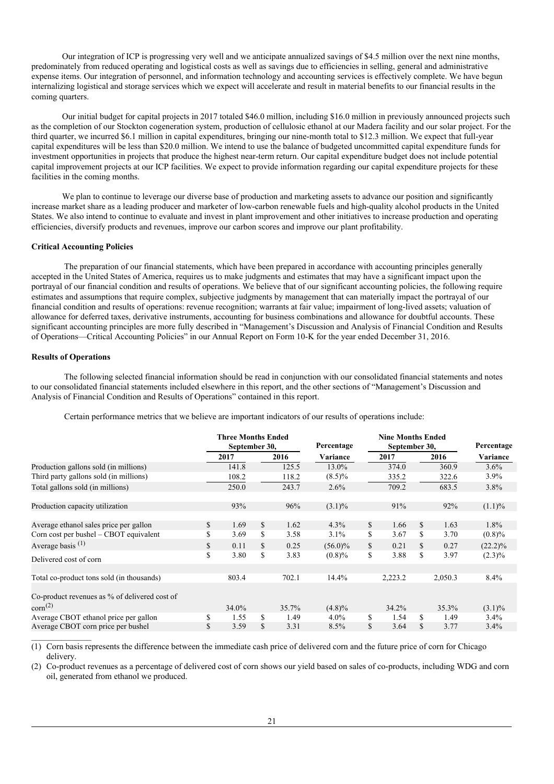Our integration of ICP is progressing very well and we anticipate annualized savings of \$4.5 million over the next nine months, predominately from reduced operating and logistical costs as well as savings due to efficiencies in selling, general and administrative expense items. Our integration of personnel, and information technology and accounting services is effectively complete. We have begun internalizing logistical and storage services which we expect will accelerate and result in material benefits to our financial results in the coming quarters.

Our initial budget for capital projects in 2017 totaled \$46.0 million, including \$16.0 million in previously announced projects such as the completion of our Stockton cogeneration system, production of cellulosic ethanol at our Madera facility and our solar project. For the third quarter, we incurred \$6.1 million in capital expenditures, bringing our nine-month total to \$12.3 million. We expect that full-year capital expenditures will be less than \$20.0 million. We intend to use the balance of budgeted uncommitted capital expenditure funds for investment opportunities in projects that produce the highest near-term return. Our capital expenditure budget does not include potential capital improvement projects at our ICP facilities. We expect to provide information regarding our capital expenditure projects for these facilities in the coming months.

We plan to continue to leverage our diverse base of production and marketing assets to advance our position and significantly increase market share as a leading producer and marketer of low-carbon renewable fuels and high-quality alcohol products in the United States. We also intend to continue to evaluate and invest in plant improvement and other initiatives to increase production and operating efficiencies, diversify products and revenues, improve our carbon scores and improve our plant profitability.

### **Critical Accounting Policies**

The preparation of our financial statements, which have been prepared in accordance with accounting principles generally accepted in the United States of America, requires us to make judgments and estimates that may have a significant impact upon the portrayal of our financial condition and results of operations. We believe that of our significant accounting policies, the following require estimates and assumptions that require complex, subjective judgments by management that can materially impact the portrayal of our financial condition and results of operations: revenue recognition; warrants at fair value; impairment of long-lived assets; valuation of allowance for deferred taxes, derivative instruments, accounting for business combinations and allowance for doubtful accounts. These significant accounting principles are more fully described in "Management's Discussion and Analysis of Financial Condition and Results of Operations—Critical Accounting Policies" in our Annual Report on Form 10-K for the year ended December 31, 2016.

### **Results of Operations**

The following selected financial information should be read in conjunction with our consolidated financial statements and notes to our consolidated financial statements included elsewhere in this report, and the other sections of "Management's Discussion and Analysis of Financial Condition and Results of Operations" contained in this report.

| Certain performance metrics that we believe are important indicators of our results of operations include: |
|------------------------------------------------------------------------------------------------------------|
|                                                                                                            |

|                                               |               | <b>Three Months Ended</b><br>September 30, |              |       | Percentage | <b>Nine Months Ended</b><br>September 30, | Percentage |         |            |
|-----------------------------------------------|---------------|--------------------------------------------|--------------|-------|------------|-------------------------------------------|------------|---------|------------|
|                                               |               | 2017                                       |              | 2016  | Variance   | 2017                                      |            | 2016    | Variance   |
| Production gallons sold (in millions)         |               | 141.8                                      |              | 125.5 | 13.0%      | 374.0                                     |            | 360.9   | $3.6\%$    |
| Third party gallons sold (in millions)        |               | 108.2                                      |              | 118.2 | $(8.5)\%$  | 335.2                                     |            | 322.6   | $3.9\%$    |
| Total gallons sold (in millions)              |               | 250.0                                      |              | 243.7 | $2.6\%$    | 709.2                                     |            | 683.5   | 3.8%       |
| Production capacity utilization               |               | 93%                                        |              | 96%   | $(3.1)\%$  | 91%                                       |            | 92%     | $(1.1)\%$  |
| Average ethanol sales price per gallon        | <sup>\$</sup> | 1.69                                       | \$           | 1.62  | $4.3\%$    | \$<br>1.66                                | \$         | 1.63    | $1.8\%$    |
| Corn cost per bushel $-$ CBOT equivalent      | \$            | 3.69                                       | \$           | 3.58  | $3.1\%$    | \$<br>3.67                                | \$         | 3.70    | $(0.8)\%$  |
| Average basis $(1)$                           | \$            | 0.11                                       | \$           | 0.25  | $(56.0)\%$ | \$<br>0.21                                | \$         | 0.27    | $(22.2)\%$ |
| Delivered cost of corn                        | \$            | 3.80                                       | \$           | 3.83  | $(0.8)\%$  | \$<br>3.88                                | \$         | 3.97    | $(2.3)\%$  |
|                                               |               |                                            |              |       |            |                                           |            |         |            |
| Total co-product tons sold (in thousands)     |               | 803.4                                      |              | 702.1 | 14.4%      | 2,223.2                                   |            | 2,050.3 | 8.4%       |
| Co-product revenues as % of delivered cost of |               |                                            |              |       |            |                                           |            |         |            |
| $\text{corn}^{(2)}$                           |               | $34.0\%$                                   |              | 35.7% | $(4.8)\%$  | $34.2\%$                                  |            | 35.3%   | $(3.1)\%$  |
| Average CBOT ethanol price per gallon         | \$            | 1.55                                       | \$           | 1.49  | $4.0\%$    | \$<br>1.54                                | S          | 1.49    | 3.4%       |
| Average CBOT corn price per bushel            | \$            | 3.59                                       | $\mathbb{S}$ | 3.31  | 8.5%       | \$<br>3.64                                | \$         | 3.77    | 3.4%       |

(1) Corn basis represents the difference between the immediate cash price of delivered corn and the future price of corn for Chicago delivery.

(2) Co-product revenues as a percentage of delivered cost of corn shows our yield based on sales of co-products, including WDG and corn oil, generated from ethanol we produced.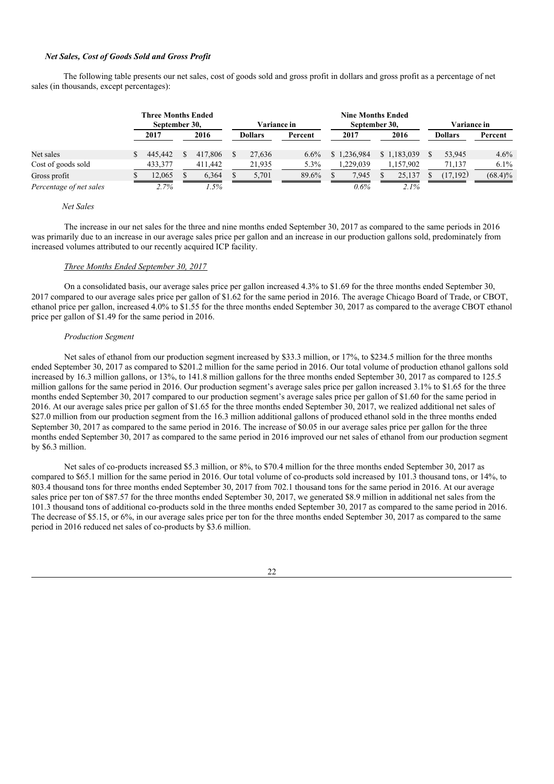### *Net Sales, Cost of Goods Sold and Gross Profit*

The following table presents our net sales, cost of goods sold and gross profit in dollars and gross profit as a percentage of net sales (in thousands, except percentages):

|                         | <b>Three Months Ended</b><br>September 30, |         |      |         |                | <b>Variance in</b> |         |      |             | <b>Nine Months Ended</b><br>September 30, |             |                |          | Variance in |  |  |
|-------------------------|--------------------------------------------|---------|------|---------|----------------|--------------------|---------|------|-------------|-------------------------------------------|-------------|----------------|----------|-------------|--|--|
|                         |                                            | 2017    | 2016 |         | <b>Dollars</b> |                    | Percent | 2017 |             | 2016                                      |             | <b>Dollars</b> |          | Percent     |  |  |
| Net sales               |                                            | 445,442 |      | 417,806 |                | 27.636             | 6.6%    |      | \$1.236,984 |                                           | \$1.183,039 |                | 53.945   | 4.6%        |  |  |
| Cost of goods sold      |                                            | 433.377 |      | 411.442 |                | 21,935             | 5.3%    |      | 1.229.039   |                                           | 1.157.902   |                | 71.137   | $6.1\%$     |  |  |
| Gross profit            |                                            | 12.065  |      | 6.364   |                | 5.701              | 89.6%   |      | 7.945       |                                           | 25.137      |                | (17.192) | $(68.4)\%$  |  |  |
| Percentage of net sales |                                            | 2.7%    |      | $.5\%$  |                |                    |         |      | 0.6%        |                                           | 2.1%        |                |          |             |  |  |

#### *Net Sales*

The increase in our net sales for the three and nine months ended September 30, 2017 as compared to the same periods in 2016 was primarily due to an increase in our average sales price per gallon and an increase in our production gallons sold, predominately from increased volumes attributed to our recently acquired ICP facility.

### *Three Months Ended September 30, 2017*

On a consolidated basis, our average sales price per gallon increased 4.3% to \$1.69 for the three months ended September 30, 2017 compared to our average sales price per gallon of \$1.62 for the same period in 2016. The average Chicago Board of Trade, or CBOT, ethanol price per gallon, increased 4.0% to \$1.55 for the three months ended September 30, 2017 as compared to the average CBOT ethanol price per gallon of \$1.49 for the same period in 2016.

#### *Production Segment*

Net sales of ethanol from our production segment increased by \$33.3 million, or 17%, to \$234.5 million for the three months ended September 30, 2017 as compared to \$201.2 million for the same period in 2016. Our total volume of production ethanol gallons sold increased by 16.3 million gallons, or 13%, to 141.8 million gallons for the three months ended September 30, 2017 as compared to 125.5 million gallons for the same period in 2016. Our production segment's average sales price per gallon increased 3.1% to \$1.65 for the three months ended September 30, 2017 compared to our production segment's average sales price per gallon of \$1.60 for the same period in 2016. At our average sales price per gallon of \$1.65 for the three months ended September 30, 2017, we realized additional net sales of \$27.0 million from our production segment from the 16.3 million additional gallons of produced ethanol sold in the three months ended September 30, 2017 as compared to the same period in 2016. The increase of \$0.05 in our average sales price per gallon for the three months ended September 30, 2017 as compared to the same period in 2016 improved our net sales of ethanol from our production segment by \$6.3 million.

Net sales of co-products increased \$5.3 million, or 8%, to \$70.4 million for the three months ended September 30, 2017 as compared to \$65.1 million for the same period in 2016. Our total volume of co-products sold increased by 101.3 thousand tons, or 14%, to 803.4 thousand tons for three months ended September 30, 2017 from 702.1 thousand tons for the same period in 2016. At our average sales price per ton of \$87.57 for the three months ended September 30, 2017, we generated \$8.9 million in additional net sales from the 101.3 thousand tons of additional co-products sold in the three months ended September 30, 2017 as compared to the same period in 2016. The decrease of \$5.15, or 6%, in our average sales price per ton for the three months ended September 30, 2017 as compared to the same period in 2016 reduced net sales of co-products by \$3.6 million.

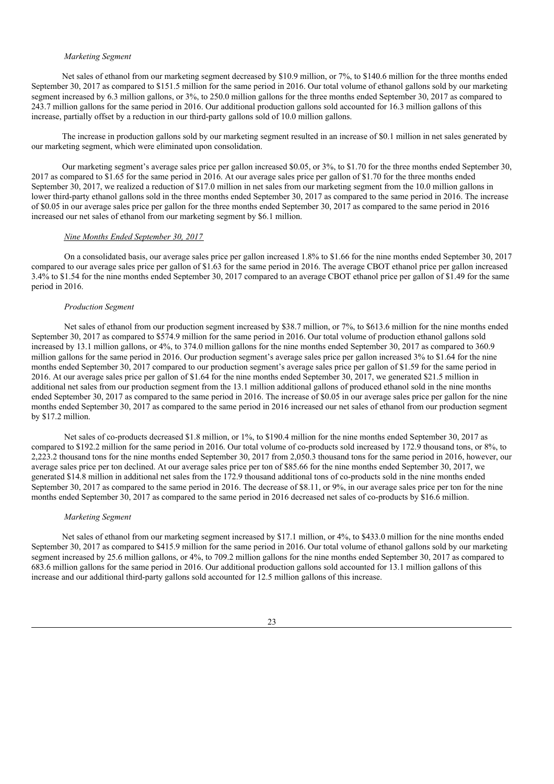#### *Marketing Segment*

Net sales of ethanol from our marketing segment decreased by \$10.9 million, or 7%, to \$140.6 million for the three months ended September 30, 2017 as compared to \$151.5 million for the same period in 2016. Our total volume of ethanol gallons sold by our marketing segment increased by 6.3 million gallons, or 3%, to 250.0 million gallons for the three months ended September 30, 2017 as compared to 243.7 million gallons for the same period in 2016. Our additional production gallons sold accounted for 16.3 million gallons of this increase, partially offset by a reduction in our third-party gallons sold of 10.0 million gallons.

The increase in production gallons sold by our marketing segment resulted in an increase of \$0.1 million in net sales generated by our marketing segment, which were eliminated upon consolidation.

Our marketing segment's average sales price per gallon increased \$0.05, or 3%, to \$1.70 for the three months ended September 30, 2017 as compared to \$1.65 for the same period in 2016. At our average sales price per gallon of \$1.70 for the three months ended September 30, 2017, we realized a reduction of \$17.0 million in net sales from our marketing segment from the 10.0 million gallons in lower third-party ethanol gallons sold in the three months ended September 30, 2017 as compared to the same period in 2016. The increase of \$0.05 in our average sales price per gallon for the three months ended September 30, 2017 as compared to the same period in 2016 increased our net sales of ethanol from our marketing segment by \$6.1 million.

#### *Nine Months Ended September 30, 2017*

On a consolidated basis, our average sales price per gallon increased 1.8% to \$1.66 for the nine months ended September 30, 2017 compared to our average sales price per gallon of \$1.63 for the same period in 2016. The average CBOT ethanol price per gallon increased 3.4% to \$1.54 for the nine months ended September 30, 2017 compared to an average CBOT ethanol price per gallon of \$1.49 for the same period in 2016.

#### *Production Segment*

Net sales of ethanol from our production segment increased by \$38.7 million, or 7%, to \$613.6 million for the nine months ended September 30, 2017 as compared to \$574.9 million for the same period in 2016. Our total volume of production ethanol gallons sold increased by 13.1 million gallons, or 4%, to 374.0 million gallons for the nine months ended September 30, 2017 as compared to 360.9 million gallons for the same period in 2016. Our production segment's average sales price per gallon increased 3% to \$1.64 for the nine months ended September 30, 2017 compared to our production segment's average sales price per gallon of \$1.59 for the same period in 2016. At our average sales price per gallon of \$1.64 for the nine months ended September 30, 2017, we generated \$21.5 million in additional net sales from our production segment from the 13.1 million additional gallons of produced ethanol sold in the nine months ended September 30, 2017 as compared to the same period in 2016. The increase of \$0.05 in our average sales price per gallon for the nine months ended September 30, 2017 as compared to the same period in 2016 increased our net sales of ethanol from our production segment by \$17.2 million.

Net sales of co-products decreased \$1.8 million, or 1%, to \$190.4 million for the nine months ended September 30, 2017 as compared to \$192.2 million for the same period in 2016. Our total volume of co-products sold increased by 172.9 thousand tons, or 8%, to 2,223.2 thousand tons for the nine months ended September 30, 2017 from 2,050.3 thousand tons for the same period in 2016, however, our average sales price per ton declined. At our average sales price per ton of \$85.66 for the nine months ended September 30, 2017, we generated \$14.8 million in additional net sales from the 172.9 thousand additional tons of co-products sold in the nine months ended September 30, 2017 as compared to the same period in 2016. The decrease of \$8.11, or 9%, in our average sales price per ton for the nine months ended September 30, 2017 as compared to the same period in 2016 decreased net sales of co-products by \$16.6 million.

### *Marketing Segment*

Net sales of ethanol from our marketing segment increased by \$17.1 million, or 4%, to \$433.0 million for the nine months ended September 30, 2017 as compared to \$415.9 million for the same period in 2016. Our total volume of ethanol gallons sold by our marketing segment increased by 25.6 million gallons, or 4%, to 709.2 million gallons for the nine months ended September 30, 2017 as compared to 683.6 million gallons for the same period in 2016. Our additional production gallons sold accounted for 13.1 million gallons of this increase and our additional third-party gallons sold accounted for 12.5 million gallons of this increase.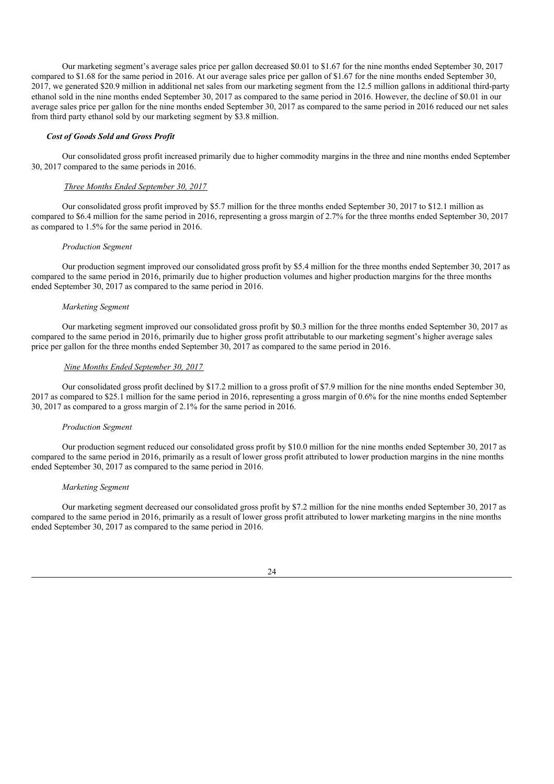Our marketing segment's average sales price per gallon decreased \$0.01 to \$1.67 for the nine months ended September 30, 2017 compared to \$1.68 for the same period in 2016. At our average sales price per gallon of \$1.67 for the nine months ended September 30, 2017, we generated \$20.9 million in additional net sales from our marketing segment from the 12.5 million gallons in additional third-party ethanol sold in the nine months ended September 30, 2017 as compared to the same period in 2016. However, the decline of \$0.01 in our average sales price per gallon for the nine months ended September 30, 2017 as compared to the same period in 2016 reduced our net sales from third party ethanol sold by our marketing segment by \$3.8 million.

### *Cost of Goods Sold and Gross Profit*

Our consolidated gross profit increased primarily due to higher commodity margins in the three and nine months ended September 30, 2017 compared to the same periods in 2016.

#### *Three Months Ended September 30, 2017*

Our consolidated gross profit improved by \$5.7 million for the three months ended September 30, 2017 to \$12.1 million as compared to \$6.4 million for the same period in 2016, representing a gross margin of 2.7% for the three months ended September 30, 2017 as compared to 1.5% for the same period in 2016.

### *Production Segment*

Our production segment improved our consolidated gross profit by \$5.4 million for the three months ended September 30, 2017 as compared to the same period in 2016, primarily due to higher production volumes and higher production margins for the three months ended September 30, 2017 as compared to the same period in 2016.

### *Marketing Segment*

Our marketing segment improved our consolidated gross profit by \$0.3 million for the three months ended September 30, 2017 as compared to the same period in 2016, primarily due to higher gross profit attributable to our marketing segment's higher average sales price per gallon for the three months ended September 30, 2017 as compared to the same period in 2016.

### *Nine Months Ended September 30, 2017*

Our consolidated gross profit declined by \$17.2 million to a gross profit of \$7.9 million for the nine months ended September 30, 2017 as compared to \$25.1 million for the same period in 2016, representing a gross margin of 0.6% for the nine months ended September 30, 2017 as compared to a gross margin of 2.1% for the same period in 2016.

### *Production Segment*

Our production segment reduced our consolidated gross profit by \$10.0 million for the nine months ended September 30, 2017 as compared to the same period in 2016, primarily as a result of lower gross profit attributed to lower production margins in the nine months ended September 30, 2017 as compared to the same period in 2016.

### *Marketing Segment*

Our marketing segment decreased our consolidated gross profit by \$7.2 million for the nine months ended September 30, 2017 as compared to the same period in 2016, primarily as a result of lower gross profit attributed to lower marketing margins in the nine months ended September 30, 2017 as compared to the same period in 2016.

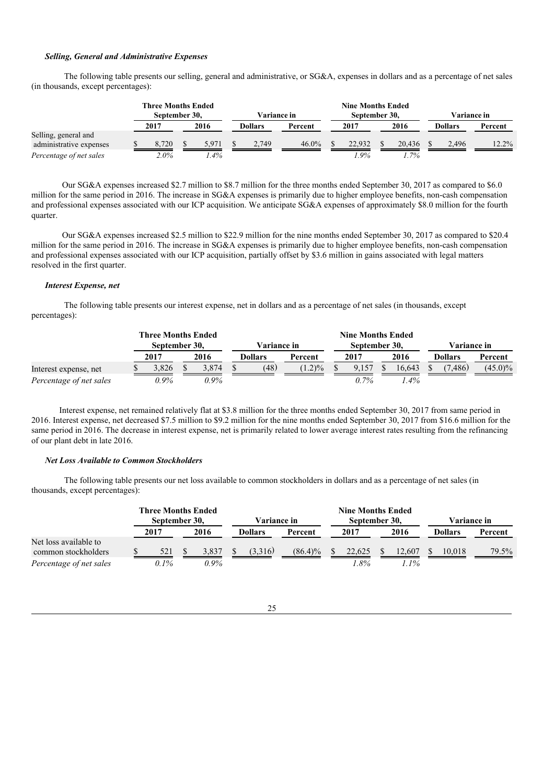### *Selling, General and Administrative Expenses*

The following table presents our selling, general and administrative, or SG&A, expenses in dollars and as a percentage of net sales (in thousands, except percentages):

|                                                 | <b>Three Months Ended</b><br>September 30. |       |  |        | Variance in |                |          | <b>Nine Months Ended</b><br>September 30. |        |  |        | Variance in |                |         |
|-------------------------------------------------|--------------------------------------------|-------|--|--------|-------------|----------------|----------|-------------------------------------------|--------|--|--------|-------------|----------------|---------|
|                                                 |                                            | 2017  |  | 2016   |             | <b>Dollars</b> | Percent  |                                           | 2017   |  | 2016   |             | <b>Dollars</b> | Percent |
| Selling, general and<br>administrative expenses |                                            | 8.720 |  | 5.971  |             | 2.749          | $46.0\%$ |                                           | 22.932 |  | 20.436 |             | 2.496          | 12.2%   |
| Percentage of net sales                         |                                            | 2.0%  |  | $.4\%$ |             |                |          |                                           | $.9\%$ |  | 1.7%   |             |                |         |

Our SG&A expenses increased \$2.7 million to \$8.7 million for the three months ended September 30, 2017 as compared to \$6.0 million for the same period in 2016. The increase in SG&A expenses is primarily due to higher employee benefits, non-cash compensation and professional expenses associated with our ICP acquisition. We anticipate SG&A expenses of approximately \$8.0 million for the fourth quarter.

Our SG&A expenses increased \$2.5 million to \$22.9 million for the nine months ended September 30, 2017 as compared to \$20.4 million for the same period in 2016. The increase in SG&A expenses is primarily due to higher employee benefits, non-cash compensation and professional expenses associated with our ICP acquisition, partially offset by \$3.6 million in gains associated with legal matters resolved in the first quarter.

### *Interest Expense, net*

The following table presents our interest expense, net in dollars and as a percentage of net sales (in thousands, except percentages):

|                         |               | <b>Three Months Ended</b> |  |             |  |         |                  |  | <b>Nine Months Ended</b> |  |             |  |                |            |
|-------------------------|---------------|---------------------------|--|-------------|--|---------|------------------|--|--------------------------|--|-------------|--|----------------|------------|
|                         | September 30. |                           |  | Variance in |  |         | September 30.    |  |                          |  | Variance in |  |                |            |
|                         |               | 2017                      |  | 2016        |  | Dollars | Percent          |  | 2017                     |  | 2016        |  | <b>Dollars</b> | Percent    |
| Interest expense, net   |               | 3.826                     |  | 3.874       |  | (48)    | $1.2\frac{9}{6}$ |  | 9.157                    |  | 16.643      |  | '.486)         | $(45.0)\%$ |
| Percentage of net sales |               | 0.9%                      |  | $0.9\%$     |  |         |                  |  | $0.7\%$                  |  | $.4\%$      |  |                |            |

Interest expense, net remained relatively flat at \$3.8 million for the three months ended September 30, 2017 from same period in 2016. Interest expense, net decreased \$7.5 million to \$9.2 million for the nine months ended September 30, 2017 from \$16.6 million for the same period in 2016. The decrease in interest expense, net is primarily related to lower average interest rates resulting from the refinancing of our plant debt in late 2016.

### *Net Loss Available to Common Stockholders*

The following table presents our net loss available to common stockholders in dollars and as a percentage of net sales (in thousands, except percentages):

|                                              | <b>Three Months Ended</b><br>September 30. |      |  |         | Variance in |                |            | <b>Nine Months Ended</b><br>September 30, |        |  |         | <b>Variance in</b> |                |         |
|----------------------------------------------|--------------------------------------------|------|--|---------|-------------|----------------|------------|-------------------------------------------|--------|--|---------|--------------------|----------------|---------|
|                                              |                                            | 2017 |  | 2016    |             | <b>Dollars</b> | Percent    |                                           | 2017   |  | 2016    |                    | <b>Dollars</b> | Percent |
| Net loss available to<br>common stockholders |                                            | 521  |  | 3.837   |             | (3,316)        | $(86.4)\%$ |                                           | 22,625 |  | 12,607  |                    | 10.018         | 79.5%   |
| Percentage of net sales                      |                                            | 0.1% |  | $0.9\%$ |             |                |            |                                           | $.8\%$ |  | $1.1\%$ |                    |                |         |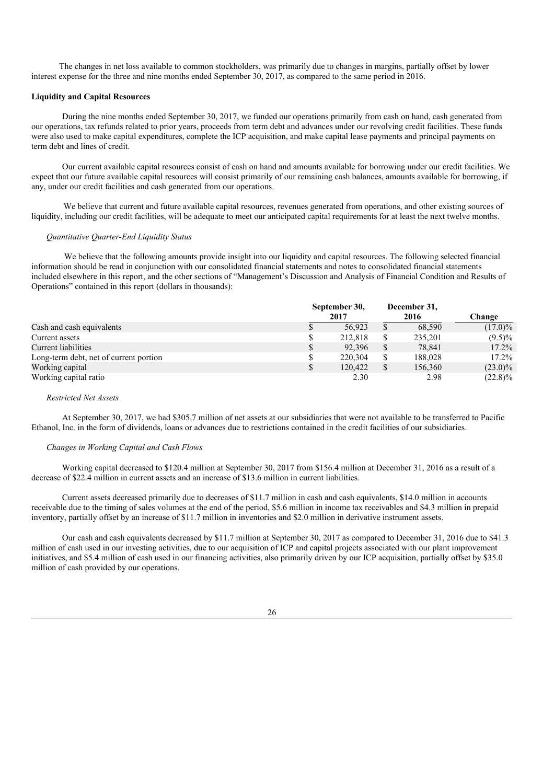The changes in net loss available to common stockholders, was primarily due to changes in margins, partially offset by lower interest expense for the three and nine months ended September 30, 2017, as compared to the same period in 2016.

### **Liquidity and Capital Resources**

During the nine months ended September 30, 2017, we funded our operations primarily from cash on hand, cash generated from our operations, tax refunds related to prior years, proceeds from term debt and advances under our revolving credit facilities. These funds were also used to make capital expenditures, complete the ICP acquisition, and make capital lease payments and principal payments on term debt and lines of credit.

Our current available capital resources consist of cash on hand and amounts available for borrowing under our credit facilities. We expect that our future available capital resources will consist primarily of our remaining cash balances, amounts available for borrowing, if any, under our credit facilities and cash generated from our operations.

We believe that current and future available capital resources, revenues generated from operations, and other existing sources of liquidity, including our credit facilities, will be adequate to meet our anticipated capital requirements for at least the next twelve months.

### *Quantitative Quarter-End Liquidity Status*

We believe that the following amounts provide insight into our liquidity and capital resources. The following selected financial information should be read in conjunction with our consolidated financial statements and notes to consolidated financial statements included elsewhere in this report, and the other sections of "Management's Discussion and Analysis of Financial Condition and Results of Operations" contained in this report (dollars in thousands):

|                                        | September 30, |         |   | December 31, |            |
|----------------------------------------|---------------|---------|---|--------------|------------|
|                                        |               | 2017    |   | 2016         | Change     |
| Cash and cash equivalents              |               | 56.923  |   | 68,590       | $(17.0)\%$ |
| Current assets                         |               | 212.818 | S | 235.201      | $(9.5)\%$  |
| Current liabilities                    |               | 92.396  |   | 78.841       | $17.2\%$   |
| Long-term debt, net of current portion |               | 220,304 |   | 188,028      | $17.2\%$   |
| Working capital                        |               | 120.422 |   | 156,360      | $(23.0)\%$ |
| Working capital ratio                  |               | 2.30    |   | 2.98         | $(22.8)\%$ |

#### *Restricted Net Assets*

At September 30, 2017, we had \$305.7 million of net assets at our subsidiaries that were not available to be transferred to Pacific Ethanol, Inc. in the form of dividends, loans or advances due to restrictions contained in the credit facilities of our subsidiaries.

### *Changes in Working Capital and Cash Flows*

Working capital decreased to \$120.4 million at September 30, 2017 from \$156.4 million at December 31, 2016 as a result of a decrease of \$22.4 million in current assets and an increase of \$13.6 million in current liabilities.

Current assets decreased primarily due to decreases of \$11.7 million in cash and cash equivalents, \$14.0 million in accounts receivable due to the timing of sales volumes at the end of the period, \$5.6 million in income tax receivables and \$4.3 million in prepaid inventory, partially offset by an increase of \$11.7 million in inventories and \$2.0 million in derivative instrument assets.

Our cash and cash equivalents decreased by \$11.7 million at September 30, 2017 as compared to December 31, 2016 due to \$41.3 million of cash used in our investing activities, due to our acquisition of ICP and capital projects associated with our plant improvement initiatives, and \$5.4 million of cash used in our financing activities, also primarily driven by our ICP acquisition, partially offset by \$35.0 million of cash provided by our operations.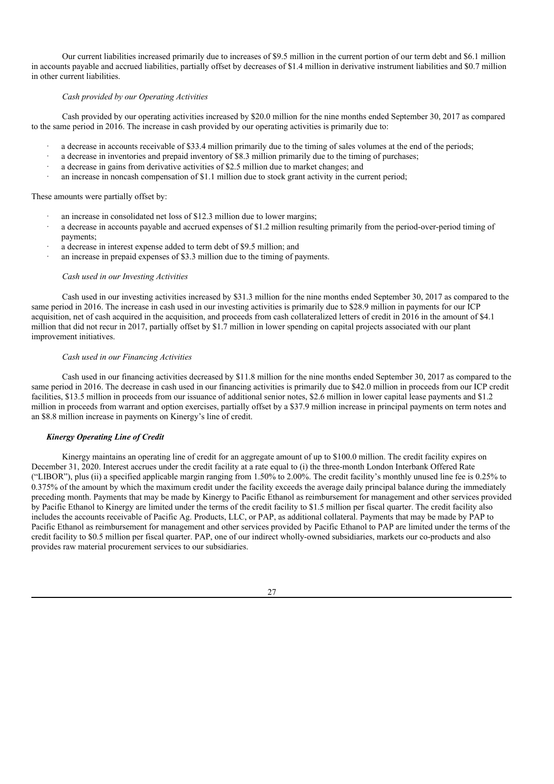Our current liabilities increased primarily due to increases of \$9.5 million in the current portion of our term debt and \$6.1 million in accounts payable and accrued liabilities, partially offset by decreases of \$1.4 million in derivative instrument liabilities and \$0.7 million in other current liabilities.

### *Cash provided by our Operating Activities*

Cash provided by our operating activities increased by \$20.0 million for the nine months ended September 30, 2017 as compared to the same period in 2016. The increase in cash provided by our operating activities is primarily due to:

- a decrease in accounts receivable of \$33.4 million primarily due to the timing of sales volumes at the end of the periods;
- · a decrease in inventories and prepaid inventory of \$8.3 million primarily due to the timing of purchases;
- · a decrease in gains from derivative activities of \$2.5 million due to market changes; and
- an increase in noncash compensation of \$1.1 million due to stock grant activity in the current period;

### These amounts were partially offset by:

- an increase in consolidated net loss of \$12.3 million due to lower margins;
- a decrease in accounts payable and accrued expenses of \$1.2 million resulting primarily from the period-over-period timing of payments;
- a decrease in interest expense added to term debt of \$9.5 million; and
- an increase in prepaid expenses of \$3.3 million due to the timing of payments.

#### *Cash used in our Investing Activities*

Cash used in our investing activities increased by \$31.3 million for the nine months ended September 30, 2017 as compared to the same period in 2016. The increase in cash used in our investing activities is primarily due to \$28.9 million in payments for our ICP acquisition, net of cash acquired in the acquisition, and proceeds from cash collateralized letters of credit in 2016 in the amount of \$4.1 million that did not recur in 2017, partially offset by \$1.7 million in lower spending on capital projects associated with our plant improvement initiatives.

### *Cash used in our Financing Activities*

Cash used in our financing activities decreased by \$11.8 million for the nine months ended September 30, 2017 as compared to the same period in 2016. The decrease in cash used in our financing activities is primarily due to \$42.0 million in proceeds from our ICP credit facilities, \$13.5 million in proceeds from our issuance of additional senior notes, \$2.6 million in lower capital lease payments and \$1.2 million in proceeds from warrant and option exercises, partially offset by a \$37.9 million increase in principal payments on term notes and an \$8.8 million increase in payments on Kinergy's line of credit.

### *Kinergy Operating Line of Credit*

Kinergy maintains an operating line of credit for an aggregate amount of up to \$100.0 million. The credit facility expires on December 31, 2020. Interest accrues under the credit facility at a rate equal to (i) the three-month London Interbank Offered Rate ("LIBOR"), plus (ii) a specified applicable margin ranging from 1.50% to 2.00%. The credit facility's monthly unused line fee is 0.25% to 0.375% of the amount by which the maximum credit under the facility exceeds the average daily principal balance during the immediately preceding month. Payments that may be made by Kinergy to Pacific Ethanol as reimbursement for management and other services provided by Pacific Ethanol to Kinergy are limited under the terms of the credit facility to \$1.5 million per fiscal quarter. The credit facility also includes the accounts receivable of Pacific Ag. Products, LLC, or PAP, as additional collateral. Payments that may be made by PAP to Pacific Ethanol as reimbursement for management and other services provided by Pacific Ethanol to PAP are limited under the terms of the credit facility to \$0.5 million per fiscal quarter. PAP, one of our indirect wholly-owned subsidiaries, markets our co-products and also provides raw material procurement services to our subsidiaries.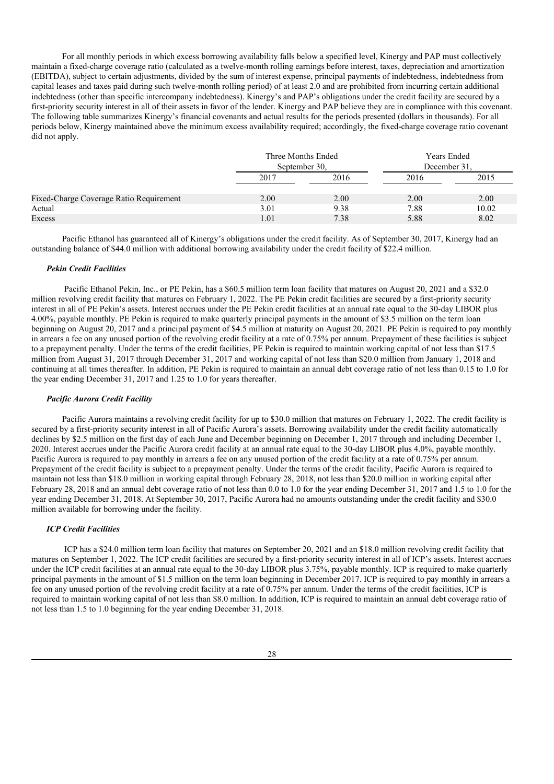For all monthly periods in which excess borrowing availability falls below a specified level, Kinergy and PAP must collectively maintain a fixed-charge coverage ratio (calculated as a twelve-month rolling earnings before interest, taxes, depreciation and amortization (EBITDA), subject to certain adjustments, divided by the sum of interest expense, principal payments of indebtedness, indebtedness from capital leases and taxes paid during such twelve-month rolling period) of at least 2.0 and are prohibited from incurring certain additional indebtedness (other than specific intercompany indebtedness). Kinergy's and PAP's obligations under the credit facility are secured by a first-priority security interest in all of their assets in favor of the lender. Kinergy and PAP believe they are in compliance with this covenant. The following table summarizes Kinergy's financial covenants and actual results for the periods presented (dollars in thousands). For all periods below, Kinergy maintained above the minimum excess availability required; accordingly, the fixed-charge coverage ratio covenant did not apply.

|                                         | Three Months Ended<br>September 30. |      | Years Ended<br>December 31. |       |  |
|-----------------------------------------|-------------------------------------|------|-----------------------------|-------|--|
|                                         | 2017                                | 2016 | 2016                        | 2015  |  |
| Fixed-Charge Coverage Ratio Requirement | 2.00                                | 2.00 | 2.00                        | 2.00  |  |
| Actual                                  | 3.01                                | 9.38 | 7.88                        | 10.02 |  |
| Excess                                  | 1.01                                | 7.38 | 5.88                        | 8.02  |  |

Pacific Ethanol has guaranteed all of Kinergy's obligations under the credit facility. As of September 30, 2017, Kinergy had an outstanding balance of \$44.0 million with additional borrowing availability under the credit facility of \$22.4 million.

### *Pekin Credit Facilities*

Pacific Ethanol Pekin, Inc., or PE Pekin, has a \$60.5 million term loan facility that matures on August 20, 2021 and a \$32.0 million revolving credit facility that matures on February 1, 2022. The PE Pekin credit facilities are secured by a first-priority security interest in all of PE Pekin's assets. Interest accrues under the PE Pekin credit facilities at an annual rate equal to the 30-day LIBOR plus 4.00%, payable monthly. PE Pekin is required to make quarterly principal payments in the amount of \$3.5 million on the term loan beginning on August 20, 2017 and a principal payment of \$4.5 million at maturity on August 20, 2021. PE Pekin is required to pay monthly in arrears a fee on any unused portion of the revolving credit facility at a rate of 0.75% per annum. Prepayment of these facilities is subject to a prepayment penalty. Under the terms of the credit facilities, PE Pekin is required to maintain working capital of not less than \$17.5 million from August 31, 2017 through December 31, 2017 and working capital of not less than \$20.0 million from January 1, 2018 and continuing at all times thereafter. In addition, PE Pekin is required to maintain an annual debt coverage ratio of not less than 0.15 to 1.0 for the year ending December 31, 2017 and 1.25 to 1.0 for years thereafter.

#### *Pacific Aurora Credit Facility*

Pacific Aurora maintains a revolving credit facility for up to \$30.0 million that matures on February 1, 2022. The credit facility is secured by a first-priority security interest in all of Pacific Aurora's assets. Borrowing availability under the credit facility automatically declines by \$2.5 million on the first day of each June and December beginning on December 1, 2017 through and including December 1, 2020. Interest accrues under the Pacific Aurora credit facility at an annual rate equal to the 30-day LIBOR plus 4.0%, payable monthly. Pacific Aurora is required to pay monthly in arrears a fee on any unused portion of the credit facility at a rate of 0.75% per annum. Prepayment of the credit facility is subject to a prepayment penalty. Under the terms of the credit facility, Pacific Aurora is required to maintain not less than \$18.0 million in working capital through February 28, 2018, not less than \$20.0 million in working capital after February 28, 2018 and an annual debt coverage ratio of not less than 0.0 to 1.0 for the year ending December 31, 2017 and 1.5 to 1.0 for the year ending December 31, 2018. At September 30, 2017, Pacific Aurora had no amounts outstanding under the credit facility and \$30.0 million available for borrowing under the facility.

### *ICP Credit Facilities*

ICP has a \$24.0 million term loan facility that matures on September 20, 2021 and an \$18.0 million revolving credit facility that matures on September 1, 2022. The ICP credit facilities are secured by a first-priority security interest in all of ICP's assets. Interest accrues under the ICP credit facilities at an annual rate equal to the 30-day LIBOR plus 3.75%, payable monthly. ICP is required to make quarterly principal payments in the amount of \$1.5 million on the term loan beginning in December 2017. ICP is required to pay monthly in arrears a fee on any unused portion of the revolving credit facility at a rate of 0.75% per annum. Under the terms of the credit facilities, ICP is required to maintain working capital of not less than \$8.0 million. In addition, ICP is required to maintain an annual debt coverage ratio of not less than 1.5 to 1.0 beginning for the year ending December 31, 2018.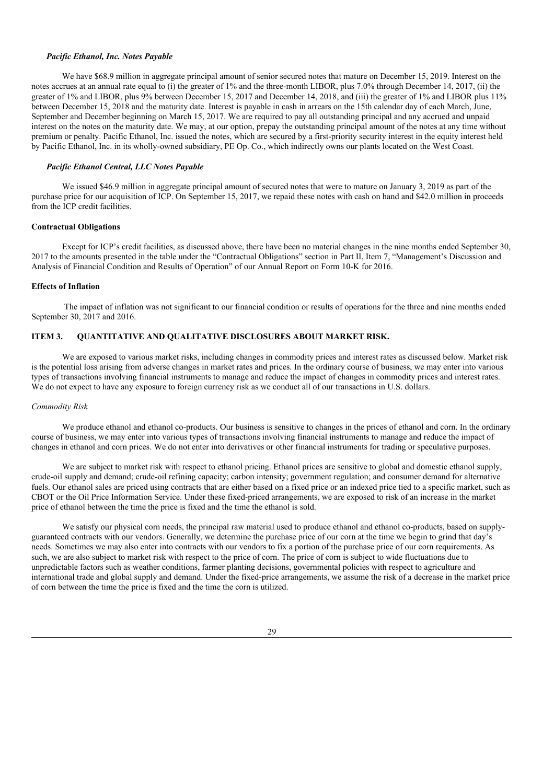### *Pacific Ethanol, Inc. Notes Payable*

We have \$68.9 million in aggregate principal amount of senior secured notes that mature on December 15, 2019. Interest on the notes accrues at an annual rate equal to (i) the greater of 1% and the three-month LIBOR, plus 7.0% through December 14, 2017, (ii) the greater of 1% and LIBOR, plus 9% between December 15, 2017 and December 14, 2018, and (iii) the greater of 1% and LIBOR plus 11% between December 15, 2018 and the maturity date. Interest is payable in cash in arrears on the 15th calendar day of each March, June, September and December beginning on March 15, 2017. We are required to pay all outstanding principal and any accrued and unpaid interest on the notes on the maturity date. We may, at our option, prepay the outstanding principal amount of the notes at any time without premium or penalty. Pacific Ethanol, Inc. issued the notes, which are secured by a first-priority security interest in the equity interest held by Pacific Ethanol, Inc. in its wholly-owned subsidiary, PE Op. Co., which indirectly owns our plants located on the West Coast.

### *Pacific Ethanol Central, LLC Notes Payable*

We issued \$46.9 million in aggregate principal amount of secured notes that were to mature on January 3, 2019 as part of the purchase price for our acquisition of ICP. On September 15, 2017, we repaid these notes with cash on hand and \$42.0 million in proceeds from the ICP credit facilities.

### **Contractual Obligations**

Except for ICP's credit facilities, as discussed above, there have been no material changes in the nine months ended September 30, 2017 to the amounts presented in the table under the "Contractual Obligations" section in Part II, Item 7, "Management's Discussion and Analysis of Financial Condition and Results of Operation" of our Annual Report on Form 10-K for 2016.

#### **Effects of Inflation**

The impact of inflation was not significant to our financial condition or results of operations for the three and nine months ended September 30, 2017 and 2016.

# **ITEM 3. QUANTITATIVE AND QUALITATIVE DISCLOSURES ABOUT MARKET RISK.**

We are exposed to various market risks, including changes in commodity prices and interest rates as discussed below. Market risk is the potential loss arising from adverse changes in market rates and prices. In the ordinary course of business, we may enter into various types of transactions involving financial instruments to manage and reduce the impact of changes in commodity prices and interest rates. We do not expect to have any exposure to foreign currency risk as we conduct all of our transactions in U.S. dollars.

### *Commodity Risk*

We produce ethanol and ethanol co-products. Our business is sensitive to changes in the prices of ethanol and corn. In the ordinary course of business, we may enter into various types of transactions involving financial instruments to manage and reduce the impact of changes in ethanol and corn prices. We do not enter into derivatives or other financial instruments for trading or speculative purposes.

We are subject to market risk with respect to ethanol pricing. Ethanol prices are sensitive to global and domestic ethanol supply, crude-oil supply and demand; crude-oil refining capacity; carbon intensity; government regulation; and consumer demand for alternative fuels. Our ethanol sales are priced using contracts that are either based on a fixed price or an indexed price tied to a specific market, such as CBOT or the Oil Price Information Service. Under these fixed-priced arrangements, we are exposed to risk of an increase in the market price of ethanol between the time the price is fixed and the time the ethanol is sold.

We satisfy our physical corn needs, the principal raw material used to produce ethanol and ethanol co-products, based on supplyguaranteed contracts with our vendors. Generally, we determine the purchase price of our corn at the time we begin to grind that day's needs. Sometimes we may also enter into contracts with our vendors to fix a portion of the purchase price of our corn requirements. As such, we are also subject to market risk with respect to the price of corn. The price of corn is subject to wide fluctuations due to unpredictable factors such as weather conditions, farmer planting decisions, governmental policies with respect to agriculture and international trade and global supply and demand. Under the fixed-price arrangements, we assume the risk of a decrease in the market price of corn between the time the price is fixed and the time the corn is utilized.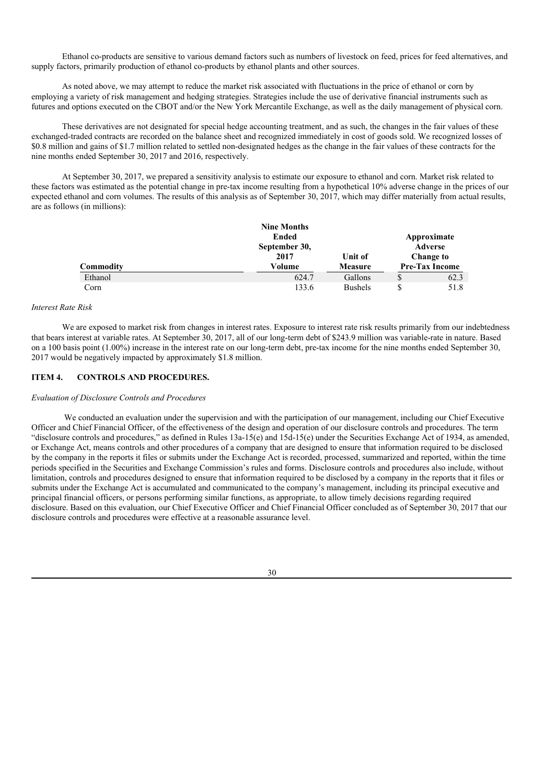Ethanol co-products are sensitive to various demand factors such as numbers of livestock on feed, prices for feed alternatives, and supply factors, primarily production of ethanol co-products by ethanol plants and other sources.

As noted above, we may attempt to reduce the market risk associated with fluctuations in the price of ethanol or corn by employing a variety of risk management and hedging strategies. Strategies include the use of derivative financial instruments such as futures and options executed on the CBOT and/or the New York Mercantile Exchange, as well as the daily management of physical corn.

These derivatives are not designated for special hedge accounting treatment, and as such, the changes in the fair values of these exchanged-traded contracts are recorded on the balance sheet and recognized immediately in cost of goods sold. We recognized losses of \$0.8 million and gains of \$1.7 million related to settled non-designated hedges as the change in the fair values of these contracts for the nine months ended September 30, 2017 and 2016, respectively.

At September 30, 2017, we prepared a sensitivity analysis to estimate our exposure to ethanol and corn. Market risk related to these factors was estimated as the potential change in pre-tax income resulting from a hypothetical 10% adverse change in the prices of our expected ethanol and corn volumes. The results of this analysis as of September 30, 2017, which may differ materially from actual results, are as follows (in millions):

|           | <b>Nine Months</b> |                |                       |
|-----------|--------------------|----------------|-----------------------|
|           | Ended              |                | Approximate           |
|           | September 30,      |                | Adverse               |
|           | 2017               | Unit of        | <b>Change to</b>      |
| Commodity | Volume             | <b>Measure</b> | <b>Pre-Tax Income</b> |
| Ethanol   | 624.7              | Gallons        | \$<br>62.3            |
| Corn      | 133.6              | <b>Bushels</b> | \$<br>51.8            |

### *Interest Rate Risk*

We are exposed to market risk from changes in interest rates. Exposure to interest rate risk results primarily from our indebtedness that bears interest at variable rates. At September 30, 2017, all of our long-term debt of \$243.9 million was variable-rate in nature. Based on a 100 basis point (1.00%) increase in the interest rate on our long-term debt, pre-tax income for the nine months ended September 30, 2017 would be negatively impacted by approximately \$1.8 million.

# **ITEM 4. CONTROLS AND PROCEDURES.**

#### *Evaluation of Disclosure Controls and Procedures*

We conducted an evaluation under the supervision and with the participation of our management, including our Chief Executive Officer and Chief Financial Officer, of the effectiveness of the design and operation of our disclosure controls and procedures. The term "disclosure controls and procedures," as defined in Rules  $13a-15(e)$  and  $15d-15(e)$  under the Securities Exchange Act of 1934, as amended, or Exchange Act, means controls and other procedures of a company that are designed to ensure that information required to be disclosed by the company in the reports it files or submits under the Exchange Act is recorded, processed, summarized and reported, within the time periods specified in the Securities and Exchange Commission's rules and forms. Disclosure controls and procedures also include, without limitation, controls and procedures designed to ensure that information required to be disclosed by a company in the reports that it files or submits under the Exchange Act is accumulated and communicated to the company's management, including its principal executive and principal financial officers, or persons performing similar functions, as appropriate, to allow timely decisions regarding required disclosure. Based on this evaluation, our Chief Executive Officer and Chief Financial Officer concluded as of September 30, 2017 that our disclosure controls and procedures were effective at a reasonable assurance level.

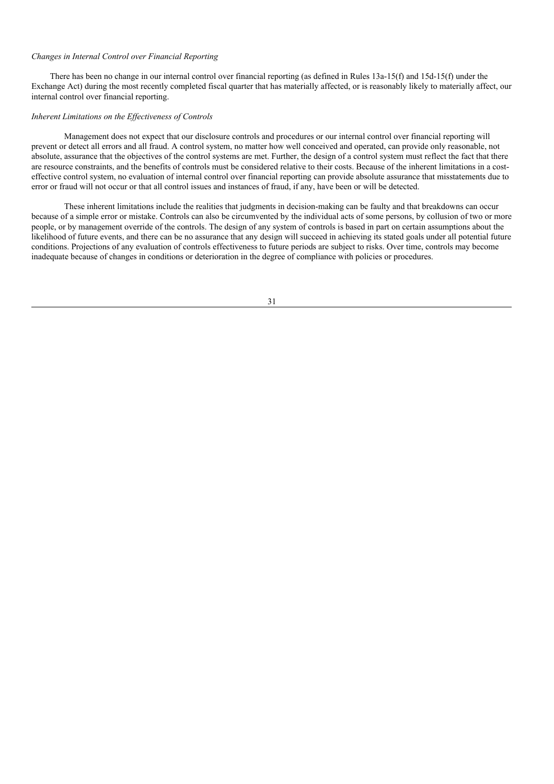### *Changes in Internal Control over Financial Reporting*

There has been no change in our internal control over financial reporting (as defined in Rules 13a-15(f) and 15d-15(f) under the Exchange Act) during the most recently completed fiscal quarter that has materially affected, or is reasonably likely to materially affect, our internal control over financial reporting.

### *Inherent Limitations on the Ef ectiveness of Controls*

Management does not expect that our disclosure controls and procedures or our internal control over financial reporting will prevent or detect all errors and all fraud. A control system, no matter how well conceived and operated, can provide only reasonable, not absolute, assurance that the objectives of the control systems are met. Further, the design of a control system must reflect the fact that there are resource constraints, and the benefits of controls must be considered relative to their costs. Because of the inherent limitations in a costeffective control system, no evaluation of internal control over financial reporting can provide absolute assurance that misstatements due to error or fraud will not occur or that all control issues and instances of fraud, if any, have been or will be detected.

These inherent limitations include the realities that judgments in decision-making can be faulty and that breakdowns can occur because of a simple error or mistake. Controls can also be circumvented by the individual acts of some persons, by collusion of two or more people, or by management override of the controls. The design of any system of controls is based in part on certain assumptions about the likelihood of future events, and there can be no assurance that any design will succeed in achieving its stated goals under all potential future conditions. Projections of any evaluation of controls effectiveness to future periods are subject to risks. Over time, controls may become inadequate because of changes in conditions or deterioration in the degree of compliance with policies or procedures.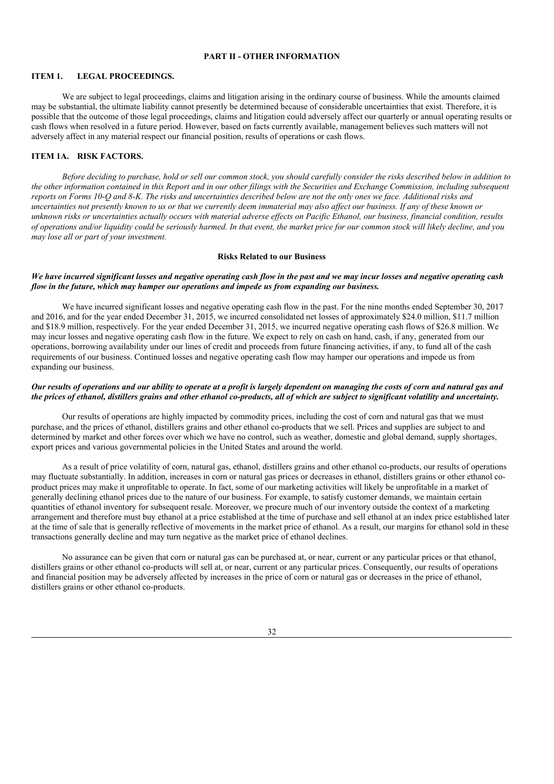# **PART II - OTHER INFORMATION**

### **ITEM 1. LEGAL PROCEEDINGS.**

We are subject to legal proceedings, claims and litigation arising in the ordinary course of business. While the amounts claimed may be substantial, the ultimate liability cannot presently be determined because of considerable uncertainties that exist. Therefore, it is possible that the outcome of those legal proceedings, claims and litigation could adversely affect our quarterly or annual operating results or cash flows when resolved in a future period. However, based on facts currently available, management believes such matters will not adversely affect in any material respect our financial position, results of operations or cash flows.

### **ITEM 1A. RISK FACTORS.**

Before deciding to purchase, hold or sell our common stock, you should carefully consider the risks described below in addition to the other information contained in this Report and in our other filings with the Securities and Exchange Commission, including subsequent reports on Forms 10-Q and 8-K. The risks and uncertainties described below are not the only ones we face. Additional risks and uncertainties not presently known to us or that we currently deem immaterial may also affect our business. If any of these known or unknown risks or uncertainties actually occurs with material adverse effects on Pacific Ethanol, our business, financial condition, results of operations and/or liquidity could be seriously harmed. In that event, the market price for our common stock will likely decline, and you *may lose all or part of your investment.*

### **Risks Related to our Business**

# We have incurred significant losses and negative operating cash flow in the past and we may incur losses and negative operating cash *flow in the future, which may hamper our operations and impede us from expanding our business.*

We have incurred significant losses and negative operating cash flow in the past. For the nine months ended September 30, 2017 and 2016, and for the year ended December 31, 2015, we incurred consolidated net losses of approximately \$24.0 million, \$11.7 million and \$18.9 million, respectively. For the year ended December 31, 2015, we incurred negative operating cash flows of \$26.8 million. We may incur losses and negative operating cash flow in the future. We expect to rely on cash on hand, cash, if any, generated from our operations, borrowing availability under our lines of credit and proceeds from future financing activities, if any, to fund all of the cash requirements of our business. Continued losses and negative operating cash flow may hamper our operations and impede us from expanding our business.

### Our results of operations and our ability to operate at a profit is largely dependent on managing the costs of corn and natural gas and the prices of ethanol, distillers grains and other ethanol co-products, all of which are subject to significant volatility and uncertainty.

Our results of operations are highly impacted by commodity prices, including the cost of corn and natural gas that we must purchase, and the prices of ethanol, distillers grains and other ethanol co-products that we sell. Prices and supplies are subject to and determined by market and other forces over which we have no control, such as weather, domestic and global demand, supply shortages, export prices and various governmental policies in the United States and around the world.

As a result of price volatility of corn, natural gas, ethanol, distillers grains and other ethanol co-products, our results of operations may fluctuate substantially. In addition, increases in corn or natural gas prices or decreases in ethanol, distillers grains or other ethanol coproduct prices may make it unprofitable to operate. In fact, some of our marketing activities will likely be unprofitable in a market of generally declining ethanol prices due to the nature of our business. For example, to satisfy customer demands, we maintain certain quantities of ethanol inventory for subsequent resale. Moreover, we procure much of our inventory outside the context of a marketing arrangement and therefore must buy ethanol at a price established at the time of purchase and sell ethanol at an index price established later at the time of sale that is generally reflective of movements in the market price of ethanol. As a result, our margins for ethanol sold in these transactions generally decline and may turn negative as the market price of ethanol declines.

No assurance can be given that corn or natural gas can be purchased at, or near, current or any particular prices or that ethanol, distillers grains or other ethanol co-products will sell at, or near, current or any particular prices. Consequently, our results of operations and financial position may be adversely affected by increases in the price of corn or natural gas or decreases in the price of ethanol, distillers grains or other ethanol co-products.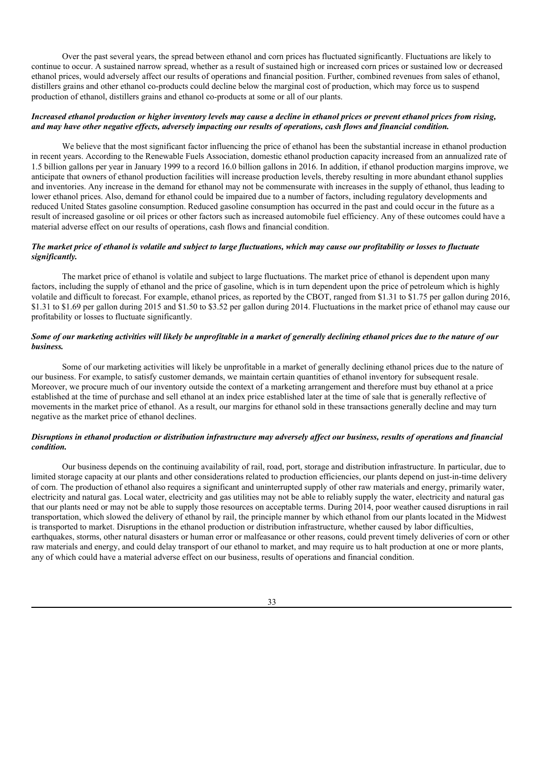Over the past several years, the spread between ethanol and corn prices has fluctuated significantly. Fluctuations are likely to continue to occur. A sustained narrow spread, whether as a result of sustained high or increased corn prices or sustained low or decreased ethanol prices, would adversely affect our results of operations and financial position. Further, combined revenues from sales of ethanol, distillers grains and other ethanol co-products could decline below the marginal cost of production, which may force us to suspend production of ethanol, distillers grains and ethanol co-products at some or all of our plants.

### Increased ethanol production or higher inventory levels may cause a decline in ethanol prices or prevent ethanol prices from rising, and may have other negative effects, adversely impacting our results of operations, cash flows and financial condition.

We believe that the most significant factor influencing the price of ethanol has been the substantial increase in ethanol production in recent years. According to the Renewable Fuels Association, domestic ethanol production capacity increased from an annualized rate of 1.5 billion gallons per year in January 1999 to a record 16.0 billion gallons in 2016. In addition, if ethanol production margins improve, we anticipate that owners of ethanol production facilities will increase production levels, thereby resulting in more abundant ethanol supplies and inventories. Any increase in the demand for ethanol may not be commensurate with increases in the supply of ethanol, thus leading to lower ethanol prices. Also, demand for ethanol could be impaired due to a number of factors, including regulatory developments and reduced United States gasoline consumption. Reduced gasoline consumption has occurred in the past and could occur in the future as a result of increased gasoline or oil prices or other factors such as increased automobile fuel efficiency. Any of these outcomes could have a material adverse effect on our results of operations, cash flows and financial condition.

## The market price of ethanol is volatile and subject to large fluctuations, which may cause our profitability or losses to fluctuate *significantly.*

The market price of ethanol is volatile and subject to large fluctuations. The market price of ethanol is dependent upon many factors, including the supply of ethanol and the price of gasoline, which is in turn dependent upon the price of petroleum which is highly volatile and difficult to forecast. For example, ethanol prices, as reported by the CBOT, ranged from \$1.31 to \$1.75 per gallon during 2016, \$1.31 to \$1.69 per gallon during 2015 and \$1.50 to \$3.52 per gallon during 2014. Fluctuations in the market price of ethanol may cause our profitability or losses to fluctuate significantly.

## Some of our marketing activities will likely be unprofitable in a market of generally declining ethanol prices due to the nature of our *business.*

Some of our marketing activities will likely be unprofitable in a market of generally declining ethanol prices due to the nature of our business. For example, to satisfy customer demands, we maintain certain quantities of ethanol inventory for subsequent resale. Moreover, we procure much of our inventory outside the context of a marketing arrangement and therefore must buy ethanol at a price established at the time of purchase and sell ethanol at an index price established later at the time of sale that is generally reflective of movements in the market price of ethanol. As a result, our margins for ethanol sold in these transactions generally decline and may turn negative as the market price of ethanol declines.

### Disruptions in ethanol production or distribution infrastructure may adversely affect our business, results of operations and financial *condition.*

Our business depends on the continuing availability of rail, road, port, storage and distribution infrastructure. In particular, due to limited storage capacity at our plants and other considerations related to production efficiencies, our plants depend on just-in-time delivery of corn. The production of ethanol also requires a significant and uninterrupted supply of other raw materials and energy, primarily water, electricity and natural gas. Local water, electricity and gas utilities may not be able to reliably supply the water, electricity and natural gas that our plants need or may not be able to supply those resources on acceptable terms. During 2014, poor weather caused disruptions in rail transportation, which slowed the delivery of ethanol by rail, the principle manner by which ethanol from our plants located in the Midwest is transported to market. Disruptions in the ethanol production or distribution infrastructure, whether caused by labor difficulties, earthquakes, storms, other natural disasters or human error or malfeasance or other reasons, could prevent timely deliveries of corn or other raw materials and energy, and could delay transport of our ethanol to market, and may require us to halt production at one or more plants, any of which could have a material adverse effect on our business, results of operations and financial condition.

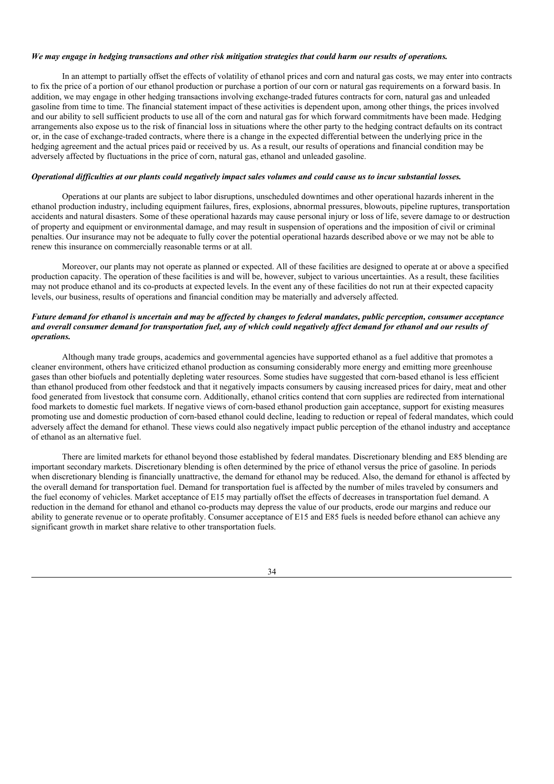### We may engage in hedging transactions and other risk mitigation strategies that could harm our results of operations.

In an attempt to partially offset the effects of volatility of ethanol prices and corn and natural gas costs, we may enter into contracts to fix the price of a portion of our ethanol production or purchase a portion of our corn or natural gas requirements on a forward basis. In addition, we may engage in other hedging transactions involving exchange-traded futures contracts for corn, natural gas and unleaded gasoline from time to time. The financial statement impact of these activities is dependent upon, among other things, the prices involved and our ability to sell sufficient products to use all of the corn and natural gas for which forward commitments have been made. Hedging arrangements also expose us to the risk of financial loss in situations where the other party to the hedging contract defaults on its contract or, in the case of exchange-traded contracts, where there is a change in the expected differential between the underlying price in the hedging agreement and the actual prices paid or received by us. As a result, our results of operations and financial condition may be adversely affected by fluctuations in the price of corn, natural gas, ethanol and unleaded gasoline.

### Operational difficulties at our plants could negatively impact sales volumes and could cause us to incur substantial losses.

Operations at our plants are subject to labor disruptions, unscheduled downtimes and other operational hazards inherent in the ethanol production industry, including equipment failures, fires, explosions, abnormal pressures, blowouts, pipeline ruptures, transportation accidents and natural disasters. Some of these operational hazards may cause personal injury or loss of life, severe damage to or destruction of property and equipment or environmental damage, and may result in suspension of operations and the imposition of civil or criminal penalties. Our insurance may not be adequate to fully cover the potential operational hazards described above or we may not be able to renew this insurance on commercially reasonable terms or at all.

Moreover, our plants may not operate as planned or expected. All of these facilities are designed to operate at or above a specified production capacity. The operation of these facilities is and will be, however, subject to various uncertainties. As a result, these facilities may not produce ethanol and its co-products at expected levels. In the event any of these facilities do not run at their expected capacity levels, our business, results of operations and financial condition may be materially and adversely affected.

### Future demand for ethanol is uncertain and may be affected by changes to federal mandates, public perception, consumer acceptance and overall consumer demand for transportation fuel, any of which could negatively affect demand for ethanol and our results of *operations.*

Although many trade groups, academics and governmental agencies have supported ethanol as a fuel additive that promotes a cleaner environment, others have criticized ethanol production as consuming considerably more energy and emitting more greenhouse gases than other biofuels and potentially depleting water resources. Some studies have suggested that corn-based ethanol is less efficient than ethanol produced from other feedstock and that it negatively impacts consumers by causing increased prices for dairy, meat and other food generated from livestock that consume corn. Additionally, ethanol critics contend that corn supplies are redirected from international food markets to domestic fuel markets. If negative views of corn-based ethanol production gain acceptance, support for existing measures promoting use and domestic production of corn-based ethanol could decline, leading to reduction or repeal of federal mandates, which could adversely affect the demand for ethanol. These views could also negatively impact public perception of the ethanol industry and acceptance of ethanol as an alternative fuel.

There are limited markets for ethanol beyond those established by federal mandates. Discretionary blending and E85 blending are important secondary markets. Discretionary blending is often determined by the price of ethanol versus the price of gasoline. In periods when discretionary blending is financially unattractive, the demand for ethanol may be reduced. Also, the demand for ethanol is affected by the overall demand for transportation fuel. Demand for transportation fuel is affected by the number of miles traveled by consumers and the fuel economy of vehicles. Market acceptance of E15 may partially offset the effects of decreases in transportation fuel demand. A reduction in the demand for ethanol and ethanol co-products may depress the value of our products, erode our margins and reduce our ability to generate revenue or to operate profitably. Consumer acceptance of E15 and E85 fuels is needed before ethanol can achieve any significant growth in market share relative to other transportation fuels.

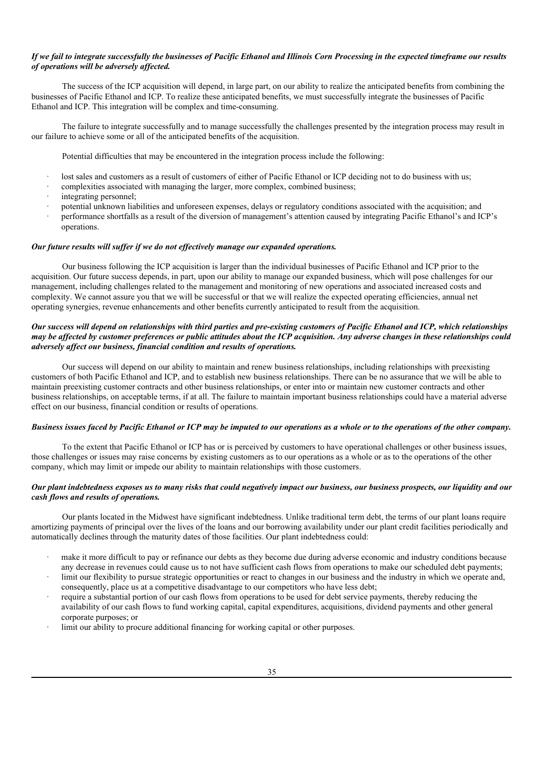### If we fail to integrate successfully the businesses of Pacific Ethanol and Illinois Corn Processing in the expected timeframe our results *of operations will be adversely af ected.*

The success of the ICP acquisition will depend, in large part, on our ability to realize the anticipated benefits from combining the businesses of Pacific Ethanol and ICP. To realize these anticipated benefits, we must successfully integrate the businesses of Pacific Ethanol and ICP. This integration will be complex and time-consuming.

The failure to integrate successfully and to manage successfully the challenges presented by the integration process may result in our failure to achieve some or all of the anticipated benefits of the acquisition.

Potential difficulties that may be encountered in the integration process include the following:

- lost sales and customers as a result of customers of either of Pacific Ethanol or ICP deciding not to do business with us;
- complexities associated with managing the larger, more complex, combined business;
- integrating personnel;
- · potential unknown liabilities and unforeseen expenses, delays or regulatory conditions associated with the acquisition; and
- · performance shortfalls as a result of the diversion of management's attention caused by integrating Pacific Ethanol's and ICP's operations.

### *Our future results will suf er if we do not ef ectively manage our expanded operations.*

Our business following the ICP acquisition is larger than the individual businesses of Pacific Ethanol and ICP prior to the acquisition. Our future success depends, in part, upon our ability to manage our expanded business, which will pose challenges for our management, including challenges related to the management and monitoring of new operations and associated increased costs and complexity. We cannot assure you that we will be successful or that we will realize the expected operating efficiencies, annual net operating synergies, revenue enhancements and other benefits currently anticipated to result from the acquisition.

### Our success will depend on relationships with third parties and pre-existing customers of Pacific Ethanol and ICP, which relationships may be affected by customer preferences or public attitudes about the ICP acquisition. Any adverse changes in these relationships could *adversely af ect our business, financial condition and results of operations.*

Our success will depend on our ability to maintain and renew business relationships, including relationships with preexisting customers of both Pacific Ethanol and ICP, and to establish new business relationships. There can be no assurance that we will be able to maintain preexisting customer contracts and other business relationships, or enter into or maintain new customer contracts and other business relationships, on acceptable terms, if at all. The failure to maintain important business relationships could have a material adverse effect on our business, financial condition or results of operations.

### Business issues faced by Pacific Ethanol or ICP may be imputed to our operations as a whole or to the operations of the other company.

To the extent that Pacific Ethanol or ICP has or is perceived by customers to have operational challenges or other business issues, those challenges or issues may raise concerns by existing customers as to our operations as a whole or as to the operations of the other company, which may limit or impede our ability to maintain relationships with those customers.

### Our plant indebtedness exposes us to many risks that could negatively impact our business, our business prospects, our liquidity and our *cash flows and results of operations.*

Our plants located in the Midwest have significant indebtedness. Unlike traditional term debt, the terms of our plant loans require amortizing payments of principal over the lives of the loans and our borrowing availability under our plant credit facilities periodically and automatically declines through the maturity dates of those facilities. Our plant indebtedness could:

- make it more difficult to pay or refinance our debts as they become due during adverse economic and industry conditions because any decrease in revenues could cause us to not have sufficient cash flows from operations to make our scheduled debt payments;
- limit our flexibility to pursue strategic opportunities or react to changes in our business and the industry in which we operate and, consequently, place us at a competitive disadvantage to our competitors who have less debt;
- require a substantial portion of our cash flows from operations to be used for debt service payments, thereby reducing the availability of our cash flows to fund working capital, capital expenditures, acquisitions, dividend payments and other general corporate purposes; or
- limit our ability to procure additional financing for working capital or other purposes.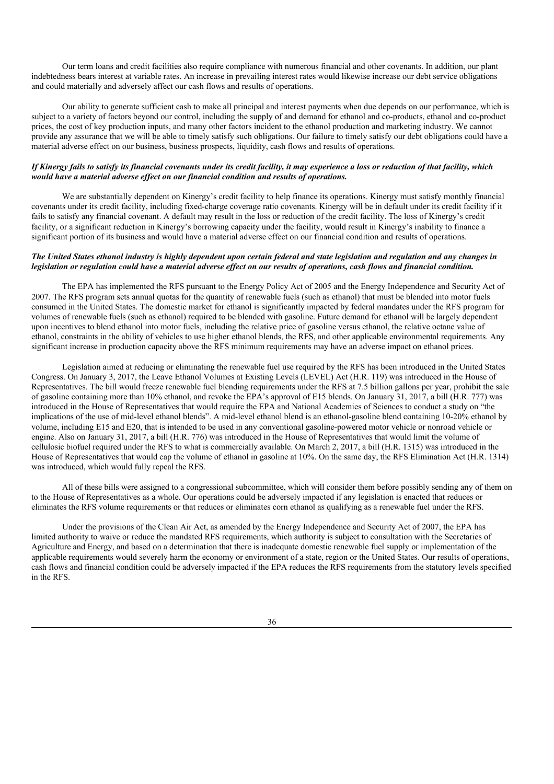Our term loans and credit facilities also require compliance with numerous financial and other covenants. In addition, our plant indebtedness bears interest at variable rates. An increase in prevailing interest rates would likewise increase our debt service obligations and could materially and adversely affect our cash flows and results of operations.

Our ability to generate sufficient cash to make all principal and interest payments when due depends on our performance, which is subject to a variety of factors beyond our control, including the supply of and demand for ethanol and co-products, ethanol and co-product prices, the cost of key production inputs, and many other factors incident to the ethanol production and marketing industry. We cannot provide any assurance that we will be able to timely satisfy such obligations. Our failure to timely satisfy our debt obligations could have a material adverse effect on our business, business prospects, liquidity, cash flows and results of operations.

### If Kinergy fails to satisfy its financial covenants under its credit facility, it may experience a loss or reduction of that facility, which *would have a material adverse ef ect on our financial condition and results of operations.*

We are substantially dependent on Kinergy's credit facility to help finance its operations. Kinergy must satisfy monthly financial covenants under its credit facility, including fixed-charge coverage ratio covenants. Kinergy will be in default under its credit facility if it fails to satisfy any financial covenant. A default may result in the loss or reduction of the credit facility. The loss of Kinergy's credit facility, or a significant reduction in Kinergy's borrowing capacity under the facility, would result in Kinergy's inability to finance a significant portion of its business and would have a material adverse effect on our financial condition and results of operations.

### The United States ethanol industry is highly dependent upon certain federal and state legislation and regulation and any changes in legislation or regulation could have a material adverse effect on our results of operations, cash flows and financial condition.

The EPA has implemented the RFS pursuant to the Energy Policy Act of 2005 and the Energy Independence and Security Act of 2007. The RFS program sets annual quotas for the quantity of renewable fuels (such as ethanol) that must be blended into motor fuels consumed in the United States. The domestic market for ethanol is significantly impacted by federal mandates under the RFS program for volumes of renewable fuels (such as ethanol) required to be blended with gasoline. Future demand for ethanol will be largely dependent upon incentives to blend ethanol into motor fuels, including the relative price of gasoline versus ethanol, the relative octane value of ethanol, constraints in the ability of vehicles to use higher ethanol blends, the RFS, and other applicable environmental requirements. Any significant increase in production capacity above the RFS minimum requirements may have an adverse impact on ethanol prices.

Legislation aimed at reducing or eliminating the renewable fuel use required by the RFS has been introduced in the United States Congress. On January 3, 2017, the Leave Ethanol Volumes at Existing Levels (LEVEL) Act (H.R. 119) was introduced in the House of Representatives. The bill would freeze renewable fuel blending requirements under the RFS at 7.5 billion gallons per year, prohibit the sale of gasoline containing more than 10% ethanol, and revoke the EPA's approval of E15 blends. On January 31, 2017, a bill (H.R. 777) was introduced in the House of Representatives that would require the EPA and National Academies of Sciences to conduct a study on "the implications of the use of mid-level ethanol blends". A mid-level ethanol blend is an ethanol-gasoline blend containing 10-20% ethanol by volume, including E15 and E20, that is intended to be used in any conventional gasoline-powered motor vehicle or nonroad vehicle or engine. Also on January 31, 2017, a bill (H.R. 776) was introduced in the House of Representatives that would limit the volume of cellulosic biofuel required under the RFS to what is commercially available. On March 2, 2017, a bill (H.R. 1315) was introduced in the House of Representatives that would cap the volume of ethanol in gasoline at 10%. On the same day, the RFS Elimination Act (H.R. 1314) was introduced, which would fully repeal the RFS.

All of these bills were assigned to a congressional subcommittee, which will consider them before possibly sending any of them on to the House of Representatives as a whole. Our operations could be adversely impacted if any legislation is enacted that reduces or eliminates the RFS volume requirements or that reduces or eliminates corn ethanol as qualifying as a renewable fuel under the RFS.

Under the provisions of the Clean Air Act, as amended by the Energy Independence and Security Act of 2007, the EPA has limited authority to waive or reduce the mandated RFS requirements, which authority is subject to consultation with the Secretaries of Agriculture and Energy, and based on a determination that there is inadequate domestic renewable fuel supply or implementation of the applicable requirements would severely harm the economy or environment of a state, region or the United States. Our results of operations, cash flows and financial condition could be adversely impacted if the EPA reduces the RFS requirements from the statutory levels specified in the RFS.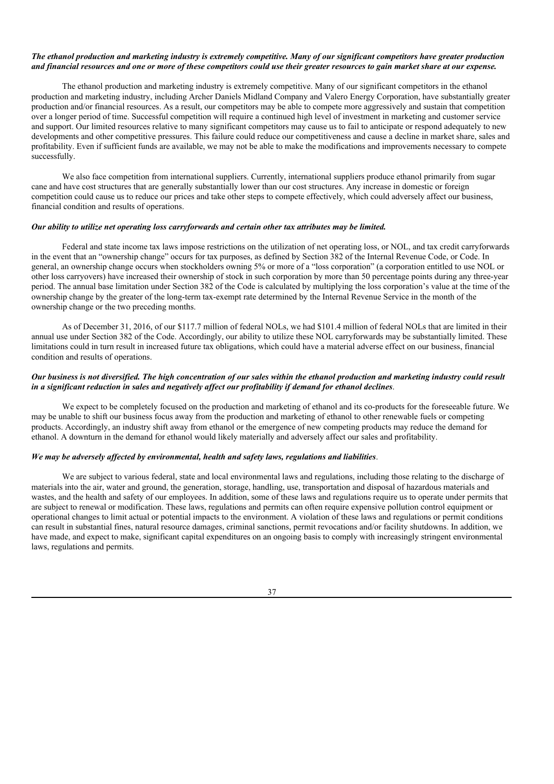### The ethanol production and marketing industry is extremely competitive. Many of our significant competitors have greater production and financial resources and one or more of these competitors could use their greater resources to gain market share at our expense.

The ethanol production and marketing industry is extremely competitive. Many of our significant competitors in the ethanol production and marketing industry, including Archer Daniels Midland Company and Valero Energy Corporation, have substantially greater production and/or financial resources. As a result, our competitors may be able to compete more aggressively and sustain that competition over a longer period of time. Successful competition will require a continued high level of investment in marketing and customer service and support. Our limited resources relative to many significant competitors may cause us to fail to anticipate or respond adequately to new developments and other competitive pressures. This failure could reduce our competitiveness and cause a decline in market share, sales and profitability. Even if sufficient funds are available, we may not be able to make the modifications and improvements necessary to compete successfully.

We also face competition from international suppliers. Currently, international suppliers produce ethanol primarily from sugar cane and have cost structures that are generally substantially lower than our cost structures. Any increase in domestic or foreign competition could cause us to reduce our prices and take other steps to compete effectively, which could adversely affect our business, financial condition and results of operations.

#### *Our ability to utilize net operating loss carryforwards and certain other tax attributes may be limited.*

Federal and state income tax laws impose restrictions on the utilization of net operating loss, or NOL, and tax credit carryforwards in the event that an "ownership change" occurs for tax purposes, as defined by Section 382 of the Internal Revenue Code, or Code. In general, an ownership change occurs when stockholders owning 5% or more of a "loss corporation" (a corporation entitled to use NOL or other loss carryovers) have increased their ownership of stock in such corporation by more than 50 percentage points during any three-year period. The annual base limitation under Section 382 of the Code is calculated by multiplying the loss corporation's value at the time of the ownership change by the greater of the long-term tax-exempt rate determined by the Internal Revenue Service in the month of the ownership change or the two preceding months.

As of December 31, 2016, of our \$117.7 million of federal NOLs, we had \$101.4 million of federal NOLs that are limited in their annual use under Section 382 of the Code. Accordingly, our ability to utilize these NOL carryforwards may be substantially limited. These limitations could in turn result in increased future tax obligations, which could have a material adverse effect on our business, financial condition and results of operations.

### Our business is not diversified. The high concentration of our sales within the ethanol production and marketing industry could result in a significant reduction in sales and negatively affect our profitability if demand for ethanol declines.

We expect to be completely focused on the production and marketing of ethanol and its co-products for the foreseeable future. We may be unable to shift our business focus away from the production and marketing of ethanol to other renewable fuels or competing products. Accordingly, an industry shift away from ethanol or the emergence of new competing products may reduce the demand for ethanol. A downturn in the demand for ethanol would likely materially and adversely affect our sales and profitability.

### *We may be adversely af ected by environmental, health and safety laws, regulations and liabilities*.

We are subject to various federal, state and local environmental laws and regulations, including those relating to the discharge of materials into the air, water and ground, the generation, storage, handling, use, transportation and disposal of hazardous materials and wastes, and the health and safety of our employees. In addition, some of these laws and regulations require us to operate under permits that are subject to renewal or modification. These laws, regulations and permits can often require expensive pollution control equipment or operational changes to limit actual or potential impacts to the environment. A violation of these laws and regulations or permit conditions can result in substantial fines, natural resource damages, criminal sanctions, permit revocations and/or facility shutdowns. In addition, we have made, and expect to make, significant capital expenditures on an ongoing basis to comply with increasingly stringent environmental laws, regulations and permits.

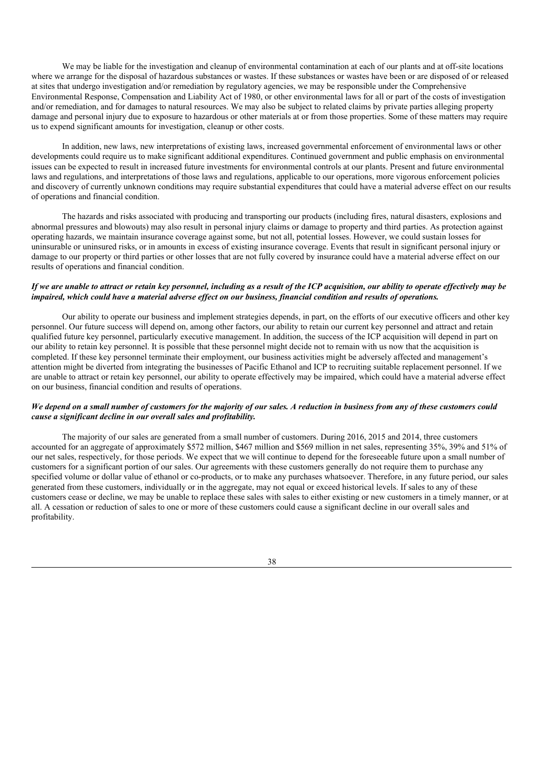We may be liable for the investigation and cleanup of environmental contamination at each of our plants and at off-site locations where we arrange for the disposal of hazardous substances or wastes. If these substances or wastes have been or are disposed of or released at sites that undergo investigation and/or remediation by regulatory agencies, we may be responsible under the Comprehensive Environmental Response, Compensation and Liability Act of 1980, or other environmental laws for all or part of the costs of investigation and/or remediation, and for damages to natural resources. We may also be subject to related claims by private parties alleging property damage and personal injury due to exposure to hazardous or other materials at or from those properties. Some of these matters may require us to expend significant amounts for investigation, cleanup or other costs.

In addition, new laws, new interpretations of existing laws, increased governmental enforcement of environmental laws or other developments could require us to make significant additional expenditures. Continued government and public emphasis on environmental issues can be expected to result in increased future investments for environmental controls at our plants. Present and future environmental laws and regulations, and interpretations of those laws and regulations, applicable to our operations, more vigorous enforcement policies and discovery of currently unknown conditions may require substantial expenditures that could have a material adverse effect on our results of operations and financial condition.

The hazards and risks associated with producing and transporting our products (including fires, natural disasters, explosions and abnormal pressures and blowouts) may also result in personal injury claims or damage to property and third parties. As protection against operating hazards, we maintain insurance coverage against some, but not all, potential losses. However, we could sustain losses for uninsurable or uninsured risks, or in amounts in excess of existing insurance coverage. Events that result in significant personal injury or damage to our property or third parties or other losses that are not fully covered by insurance could have a material adverse effect on our results of operations and financial condition.

### If we are unable to attract or retain key personnel, including as a result of the ICP acquisition, our ability to operate effectively may be impaired, which could have a material adverse effect on our business, financial condition and results of operations.

Our ability to operate our business and implement strategies depends, in part, on the efforts of our executive officers and other key personnel. Our future success will depend on, among other factors, our ability to retain our current key personnel and attract and retain qualified future key personnel, particularly executive management. In addition, the success of the ICP acquisition will depend in part on our ability to retain key personnel. It is possible that these personnel might decide not to remain with us now that the acquisition is completed. If these key personnel terminate their employment, our business activities might be adversely affected and management's attention might be diverted from integrating the businesses of Pacific Ethanol and ICP to recruiting suitable replacement personnel. If we are unable to attract or retain key personnel, our ability to operate effectively may be impaired, which could have a material adverse effect on our business, financial condition and results of operations.

# We depend on a small number of customers for the majority of our sales. A reduction in business from any of these customers could *cause a significant decline in our overall sales and profitability.*

The majority of our sales are generated from a small number of customers. During 2016, 2015 and 2014, three customers accounted for an aggregate of approximately \$572 million, \$467 million and \$569 million in net sales, representing 35%, 39% and 51% of our net sales, respectively, for those periods. We expect that we will continue to depend for the foreseeable future upon a small number of customers for a significant portion of our sales. Our agreements with these customers generally do not require them to purchase any specified volume or dollar value of ethanol or co-products, or to make any purchases whatsoever. Therefore, in any future period, our sales generated from these customers, individually or in the aggregate, may not equal or exceed historical levels. If sales to any of these customers cease or decline, we may be unable to replace these sales with sales to either existing or new customers in a timely manner, or at all. A cessation or reduction of sales to one or more of these customers could cause a significant decline in our overall sales and profitability.

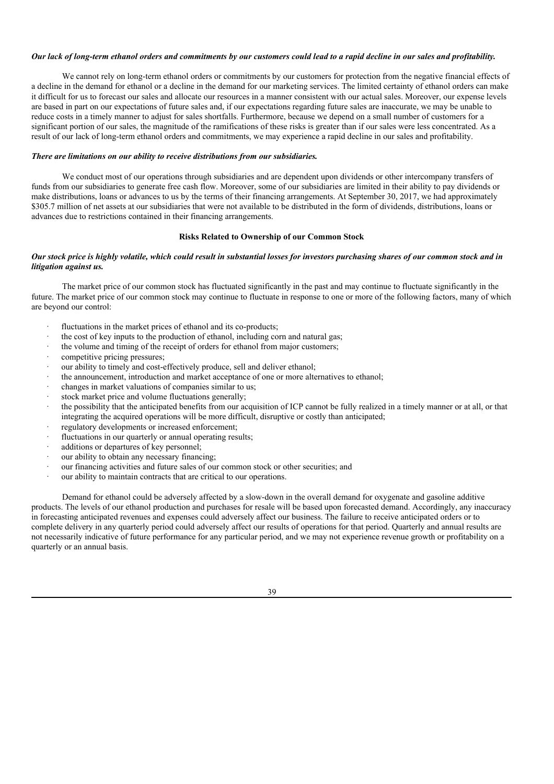### Our lack of long-term ethanol orders and commitments by our customers could lead to a rapid decline in our sales and profitability.

We cannot rely on long-term ethanol orders or commitments by our customers for protection from the negative financial effects of a decline in the demand for ethanol or a decline in the demand for our marketing services. The limited certainty of ethanol orders can make it difficult for us to forecast our sales and allocate our resources in a manner consistent with our actual sales. Moreover, our expense levels are based in part on our expectations of future sales and, if our expectations regarding future sales are inaccurate, we may be unable to reduce costs in a timely manner to adjust for sales shortfalls. Furthermore, because we depend on a small number of customers for a significant portion of our sales, the magnitude of the ramifications of these risks is greater than if our sales were less concentrated. As a result of our lack of long-term ethanol orders and commitments, we may experience a rapid decline in our sales and profitability.

### *There are limitations on our ability to receive distributions from our subsidiaries.*

We conduct most of our operations through subsidiaries and are dependent upon dividends or other intercompany transfers of funds from our subsidiaries to generate free cash flow. Moreover, some of our subsidiaries are limited in their ability to pay dividends or make distributions, loans or advances to us by the terms of their financing arrangements. At September 30, 2017, we had approximately \$305.7 million of net assets at our subsidiaries that were not available to be distributed in the form of dividends, distributions, loans or advances due to restrictions contained in their financing arrangements.

### **Risks Related to Ownership of our Common Stock**

### Our stock price is highly volatile, which could result in substantial losses for investors purchasing shares of our common stock and in *litigation against us.*

The market price of our common stock has fluctuated significantly in the past and may continue to fluctuate significantly in the future. The market price of our common stock may continue to fluctuate in response to one or more of the following factors, many of which are beyond our control:

- fluctuations in the market prices of ethanol and its co-products;
- · the cost of key inputs to the production of ethanol, including corn and natural gas;
- the volume and timing of the receipt of orders for ethanol from major customers;
- competitive pricing pressures;
- our ability to timely and cost-effectively produce, sell and deliver ethanol;
- the announcement, introduction and market acceptance of one or more alternatives to ethanol;
- changes in market valuations of companies similar to us;
- stock market price and volume fluctuations generally:
- · the possibility that the anticipated benefits from our acquisition of ICP cannot be fully realized in a timely manner or at all, or that integrating the acquired operations will be more difficult, disruptive or costly than anticipated;
- regulatory developments or increased enforcement:
- fluctuations in our quarterly or annual operating results;
- additions or departures of key personnel;
- our ability to obtain any necessary financing;
- our financing activities and future sales of our common stock or other securities; and
- our ability to maintain contracts that are critical to our operations.

Demand for ethanol could be adversely affected by a slow-down in the overall demand for oxygenate and gasoline additive products. The levels of our ethanol production and purchases for resale will be based upon forecasted demand. Accordingly, any inaccuracy in forecasting anticipated revenues and expenses could adversely affect our business. The failure to receive anticipated orders or to complete delivery in any quarterly period could adversely affect our results of operations for that period. Quarterly and annual results are not necessarily indicative of future performance for any particular period, and we may not experience revenue growth or profitability on a quarterly or an annual basis.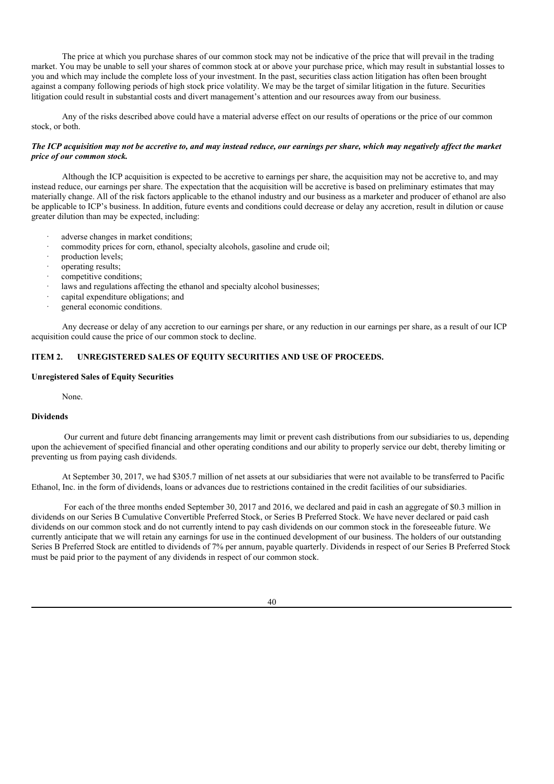The price at which you purchase shares of our common stock may not be indicative of the price that will prevail in the trading market. You may be unable to sell your shares of common stock at or above your purchase price, which may result in substantial losses to you and which may include the complete loss of your investment. In the past, securities class action litigation has often been brought against a company following periods of high stock price volatility. We may be the target of similar litigation in the future. Securities litigation could result in substantial costs and divert management's attention and our resources away from our business.

Any of the risks described above could have a material adverse effect on our results of operations or the price of our common stock, or both.

### The ICP acquisition may not be accretive to, and may instead reduce, our earnings per share, which may negatively affect the market *price of our common stock.*

Although the ICP acquisition is expected to be accretive to earnings per share, the acquisition may not be accretive to, and may instead reduce, our earnings per share. The expectation that the acquisition will be accretive is based on preliminary estimates that may materially change. All of the risk factors applicable to the ethanol industry and our business as a marketer and producer of ethanol are also be applicable to ICP's business. In addition, future events and conditions could decrease or delay any accretion, result in dilution or cause greater dilution than may be expected, including:

- adverse changes in market conditions;
- commodity prices for corn, ethanol, specialty alcohols, gasoline and crude oil;
- production levels:
- · operating results;
- competitive conditions;
- laws and regulations affecting the ethanol and specialty alcohol businesses;
- capital expenditure obligations; and
- general economic conditions.

Any decrease or delay of any accretion to our earnings per share, or any reduction in our earnings per share, as a result of our ICP acquisition could cause the price of our common stock to decline.

# **ITEM 2. UNREGISTERED SALES OF EQUITY SECURITIES AND USE OF PROCEEDS.**

### **Unregistered Sales of Equity Securities**

None.

# **Dividends**

Our current and future debt financing arrangements may limit or prevent cash distributions from our subsidiaries to us, depending upon the achievement of specified financial and other operating conditions and our ability to properly service our debt, thereby limiting or preventing us from paying cash dividends.

At September 30, 2017, we had \$305.7 million of net assets at our subsidiaries that were not available to be transferred to Pacific Ethanol, Inc. in the form of dividends, loans or advances due to restrictions contained in the credit facilities of our subsidiaries.

For each of the three months ended September 30, 2017 and 2016, we declared and paid in cash an aggregate of \$0.3 million in dividends on our Series B Cumulative Convertible Preferred Stock, or Series B Preferred Stock. We have never declared or paid cash dividends on our common stock and do not currently intend to pay cash dividends on our common stock in the foreseeable future. We currently anticipate that we will retain any earnings for use in the continued development of our business. The holders of our outstanding Series B Preferred Stock are entitled to dividends of 7% per annum, payable quarterly. Dividends in respect of our Series B Preferred Stock must be paid prior to the payment of any dividends in respect of our common stock.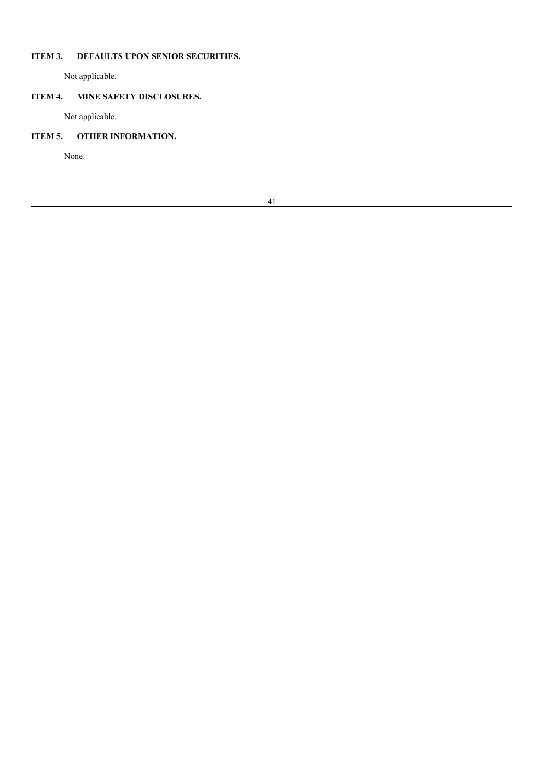# **ITEM 3. DEFAULTS UPON SENIOR SECURITIES.**

Not applicable.

# **ITEM 4. MINE SAFETY DISCLOSURES.**

Not applicable.

# **ITEM 5. OTHER INFORMATION.**

None.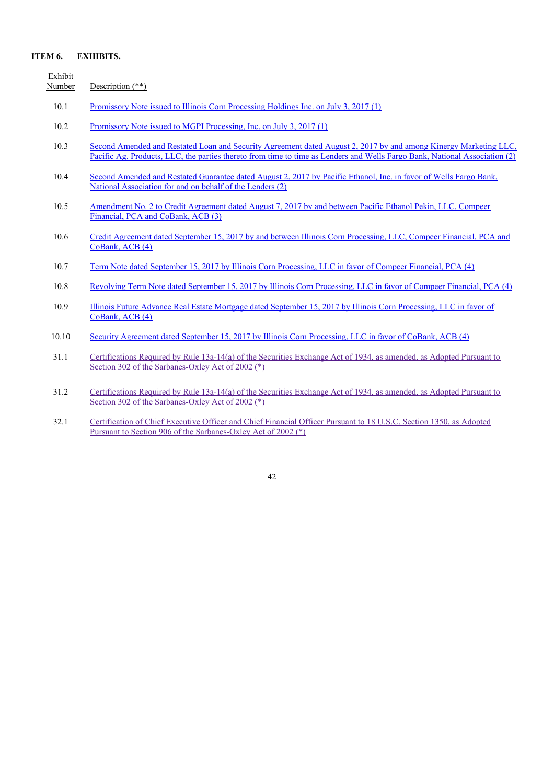# **ITEM 6. EXHIBITS.**

| Exhibit<br>Number | Description $(**)$                                                                                                                                                                                                                             |
|-------------------|------------------------------------------------------------------------------------------------------------------------------------------------------------------------------------------------------------------------------------------------|
| 10.1              | Promissory Note issued to Illinois Corn Processing Holdings Inc. on July 3, 2017 (1)                                                                                                                                                           |
| 10.2              | Promissory Note issued to MGPI Processing, Inc. on July 3, 2017 (1)                                                                                                                                                                            |
| 10.3              | Second Amended and Restated Loan and Security Agreement dated August 2, 2017 by and among Kinergy Marketing LLC,<br>Pacific Ag, Products, LLC, the parties thereto from time to time as Lenders and Wells Fargo Bank, National Association (2) |
| 10.4              | Second Amended and Restated Guarantee dated August 2, 2017 by Pacific Ethanol, Inc. in favor of Wells Fargo Bank,<br>National Association for and on behalf of the Lenders (2)                                                                 |
| 10.5              | Amendment No. 2 to Credit Agreement dated August 7, 2017 by and between Pacific Ethanol Pekin, LLC, Compeer<br>Financial, PCA and CoBank, ACB (3)                                                                                              |
| 10.6              | Credit Agreement dated September 15, 2017 by and between Illinois Corn Processing, LLC, Compeer Financial, PCA and<br>CoBank, ACB (4)                                                                                                          |
| 10.7              | Term Note dated September 15, 2017 by Illinois Corn Processing, LLC in favor of Compeer Financial, PCA (4)                                                                                                                                     |
| 10.8              | Revolving Term Note dated September 15, 2017 by Illinois Corn Processing, LLC in favor of Compeer Financial, PCA (4)                                                                                                                           |
| 10.9              | Illinois Future Advance Real Estate Mortgage dated September 15, 2017 by Illinois Corn Processing, LLC in favor of<br>CoBank, ACB (4)                                                                                                          |
| 10.10             | Security Agreement dated September 15, 2017 by Illinois Corn Processing, LLC in favor of CoBank, ACB (4)                                                                                                                                       |
| 31.1              | Certifications Required by Rule 13a-14(a) of the Securities Exchange Act of 1934, as amended, as Adopted Pursuant to<br>Section 302 of the Sarbanes-Oxley Act of 2002 (*)                                                                      |
| 31.2              | Certifications Required by Rule 13a-14(a) of the Securities Exchange Act of 1934, as amended, as Adopted Pursuant to<br>Section 302 of the Sarbanes-Oxley Act of 2002 (*)                                                                      |
| 32.1              | Certification of Chief Executive Officer and Chief Financial Officer Pursuant to 18 U.S.C. Section 1350, as Adopted<br>Pursuant to Section 906 of the Sarbanes-Oxley Act of 2002 (*)                                                           |

42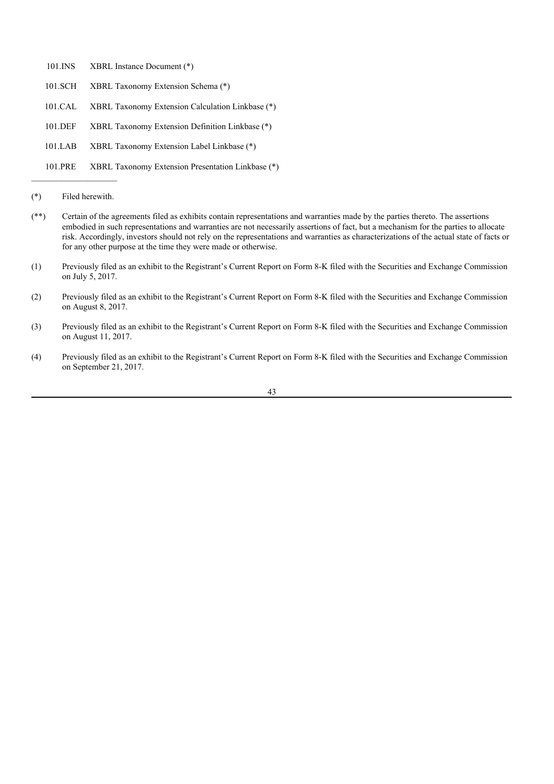- 101.INS XBRL Instance Document (\*)
- 101.SCH XBRL Taxonomy Extension Schema (\*)
- 101.CAL XBRL Taxonomy Extension Calculation Linkbase (\*)
- 101.DEF XBRL Taxonomy Extension Definition Linkbase (\*)
- 101.LAB XBRL Taxonomy Extension Label Linkbase (\*)
- 101.PRE XBRL Taxonomy Extension Presentation Linkbase (\*)

- (\*\*) Certain of the agreements filed as exhibits contain representations and warranties made by the parties thereto. The assertions embodied in such representations and warranties are not necessarily assertions of fact, but a mechanism for the parties to allocate risk. Accordingly, investors should not rely on the representations and warranties as characterizations of the actual state of facts or for any other purpose at the time they were made or otherwise.
- (1) Previously filed as an exhibit to the Registrant's Current Report on Form 8-K filed with the Securities and Exchange Commission on July 5, 2017.
- (2) Previously filed as an exhibit to the Registrant's Current Report on Form 8-K filed with the Securities and Exchange Commission on August 8, 2017.
- (3) Previously filed as an exhibit to the Registrant's Current Report on Form 8-K filed with the Securities and Exchange Commission on August 11, 2017.
- (4) Previously filed as an exhibit to the Registrant's Current Report on Form 8-K filed with the Securities and Exchange Commission on September 21, 2017.

<sup>(\*)</sup> Filed herewith.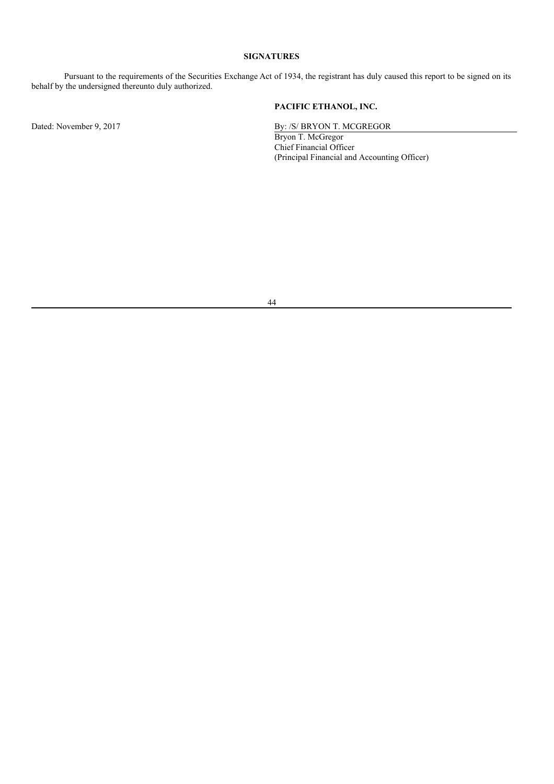# **SIGNATURES**

Pursuant to the requirements of the Securities Exchange Act of 1934, the registrant has duly caused this report to be signed on its behalf by the undersigned thereunto duly authorized.

**PACIFIC ETHANOL, INC.**

Dated: November 9, 2017 By: /S/ BRYON T. MCGREGOR

Bryon T. McGregor Chief Financial Officer (Principal Financial and Accounting Officer)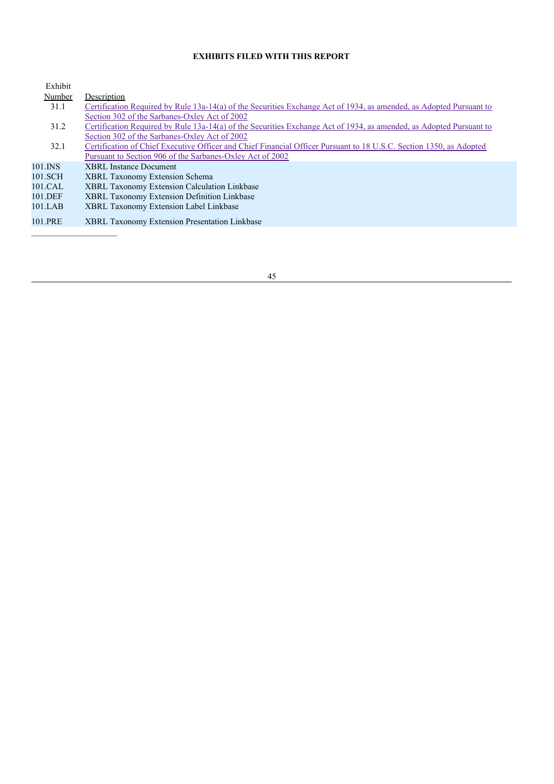# **EXHIBITS FILED WITH THIS REPORT**

| Exhibit |                                                                                                                     |
|---------|---------------------------------------------------------------------------------------------------------------------|
| Number  | Description                                                                                                         |
| 31.1    | Certification Required by Rule 13a-14(a) of the Securities Exchange Act of 1934, as amended, as Adopted Pursuant to |
|         | Section 302 of the Sarbanes-Oxley Act of 2002                                                                       |
| 31.2    | Certification Required by Rule 13a-14(a) of the Securities Exchange Act of 1934, as amended, as Adopted Pursuant to |
|         | Section 302 of the Sarbanes-Oxley Act of 2002                                                                       |
| 32.1    | Certification of Chief Executive Officer and Chief Financial Officer Pursuant to 18 U.S.C. Section 1350, as Adopted |
|         | Pursuant to Section 906 of the Sarbanes-Oxley Act of 2002                                                           |
| 101.INS | <b>XBRL</b> Instance Document                                                                                       |
| 101.SCH | <b>XBRL Taxonomy Extension Schema</b>                                                                               |
| 101.CAL | <b>XBRL Taxonomy Extension Calculation Linkbase</b>                                                                 |
| 101.DEF | <b>XBRL Taxonomy Extension Definition Linkbase</b>                                                                  |
| 101.LAB | <b>XBRL Taxonomy Extension Label Linkbase</b>                                                                       |
| 101.PRE | <b>XBRL Taxonomy Extension Presentation Linkbase</b>                                                                |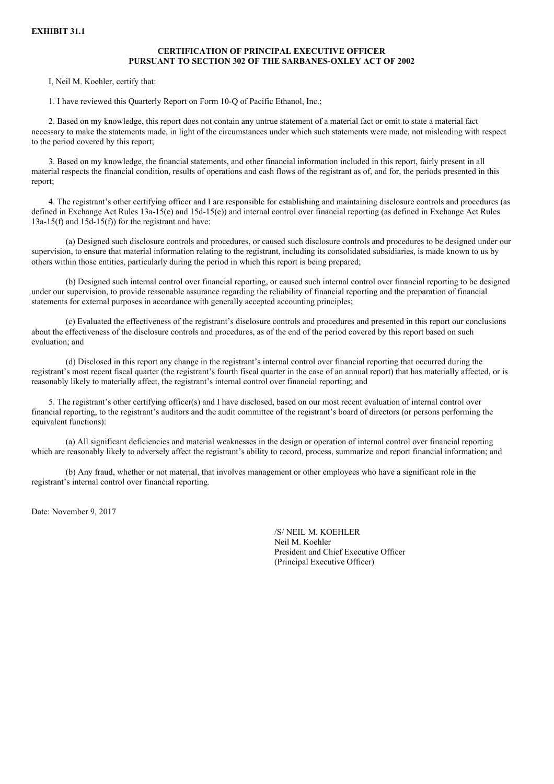### **EXHIBIT 31.1**

# **CERTIFICATION OF PRINCIPAL EXECUTIVE OFFICER PURSUANT TO SECTION 302 OF THE SARBANES-OXLEY ACT OF 2002**

I, Neil M. Koehler, certify that:

1. I have reviewed this Quarterly Report on Form 10-Q of Pacific Ethanol, Inc.;

2. Based on my knowledge, this report does not contain any untrue statement of a material fact or omit to state a material fact necessary to make the statements made, in light of the circumstances under which such statements were made, not misleading with respect to the period covered by this report;

3. Based on my knowledge, the financial statements, and other financial information included in this report, fairly present in all material respects the financial condition, results of operations and cash flows of the registrant as of, and for, the periods presented in this report;

4. The registrant's other certifying officer and I are responsible for establishing and maintaining disclosure controls and procedures (as defined in Exchange Act Rules 13a-15(e) and 15d-15(e)) and internal control over financial reporting (as defined in Exchange Act Rules  $13a-15(f)$  and  $15d-15(f)$  for the registrant and have:

(a) Designed such disclosure controls and procedures, or caused such disclosure controls and procedures to be designed under our supervision, to ensure that material information relating to the registrant, including its consolidated subsidiaries, is made known to us by others within those entities, particularly during the period in which this report is being prepared;

(b) Designed such internal control over financial reporting, or caused such internal control over financial reporting to be designed under our supervision, to provide reasonable assurance regarding the reliability of financial reporting and the preparation of financial statements for external purposes in accordance with generally accepted accounting principles;

(c) Evaluated the effectiveness of the registrant's disclosure controls and procedures and presented in this report our conclusions about the effectiveness of the disclosure controls and procedures, as of the end of the period covered by this report based on such evaluation; and

(d) Disclosed in this report any change in the registrant's internal control over financial reporting that occurred during the registrant's most recent fiscal quarter (the registrant's fourth fiscal quarter in the case of an annual report) that has materially affected, or is reasonably likely to materially affect, the registrant's internal control over financial reporting; and

5. The registrant's other certifying officer(s) and I have disclosed, based on our most recent evaluation of internal control over financial reporting, to the registrant's auditors and the audit committee of the registrant's board of directors (or persons performing the equivalent functions):

(a) All significant deficiencies and material weaknesses in the design or operation of internal control over financial reporting which are reasonably likely to adversely affect the registrant's ability to record, process, summarize and report financial information; and

(b) Any fraud, whether or not material, that involves management or other employees who have a significant role in the registrant's internal control over financial reporting.

Date: November 9, 2017

/S/ NEIL M. KOEHLER Neil M. Koehler President and Chief Executive Officer (Principal Executive Officer)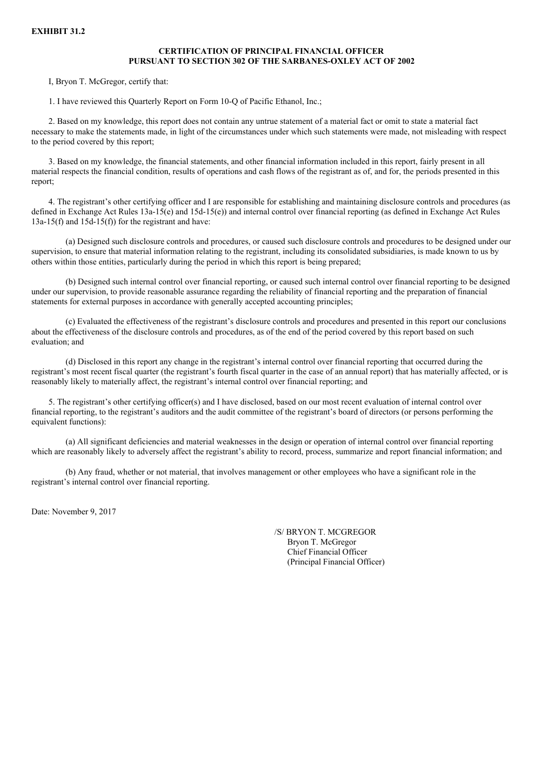### **EXHIBIT 31.2**

### **CERTIFICATION OF PRINCIPAL FINANCIAL OFFICER PURSUANT TO SECTION 302 OF THE SARBANES-OXLEY ACT OF 2002**

I, Bryon T. McGregor, certify that:

1. I have reviewed this Quarterly Report on Form 10-Q of Pacific Ethanol, Inc.;

2. Based on my knowledge, this report does not contain any untrue statement of a material fact or omit to state a material fact necessary to make the statements made, in light of the circumstances under which such statements were made, not misleading with respect to the period covered by this report;

3. Based on my knowledge, the financial statements, and other financial information included in this report, fairly present in all material respects the financial condition, results of operations and cash flows of the registrant as of, and for, the periods presented in this report;

4. The registrant's other certifying officer and I are responsible for establishing and maintaining disclosure controls and procedures (as defined in Exchange Act Rules 13a-15(e) and 15d-15(e)) and internal control over financial reporting (as defined in Exchange Act Rules  $13a-15(f)$  and  $15d-15(f)$  for the registrant and have:

(a) Designed such disclosure controls and procedures, or caused such disclosure controls and procedures to be designed under our supervision, to ensure that material information relating to the registrant, including its consolidated subsidiaries, is made known to us by others within those entities, particularly during the period in which this report is being prepared;

(b) Designed such internal control over financial reporting, or caused such internal control over financial reporting to be designed under our supervision, to provide reasonable assurance regarding the reliability of financial reporting and the preparation of financial statements for external purposes in accordance with generally accepted accounting principles;

(c) Evaluated the effectiveness of the registrant's disclosure controls and procedures and presented in this report our conclusions about the effectiveness of the disclosure controls and procedures, as of the end of the period covered by this report based on such evaluation; and

(d) Disclosed in this report any change in the registrant's internal control over financial reporting that occurred during the registrant's most recent fiscal quarter (the registrant's fourth fiscal quarter in the case of an annual report) that has materially affected, or is reasonably likely to materially affect, the registrant's internal control over financial reporting; and

5. The registrant's other certifying officer(s) and I have disclosed, based on our most recent evaluation of internal control over financial reporting, to the registrant's auditors and the audit committee of the registrant's board of directors (or persons performing the equivalent functions):

(a) All significant deficiencies and material weaknesses in the design or operation of internal control over financial reporting which are reasonably likely to adversely affect the registrant's ability to record, process, summarize and report financial information; and

(b) Any fraud, whether or not material, that involves management or other employees who have a significant role in the registrant's internal control over financial reporting.

Date: November 9, 2017

/S/ BRYON T. MCGREGOR Bryon T. McGregor Chief Financial Officer (Principal Financial Officer)